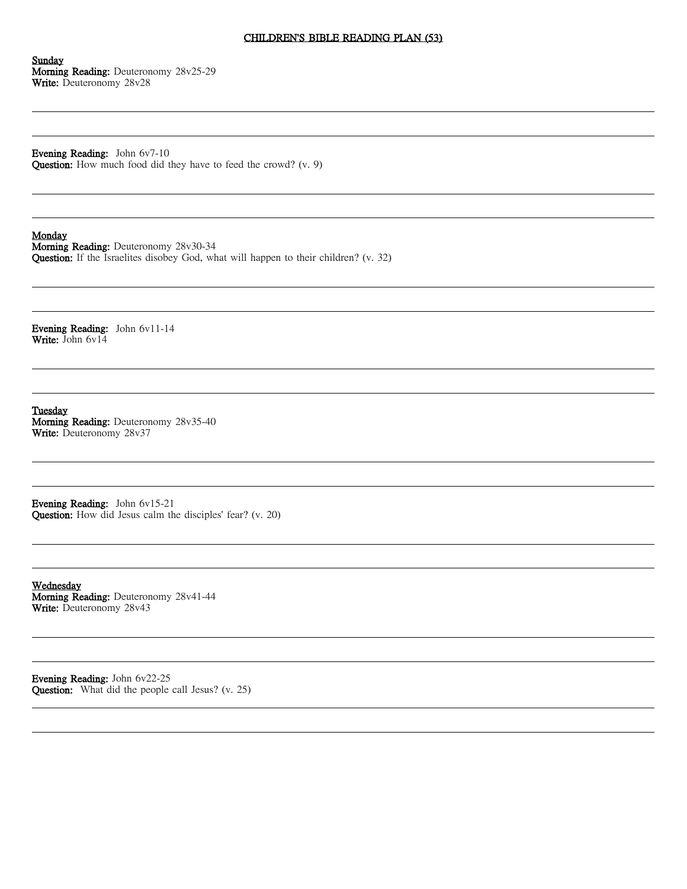#### CHILDREN'S BIBLE READING PLAN (53)

Sunday Morning Reading: Deuteronomy 28v25-29 Write: Deuteronomy 28v28

Evening Reading: John 6v7-10 Question: How much food did they have to feed the crowd? (v. 9)

#### Monday

Morning Reading: Deuteronomy 28v30-34 Question: If the Israelites disobey God, what will happen to their children? (v. 32)

Evening Reading: John 6v11-14 Write: John 6v14

Tuesday Morning Reading: Deuteronomy 28v35-40 Write: Deuteronomy 28v37

Evening Reading: John 6v15-21 Question: How did Jesus calm the disciples' fear? (v. 20)

Wednesday Morning Reading: Deuteronomy 28v41-44 Write: Deuteronomy 28v43

Evening Reading: John 6v22-25 Question: What did the people call Jesus? (v. 25)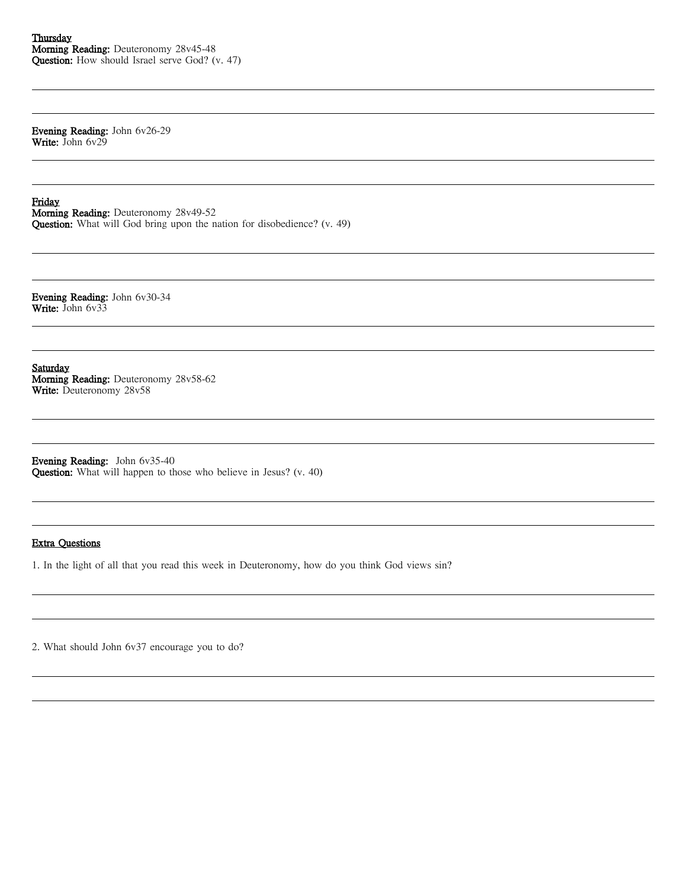Evening Reading: John 6v26-29 Write: John 6v29

Friday

Morning Reading: Deuteronomy 28v49-52 Question: What will God bring upon the nation for disobedience? (v. 49)

Evening Reading: John 6v30-34 Write: John 6v33

**Saturday** Morning Reading: Deuteronomy 28v58-62 Write: Deuteronomy 28v58

Evening Reading: John 6v35-40 Question: What will happen to those who believe in Jesus? (v. 40)

# Extra Questions

1. In the light of all that you read this week in Deuteronomy, how do you think God views sin?

2. What should John 6v37 encourage you to do?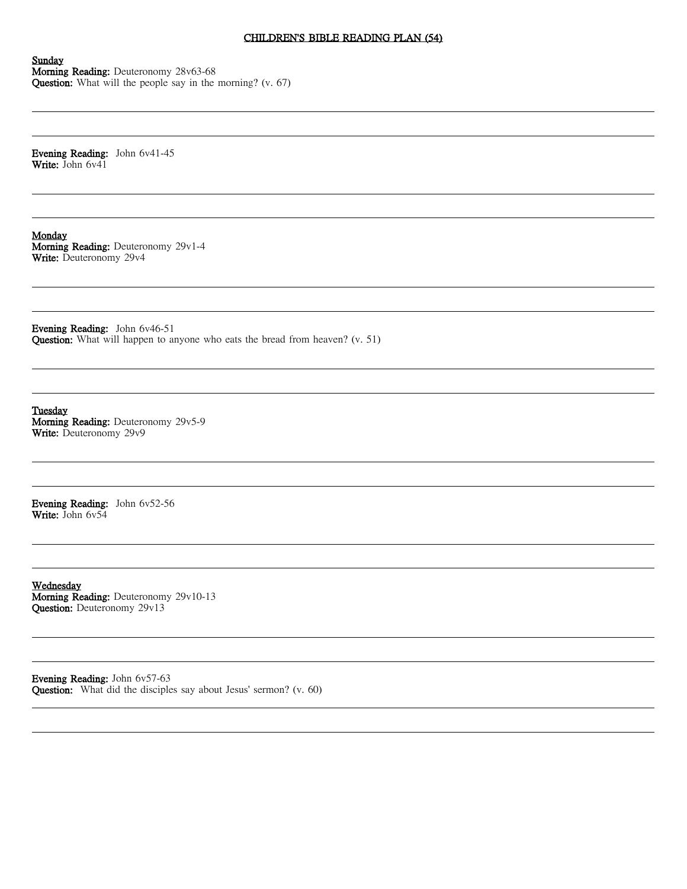### CHILDREN'S BIBLE READING PLAN (54)

#### Sunday Morning Reading: Deuteronomy 28v63-68 Question: What will the people say in the morning? (v. 67)

Evening Reading: John 6v41-45 Write: John 6v41

Monday Morning Reading: Deuteronomy 29v1-4 Write: Deuteronomy 29v4

Evening Reading: John 6v46-51 Question: What will happen to anyone who eats the bread from heaven? (v. 51)

Tuesday Morning Reading: Deuteronomy 29v5-9 Write: Deuteronomy 29v9

Evening Reading: John 6v52-56 Write: John 6v54

Wednesday Morning Reading: Deuteronomy 29v10-13 Question: Deuteronomy 29v13

Evening Reading: John 6v57-63 Question: What did the disciples say about Jesus' sermon? (v. 60)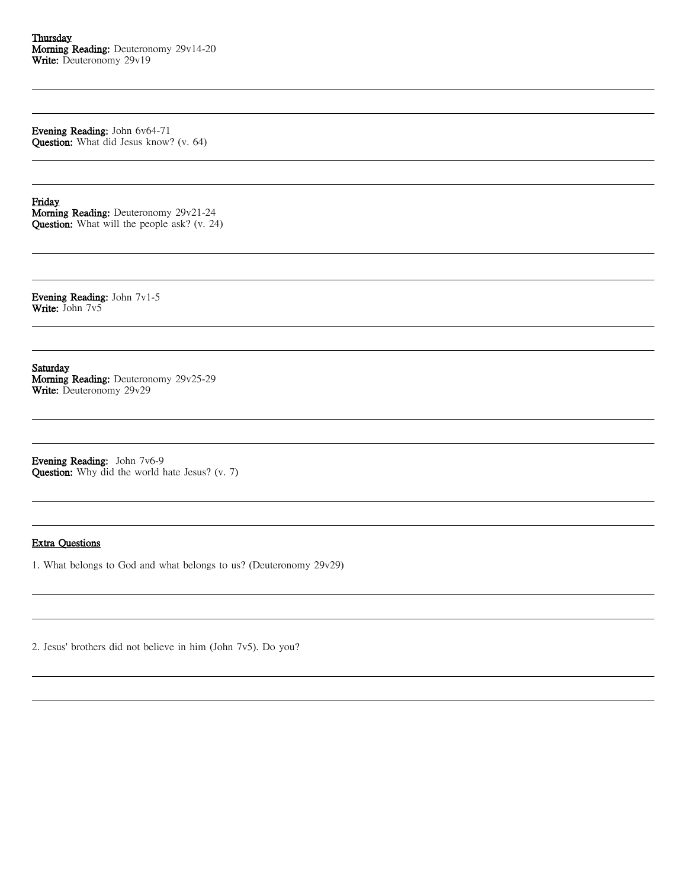Evening Reading: John 6v64-71 Question: What did Jesus know? (v. 64)

Friday

Morning Reading: Deuteronomy 29v21-24 Question: What will the people ask? (v. 24)

Evening Reading: John 7v1-5 Write: John 7v5

**Saturday** Morning Reading: Deuteronomy 29v25-29 Write: Deuteronomy 29v29

Evening Reading: John 7v6-9 Question: Why did the world hate Jesus? (v. 7)

## Extra Questions

1. What belongs to God and what belongs to us? (Deuteronomy 29v29)

2. Jesus' brothers did not believe in him (John 7v5). Do you?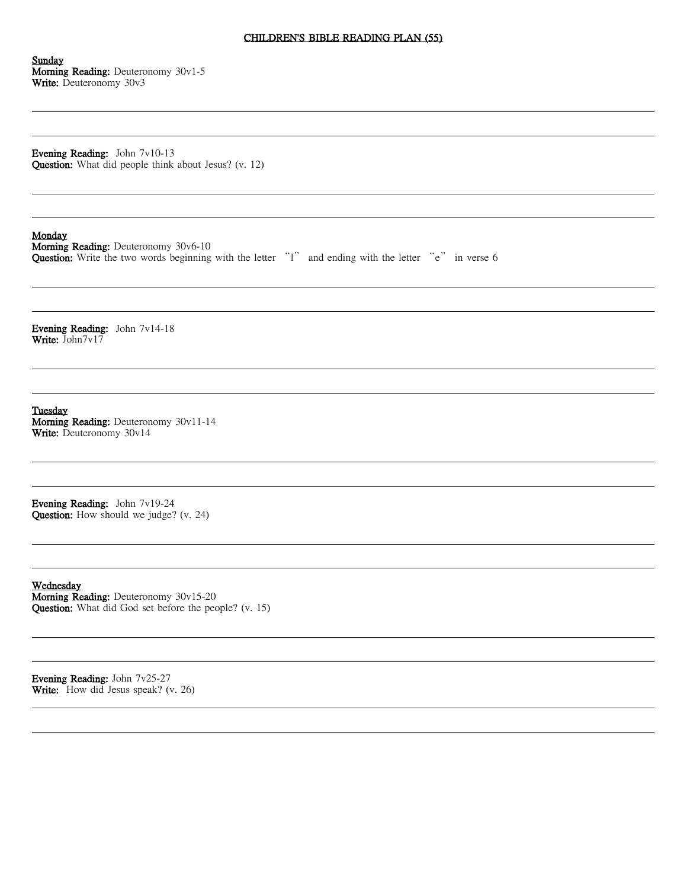#### CHILDREN'S BIBLE READING PLAN (55)

Sunday Morning Reading: Deuteronomy 30v1-5 Write: Deuteronomy 30v3

Evening Reading: John 7v10-13 Question: What did people think about Jesus? (v. 12)

### Monday

Morning Reading: Deuteronomy 30v6-10 Question: Write the two words beginning with the letter "l" and ending with the letter "e" in verse 6

Evening Reading: John 7v14-18 Write: John7v17

Tuesday Morning Reading: Deuteronomy 30v11-14 Write: Deuteronomy 30v14

Evening Reading: John 7v19-24 Question: How should we judge? (v. 24)

Wednesday Morning Reading: Deuteronomy 30v15-20 Question: What did God set before the people? (v. 15)

Evening Reading: John 7v25-27 Write: How did Jesus speak? (v. 26)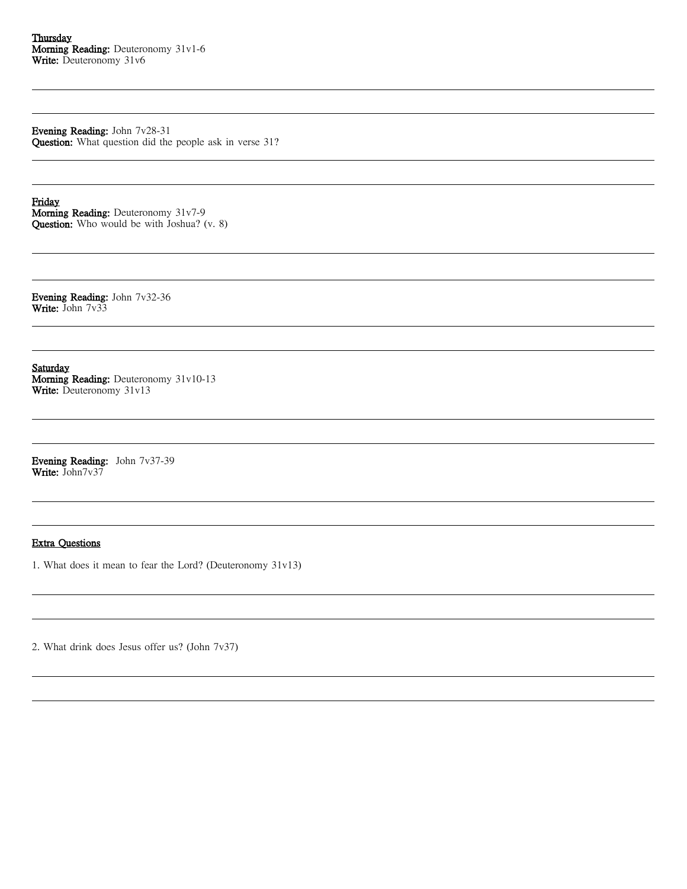Evening Reading: John 7v28-31 Question: What question did the people ask in verse 31?

Friday Morning Reading: Deuteronomy 31v7-9 Question: Who would be with Joshua? (v. 8)

Evening Reading: John 7v32-36 Write: John 7v33

**Saturday** Morning Reading: Deuteronomy 31v10-13 Write: Deuteronomy 31v13

Evening Reading: John 7v37-39 Write: John7v37

## Extra Questions

1. What does it mean to fear the Lord? (Deuteronomy 31v13)

2. What drink does Jesus offer us? (John 7v37)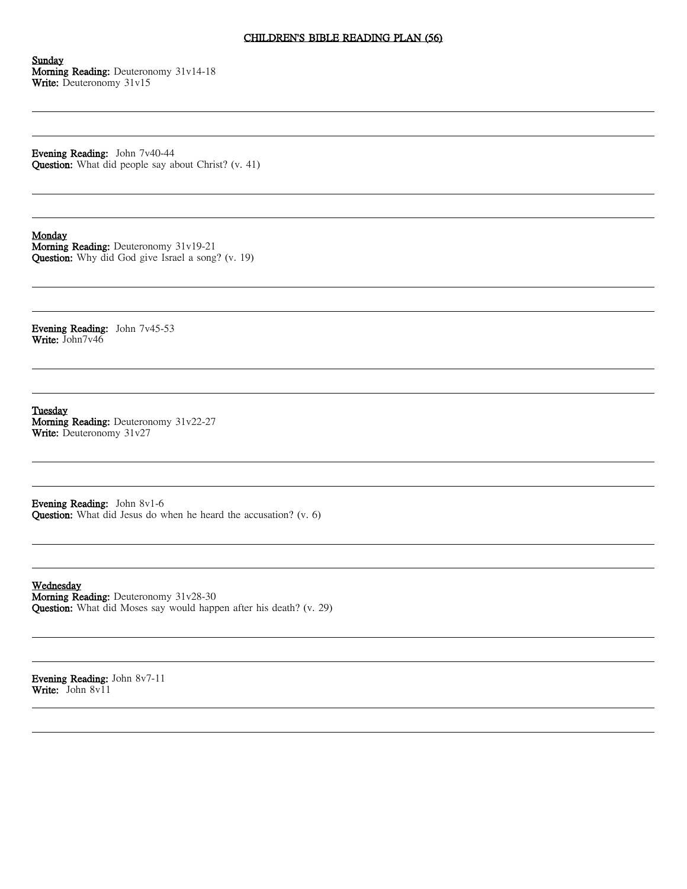#### CHILDREN'S BIBLE READING PLAN (56)

Sunday Morning Reading: Deuteronomy 31v14-18 Write: Deuteronomy 31v15

Evening Reading: John 7v40-44 Question: What did people say about Christ? (v. 41)

#### Monday

Morning Reading: Deuteronomy 31v19-21 Question: Why did God give Israel a song? (v. 19)

Evening Reading: John 7v45-53 Write: John7v46

Tuesday Morning Reading: Deuteronomy 31v22-27 Write: Deuteronomy 31v27

Evening Reading: John 8v1-6 Question: What did Jesus do when he heard the accusation? (v. 6)

Wednesday Morning Reading: Deuteronomy 31v28-30 Question: What did Moses say would happen after his death? (v. 29)

Evening Reading: John 8v7-11 Write: John 8v11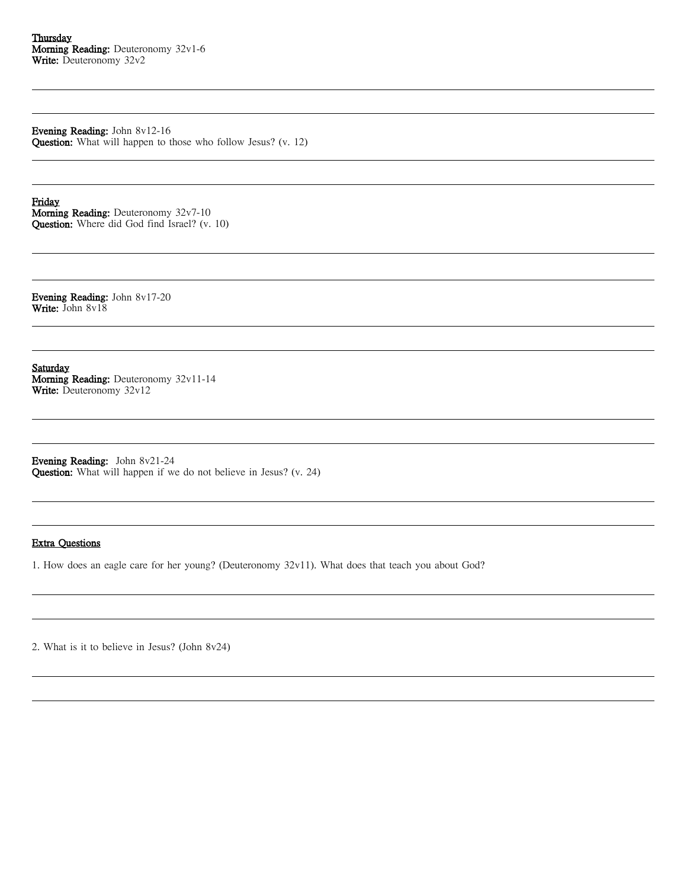Evening Reading: John 8v12-16 Question: What will happen to those who follow Jesus? (v. 12)

Friday Morning Reading: Deuteronomy 32v7-10 Question: Where did God find Israel? (v. 10)

Evening Reading: John 8v17-20 Write: John 8v18

**Saturday** Morning Reading: Deuteronomy 32v11-14 Write: Deuteronomy 32v12

Evening Reading: John 8v21-24 Question: What will happen if we do not believe in Jesus? (v. 24)

## Extra Questions

1. How does an eagle care for her young? (Deuteronomy 32v11). What does that teach you about God?

2. What is it to believe in Jesus? (John 8v24)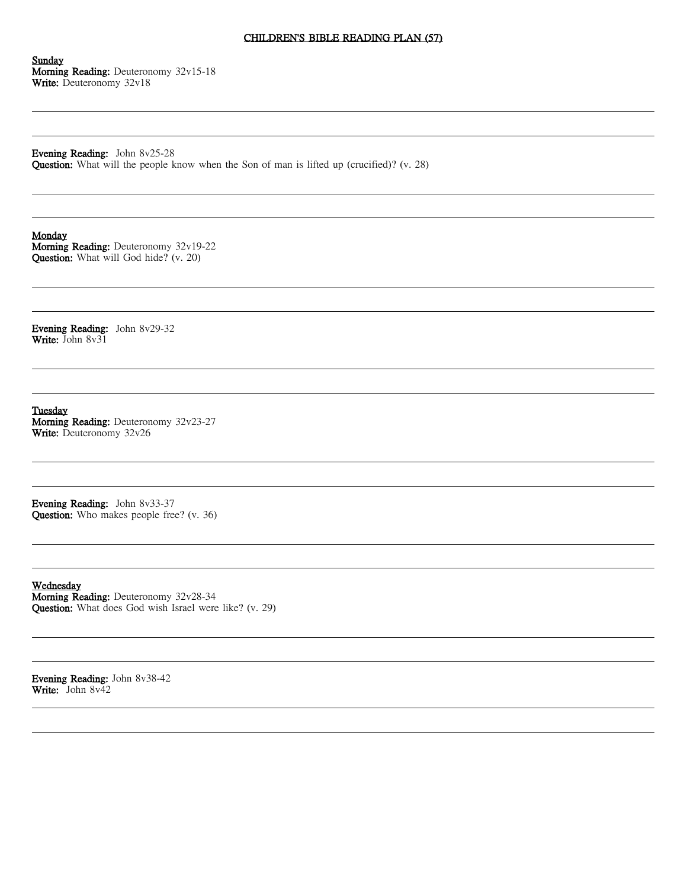# CHILDREN'S BIBLE READING PLAN (57)

Sunday Morning Reading: Deuteronomy 32v15-18 Write: Deuteronomy 32v18

Evening Reading: John 8v25-28 Question: What will the people know when the Son of man is lifted up (crucified)? (v. 28)

Monday

Morning Reading: Deuteronomy 32v19-22 Question: What will God hide? (v. 20)

Evening Reading: John 8v29-32 Write: John 8v31

Tuesday Morning Reading: Deuteronomy 32v23-27 Write: Deuteronomy 32v26

Evening Reading: John 8v33-37 Question: Who makes people free? (v. 36)

Wednesday Morning Reading: Deuteronomy 32v28-34 Question: What does God wish Israel were like? (v. 29)

Evening Reading: John 8v38-42 Write: John 8v42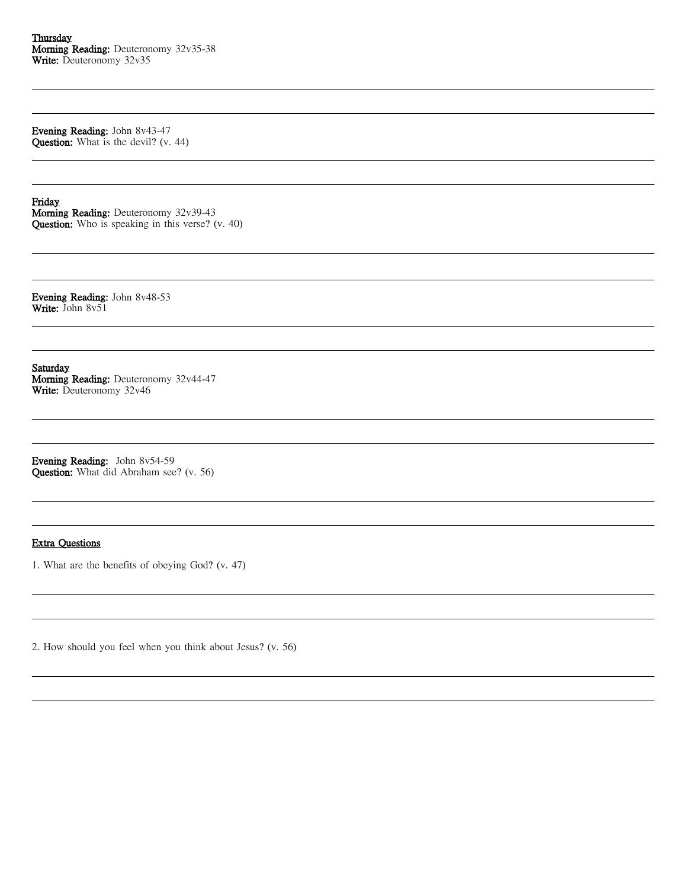Evening Reading: John 8v43-47 Question: What is the devil? (v. 44)

Friday

Morning Reading: Deuteronomy 32v39-43 Question: Who is speaking in this verse? (v. 40)

Evening Reading: John 8v48-53 Write: John 8v51

**Saturday** Morning Reading: Deuteronomy 32v44-47 Write: Deuteronomy 32v46

Evening Reading: John 8v54-59 Question: What did Abraham see? (v. 56)

## Extra Questions

1. What are the benefits of obeying God? (v. 47)

2. How should you feel when you think about Jesus? (v. 56)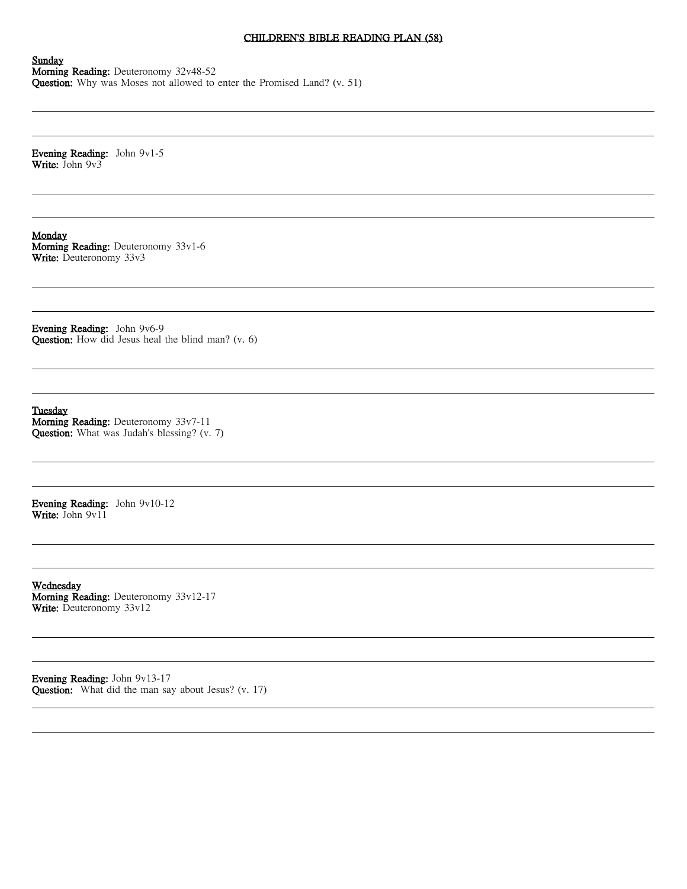# CHILDREN'S BIBLE READING PLAN (58)

Sunday Morning Reading: Deuteronomy 32v48-52 Question: Why was Moses not allowed to enter the Promised Land? (v. 51)

Evening Reading: John 9v1-5 Write: John 9v3

Monday Morning Reading: Deuteronomy 33v1-6 Write: Deuteronomy 33v3

Evening Reading: John 9v6-9 Question: How did Jesus heal the blind man? (v. 6)

Tuesday Morning Reading: Deuteronomy 33v7-11 Question: What was Judah's blessing? (v. 7)

Evening Reading: John 9v10-12 Write: John 9v11

Wednesday Morning Reading: Deuteronomy 33v12-17 Write: Deuteronomy 33v12

Evening Reading: John 9v13-17 Question: What did the man say about Jesus? (v. 17)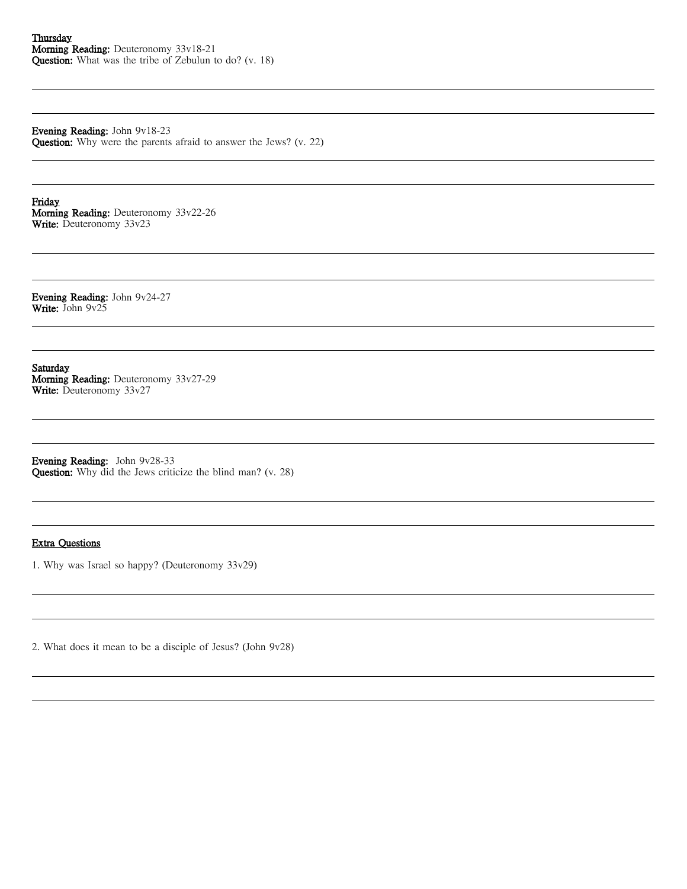Evening Reading: John 9v18-23 Question: Why were the parents afraid to answer the Jews? (v. 22)

Friday Morning Reading: Deuteronomy 33v22-26 Write: Deuteronomy 33v23

Evening Reading: John 9v24-27 Write: John 9v25

**Saturday** Morning Reading: Deuteronomy 33v27-29 Write: Deuteronomy 33v27

Evening Reading: John 9v28-33 Question: Why did the Jews criticize the blind man? (v. 28)

### Extra Questions

1. Why was Israel so happy? (Deuteronomy 33v29)

2. What does it mean to be a disciple of Jesus? (John 9v28)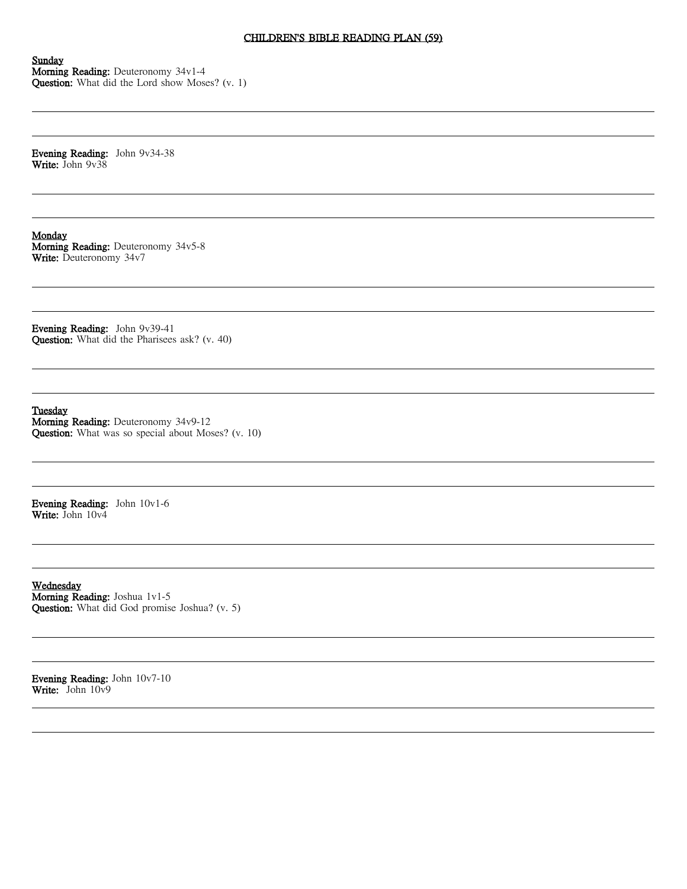#### CHILDREN'S BIBLE READING PLAN (59)

Sunday Morning Reading: Deuteronomy 34v1-4 Question: What did the Lord show Moses? (v. 1)

Evening Reading: John 9v34-38 Write: John 9v38

Monday Morning Reading: Deuteronomy 34v5-8 Write: Deuteronomy 34v7

Evening Reading: John 9v39-41 Question: What did the Pharisees ask? (v. 40)

Tuesday Morning Reading: Deuteronomy 34v9-12 Question: What was so special about Moses? (v. 10)

Evening Reading: John 10v1-6 Write: John 10v4

Wednesday Morning Reading: Joshua 1v1-5 Question: What did God promise Joshua? (v. 5)

Evening Reading: John 10v7-10 Write: John 10v9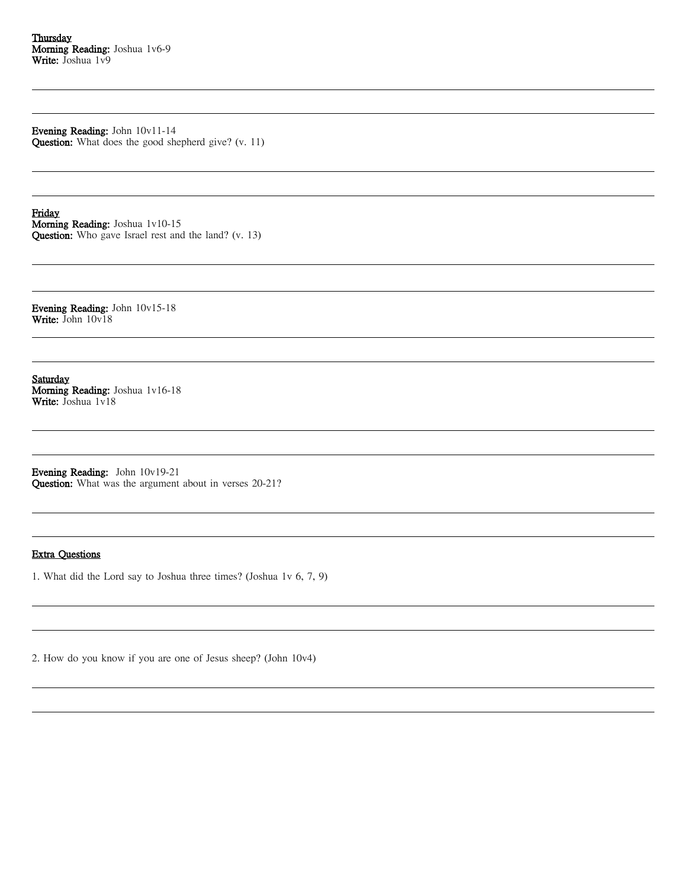Evening Reading: John 10v11-14 Question: What does the good shepherd give? (v. 11)

Friday Morning Reading: Joshua 1v10-15 Question: Who gave Israel rest and the land? (v. 13)

Evening Reading: John 10v15-18 Write: John 10v18

Saturday Morning Reading: Joshua 1v16-18 Write: Joshua 1v18

Evening Reading: John 10v19-21 Question: What was the argument about in verses 20-21?

#### Extra Questions

1. What did the Lord say to Joshua three times? (Joshua 1v 6, 7, 9)

2. How do you know if you are one of Jesus sheep? (John 10v4)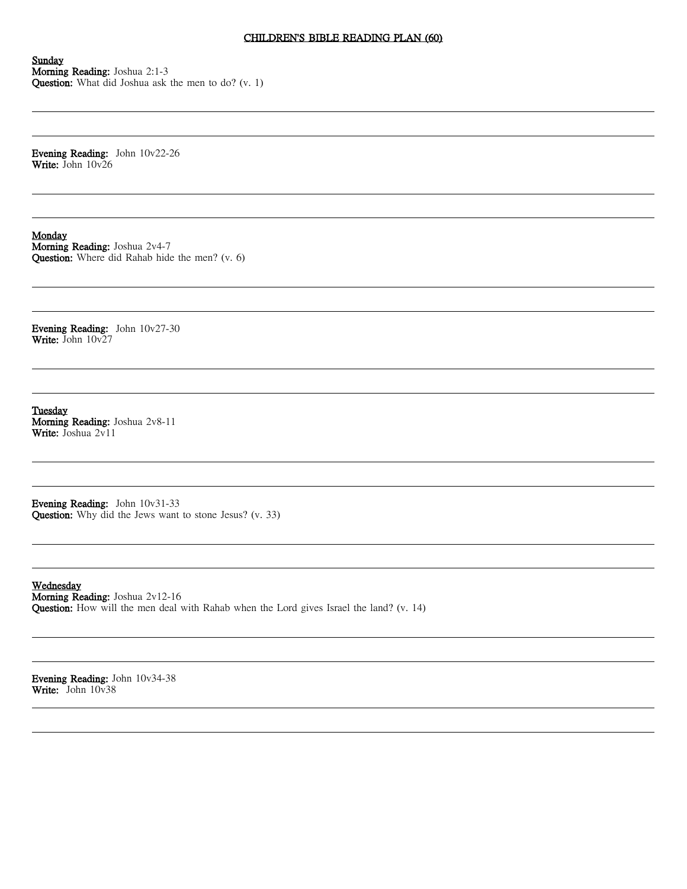# CHILDREN'S BIBLE READING PLAN (60)

Sunday Morning Reading: Joshua 2:1-3 Question: What did Joshua ask the men to do? (v. 1)

Evening Reading: John 10v22-26 Write: John 10v26

#### **Monday**

Morning Reading: Joshua 2v4-7 Question: Where did Rahab hide the men? (v. 6)

Evening Reading: John 10v27-30 Write: John 10v27

Tuesday Morning Reading: Joshua 2v8-11 Write: Joshua 2v11

Evening Reading: John 10v31-33 Question: Why did the Jews want to stone Jesus? (v. 33)

Wednesday Morning Reading: Joshua 2v12-16 Question: How will the men deal with Rahab when the Lord gives Israel the land? (v. 14)

Evening Reading: John 10v34-38 Write: John 10v38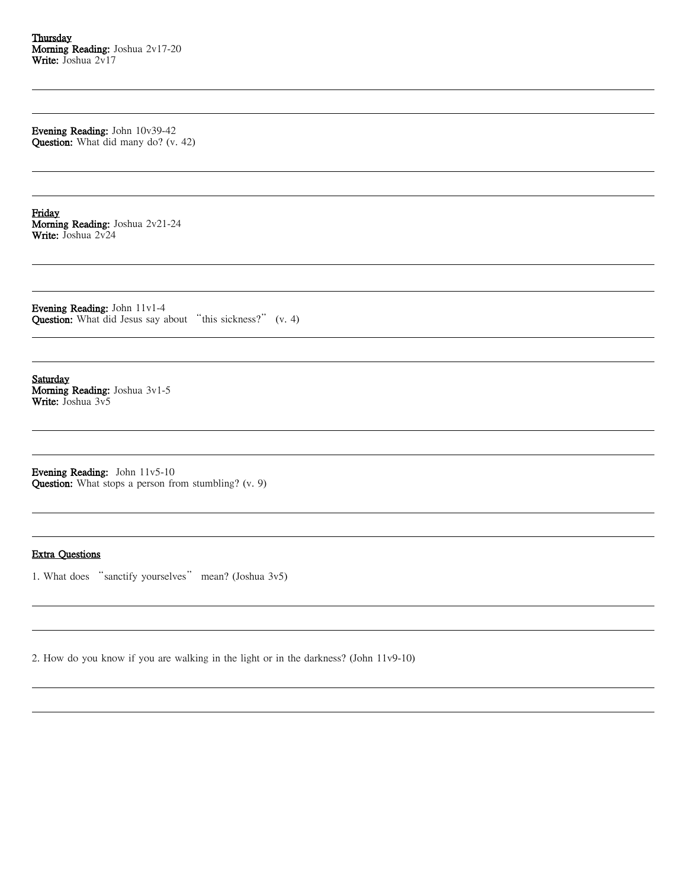Evening Reading: John 10v39-42 Question: What did many do? (v. 42)

Friday Morning Reading: Joshua 2v21-24 Write: Joshua 2v24

Evening Reading: John 11v1-4 **Question:** What did Jesus say about "this sickness?" (v. 4)

Saturday Morning Reading: Joshua 3v1-5 Write: Joshua 3v5

Evening Reading: John 11v5-10 Question: What stops a person from stumbling? (v. 9)

#### Extra Questions

1. What does "sanctify yourselves" mean? (Joshua 3v5)

2. How do you know if you are walking in the light or in the darkness? (John 11v9-10)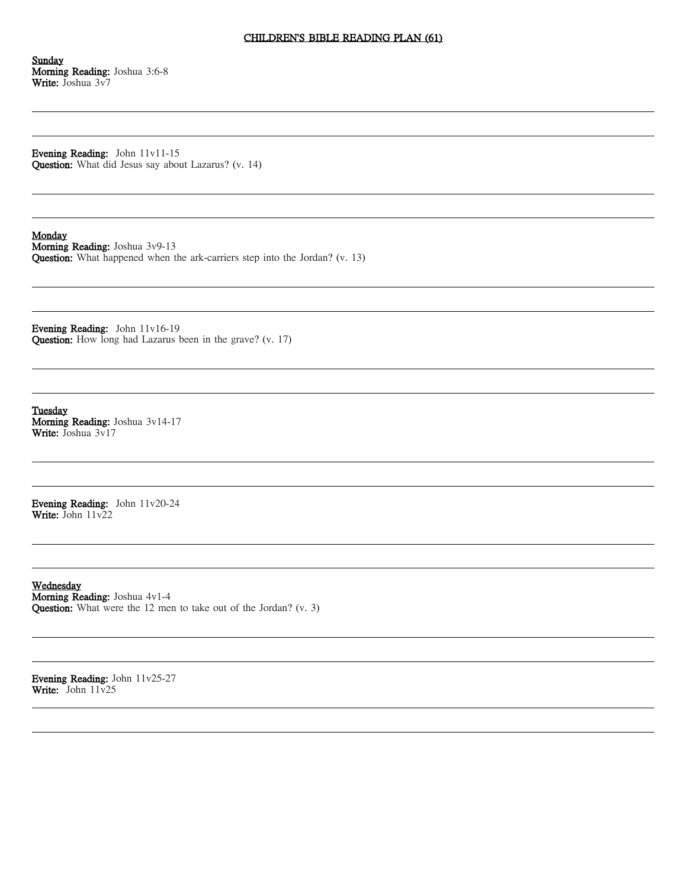#### CHILDREN'S BIBLE READING PLAN (61)

Sunday Morning Reading: Joshua 3:6-8 Write: Joshua 3v7

Evening Reading: John 11v11-15 Question: What did Jesus say about Lazarus? (v. 14)

Monday

Morning Reading: Joshua 3v9-13 Question: What happened when the ark-carriers step into the Jordan? (v. 13)

Evening Reading: John 11v16-19 Question: How long had Lazarus been in the grave? (v. 17)

Tuesday Morning Reading: Joshua 3v14-17 Write: Joshua 3v17

Evening Reading: John 11v20-24 Write: John 11v22

Wednesday Morning Reading: Joshua 4v1-4 Question: What were the 12 men to take out of the Jordan? (v. 3)

Evening Reading: John 11v25-27 Write: John 11v25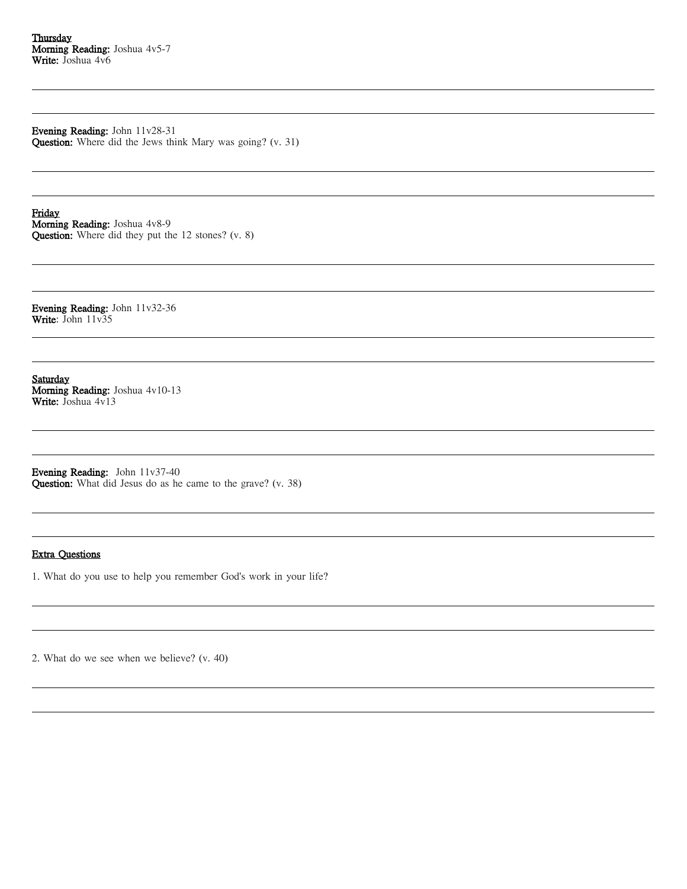Evening Reading: John 11v28-31 Question: Where did the Jews think Mary was going? (v. 31)

Friday Morning Reading: Joshua 4v8-9 Question: Where did they put the 12 stones? (v. 8)

Evening Reading: John 11v32-36 Write: John 11v35

Saturday Morning Reading: Joshua 4v10-13 Write: Joshua 4v13

Evening Reading: John 11v37-40 Question: What did Jesus do as he came to the grave? (v. 38)

#### Extra Questions

1. What do you use to help you remember God's work in your life?

2. What do we see when we believe? (v. 40)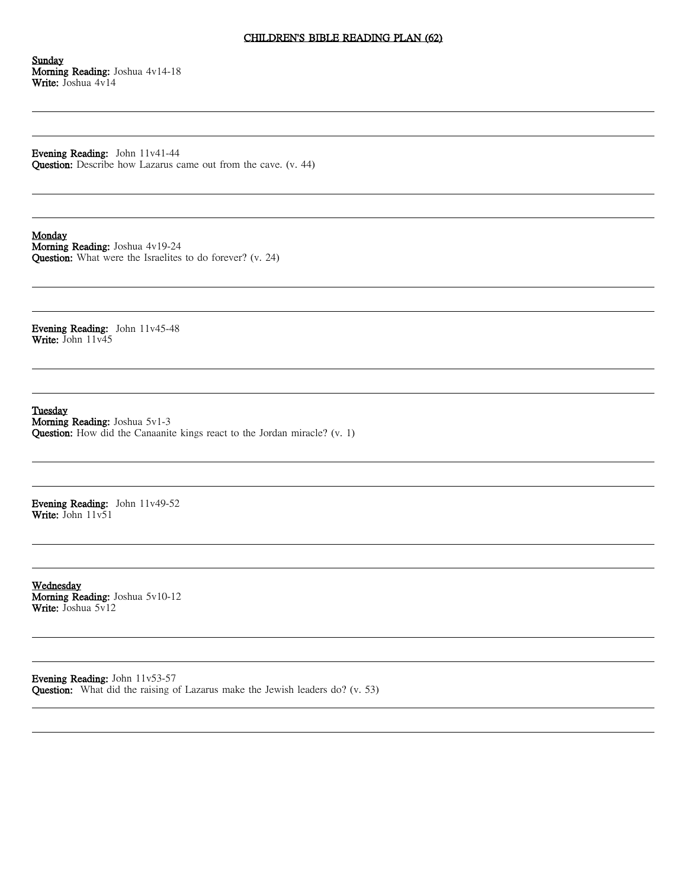## CHILDREN'S BIBLE READING PLAN (62)

Sunday Morning Reading: Joshua 4v14-18 Write: Joshua 4v14

Evening Reading: John 11v41-44 Question: Describe how Lazarus came out from the cave. (v. 44)

Monday

Morning Reading: Joshua 4v19-24 Question: What were the Israelites to do forever? (v. 24)

Evening Reading: John 11v45-48 Write: John 11v45

Tuesday Morning Reading: Joshua 5v1-3

Question: How did the Canaanite kings react to the Jordan miracle? (v. 1)

Evening Reading: John 11v49-52 Write: John 11v51

Wednesday Morning Reading: Joshua 5v10-12 Write: Joshua 5y12

Evening Reading: John 11v53-57 Question: What did the raising of Lazarus make the Jewish leaders do? (v. 53)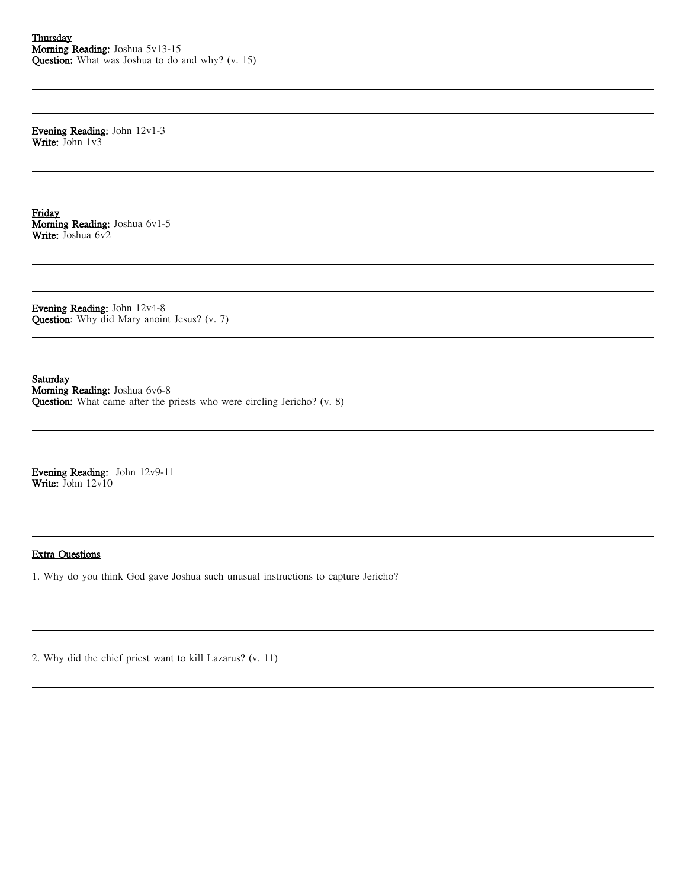Evening Reading: John 12v1-3 Write: John 1v3

Friday Morning Reading: Joshua 6v1-5 Write: Joshua 6v2

Evening Reading: John 12v4-8 Question: Why did Mary anoint Jesus? (v. 7)

Saturday

Morning Reading: Joshua 6v6-8 Question: What came after the priests who were circling Jericho? (v. 8)

Evening Reading: John 12v9-11 Write: John 12v10

## Extra Questions

1. Why do you think God gave Joshua such unusual instructions to capture Jericho?

2. Why did the chief priest want to kill Lazarus? (v. 11)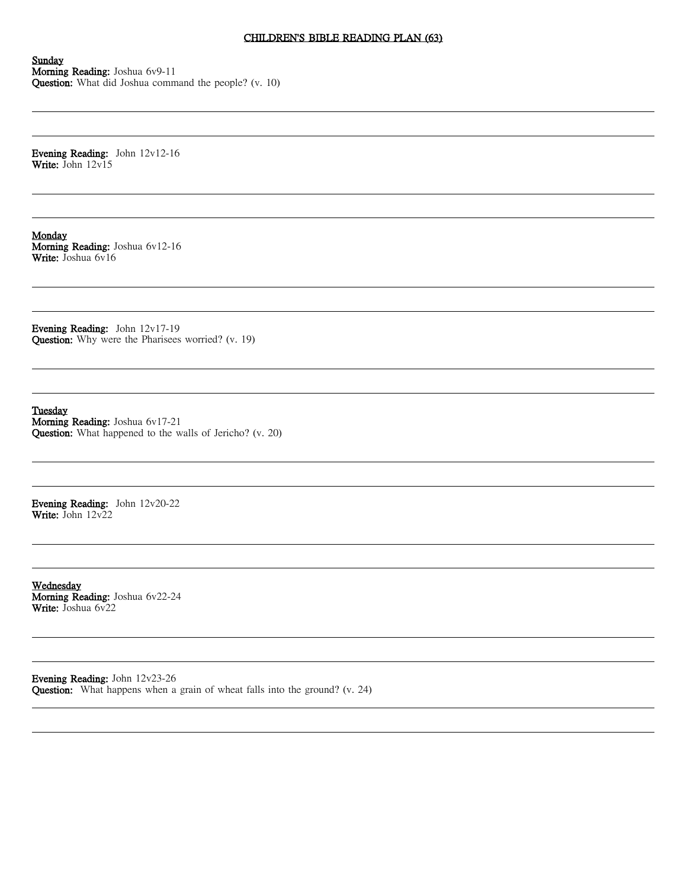### CHILDREN'S BIBLE READING PLAN (63)

Sunday Morning Reading: Joshua 6v9-11 Question: What did Joshua command the people? (v. 10)

Evening Reading: John 12v12-16 Write: John 12v15

**Monday** Morning Reading: Joshua 6v12-16 Write: Joshua 6v16

Evening Reading: John 12v17-19 Question: Why were the Pharisees worried? (v. 19)

Tuesday Morning Reading: Joshua 6v17-21 Question: What happened to the walls of Jericho? (v. 20)

Evening Reading: John 12v20-22 Write: John 12v22

Wednesday Morning Reading: Joshua 6v22-24 Write: Joshua 6y22

Evening Reading: John 12v23-26 Question: What happens when a grain of wheat falls into the ground? (v. 24)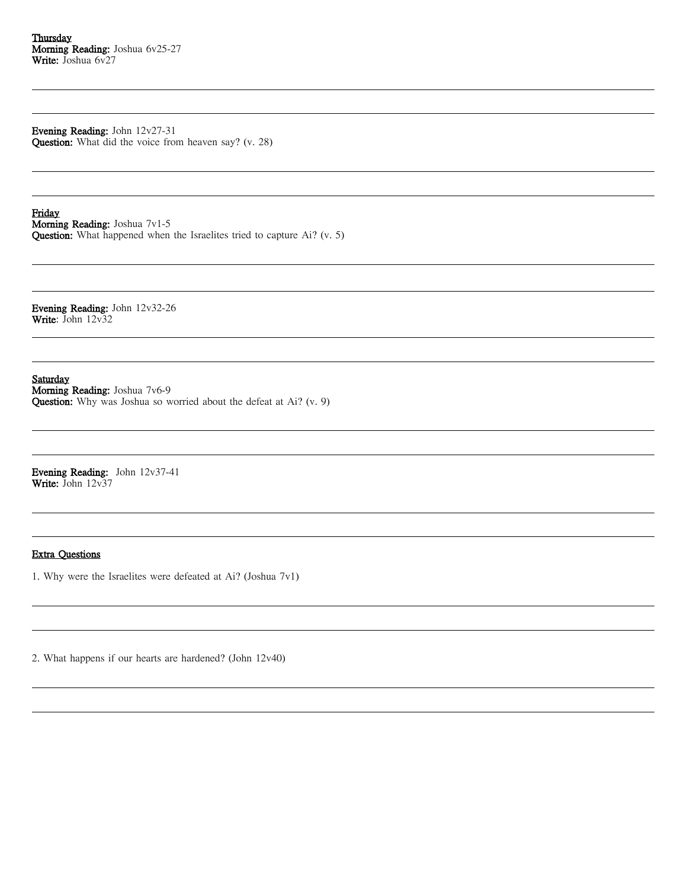Evening Reading: John 12v27-31 Question: What did the voice from heaven say? (v. 28)

Friday

Morning Reading: Joshua 7v1-5

Question: What happened when the Israelites tried to capture Ai? (v. 5)

Evening Reading: John 12v32-26 Write: John 12v32

Saturday

Morning Reading: Joshua 7v6-9 Question: Why was Joshua so worried about the defeat at Ai? (v. 9)

Evening Reading: John 12v37-41 Write: John 12v37

## Extra Questions

1. Why were the Israelites were defeated at Ai? (Joshua 7v1)

2. What happens if our hearts are hardened? (John 12v40)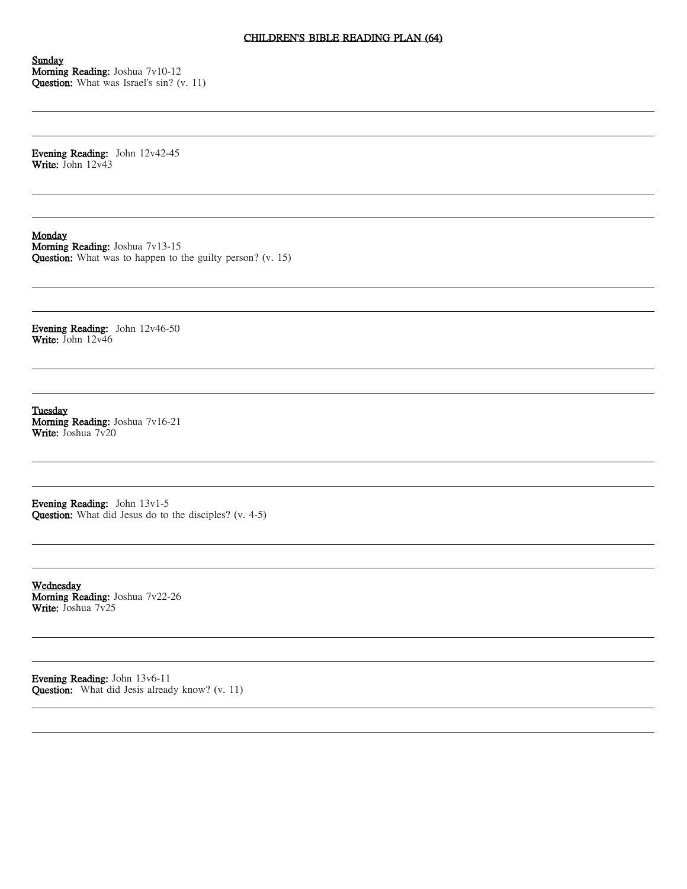# CHILDREN'S BIBLE READING PLAN (64)

Sunday Morning Reading: Joshua 7v10-12 Question: What was Israel's sin? (v. 11)

Evening Reading: John 12v42-45 Write: John 12v43

Monday

Morning Reading: Joshua 7v13-15 Question: What was to happen to the guilty person? (v. 15)

Evening Reading: John 12v46-50 Write: John 12v46

Tuesday Morning Reading: Joshua 7v16-21 Write: Joshua 7v20

Evening Reading: John 13v1-5 Question: What did Jesus do to the disciples? (v. 4-5)

Wednesday Morning Reading: Joshua 7v22-26 Write: Joshua 7y25

Evening Reading: John 13v6-11 Question: What did Jesis already know? (v. 11)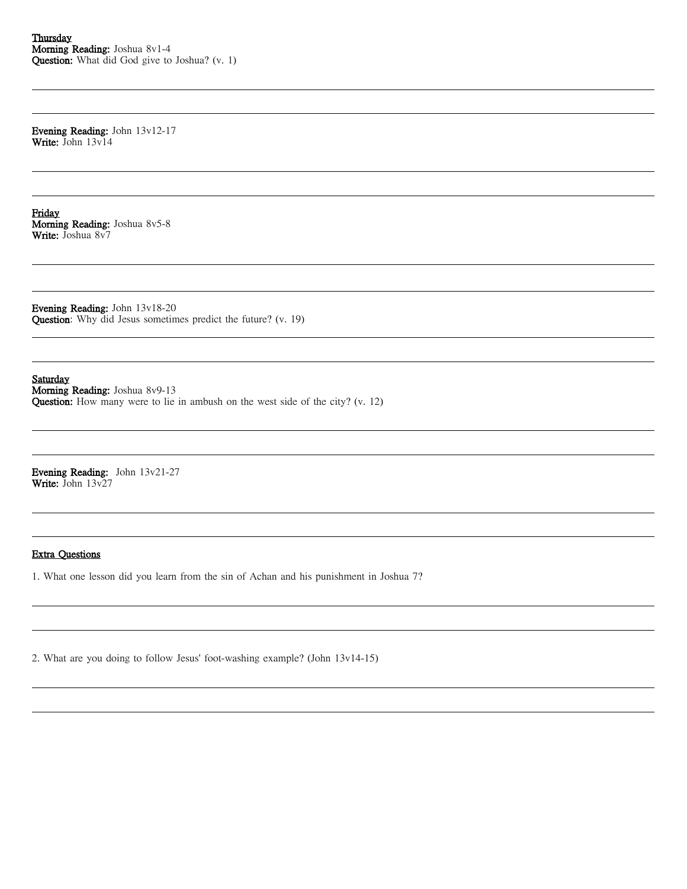Evening Reading: John 13v12-17 Write: John 13v14

Friday Morning Reading: Joshua 8v5-8 Write: Joshua 8v7

Evening Reading: John 13v18-20 Question: Why did Jesus sometimes predict the future? (v. 19)

Saturday

Morning Reading: Joshua 8v9-13 Question: How many were to lie in ambush on the west side of the city? (v. 12)

Evening Reading: John 13v21-27 Write: John 13v27

## Extra Questions

1. What one lesson did you learn from the sin of Achan and his punishment in Joshua 7?

2. What are you doing to follow Jesus' foot-washing example? (John 13v14-15)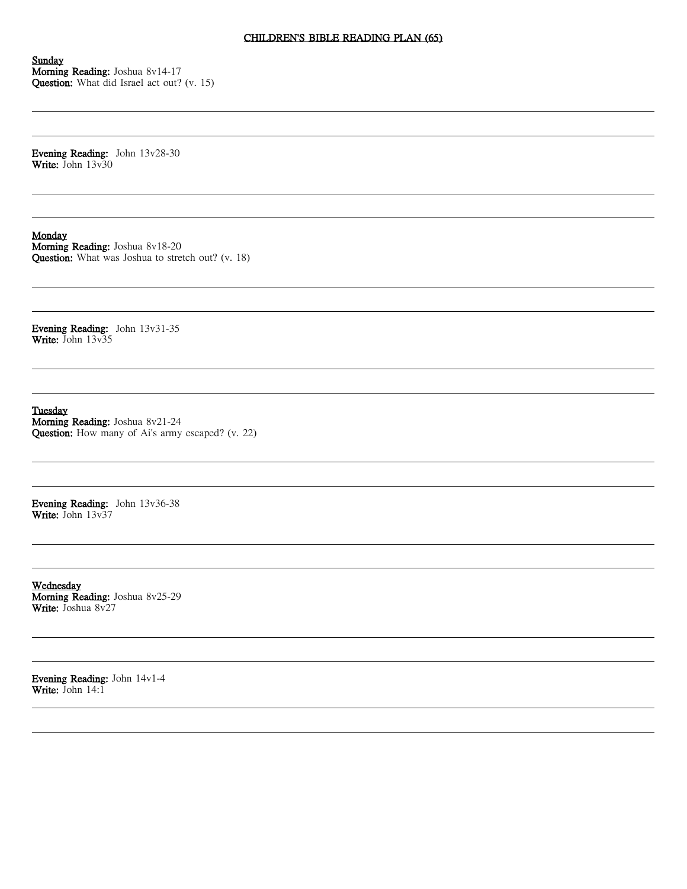# CHILDREN'S BIBLE READING PLAN (65)

Sunday Morning Reading: Joshua 8v14-17 Question: What did Israel act out? (v. 15)

Evening Reading: John 13v28-30 Write: John 13v30

Monday

Morning Reading: Joshua 8v18-20 Question: What was Joshua to stretch out? (v. 18)

Evening Reading: John 13v31-35 Write: John 13v35

Tuesday Morning Reading: Joshua 8v21-24 Question: How many of Ai's army escaped? (v. 22)

Evening Reading: John 13v36-38 Write: John 13v37

Wednesday Morning Reading: Joshua 8v25-29 Write: Joshua 8v27

Evening Reading: John 14v1-4 Write: John  $14:1$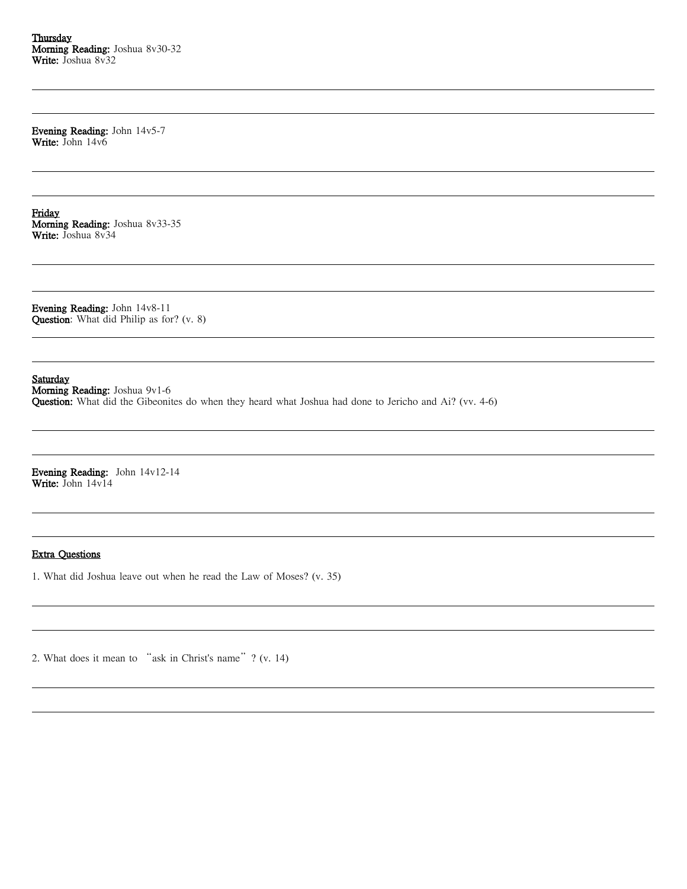**Thursday** Morning Reading: Joshua 8v30-32 Write: Joshua 8v32

Evening Reading: John 14v5-7 Write: John 14v6

Friday Morning Reading: Joshua 8v33-35 Write: Joshua 8v34

Evening Reading: John 14v8-11 Question: What did Philip as for? (v. 8)

Saturday

Morning Reading: Joshua 9v1-6 Question: What did the Gibeonites do when they heard what Joshua had done to Jericho and Ai? (vv. 4-6)

Evening Reading: John 14v12-14 Write: John 14v14

## Extra Questions

1. What did Joshua leave out when he read the Law of Moses? (v. 35)

2. What does it mean to "ask in Christ's name"? (v. 14)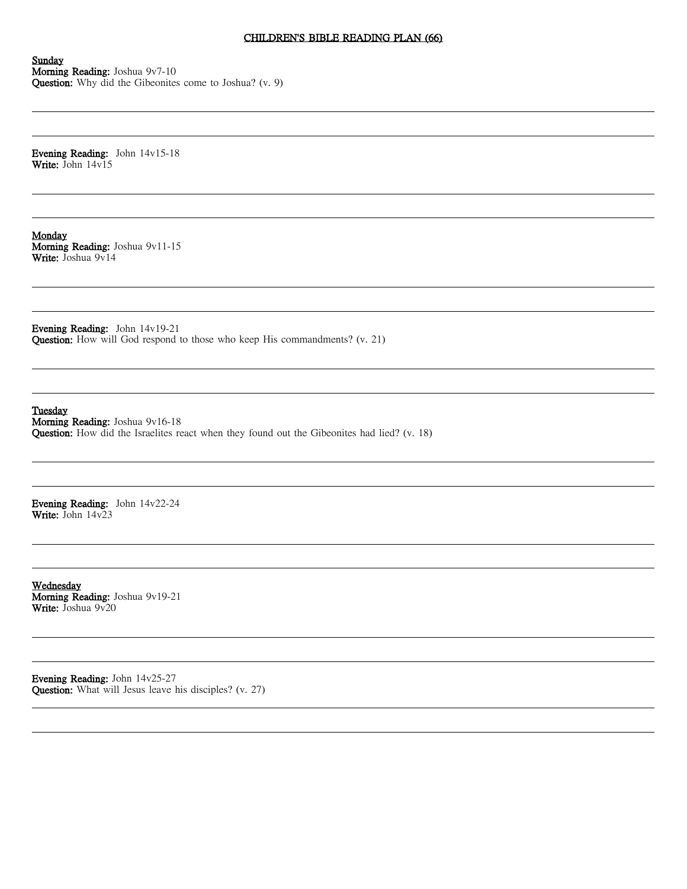### CHILDREN'S BIBLE READING PLAN (66)

Sunday Morning Reading: Joshua 9v7-10 Question: Why did the Gibeonites come to Joshua? (v. 9)

Evening Reading: John 14v15-18 Write: John 14v15

**Monday** Morning Reading: Joshua 9v11-15 Write: Joshua 9v14

Evening Reading: John 14v19-21 Question: How will God respond to those who keep His commandments? (v. 21)

Tuesday

Morning Reading: Joshua 9v16-18 Question: How did the Israelites react when they found out the Gibeonites had lied? (v. 18)

Evening Reading: John 14v22-24 Write: John 14v23

Wednesday Morning Reading: Joshua 9v19-21 Write: Joshua 9v20

Evening Reading: John 14v25-27 Question: What will Jesus leave his disciples? (v. 27)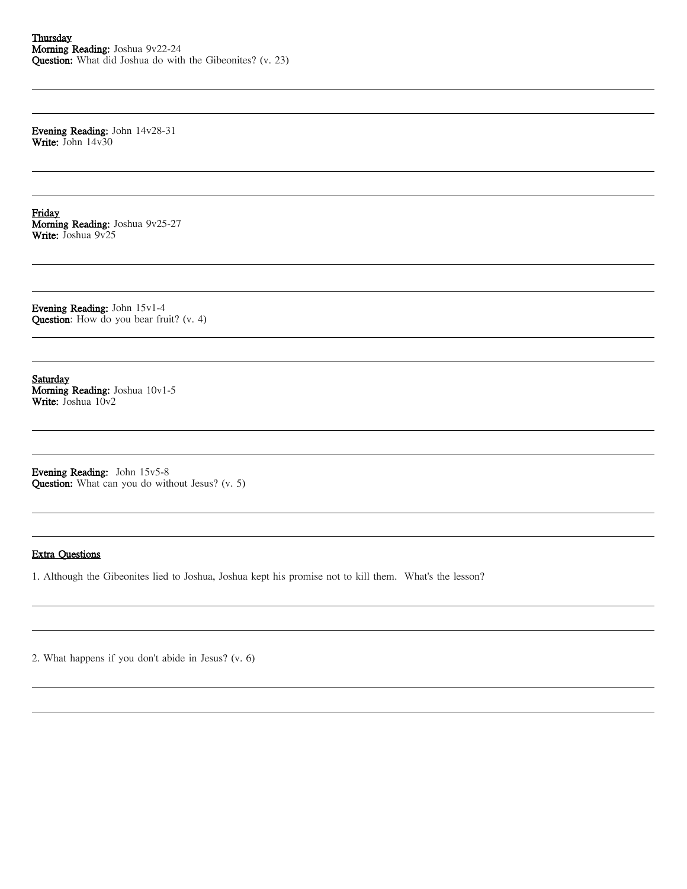Evening Reading: John 14v28-31 Write: John 14v30

Friday Morning Reading: Joshua 9v25-27 Write: Joshua 9v25

Evening Reading: John 15v1-4 Question: How do you bear fruit? (v. 4)

Saturday Morning Reading: Joshua 10v1-5 Write: Joshua 10v2

Evening Reading: John 15v5-8 Question: What can you do without Jesus? (v. 5)

#### Extra Questions

1. Although the Gibeonites lied to Joshua, Joshua kept his promise not to kill them. What's the lesson?

2. What happens if you don't abide in Jesus? (v. 6)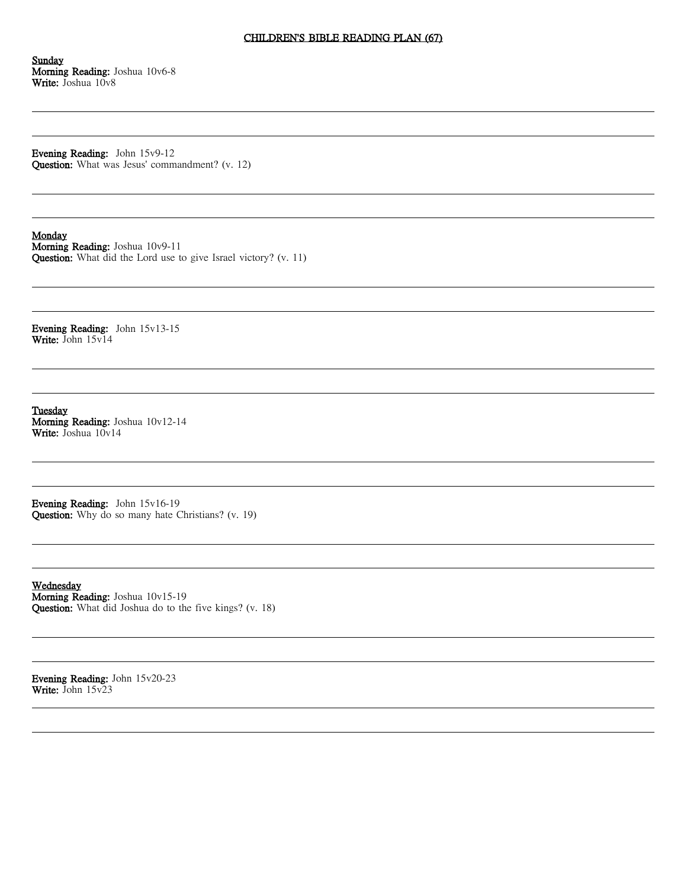# CHILDREN'S BIBLE READING PLAN (67)

Sunday Morning Reading: Joshua 10v6-8 Write: Joshua 10v8

Evening Reading: John 15v9-12 Question: What was Jesus' commandment? (v. 12)

#### Monday

Morning Reading: Joshua 10v9-11 Question: What did the Lord use to give Israel victory? (v. 11)

Evening Reading: John 15v13-15 Write: John 15v14

Tuesday Morning Reading: Joshua 10v12-14 Write: Joshua 10v14

Evening Reading: John 15v16-19 Question: Why do so many hate Christians? (v. 19)

Wednesday Morning Reading: Joshua 10v15-19 Question: What did Joshua do to the five kings? (v. 18)

Evening Reading: John 15v20-23 Write: John 15v23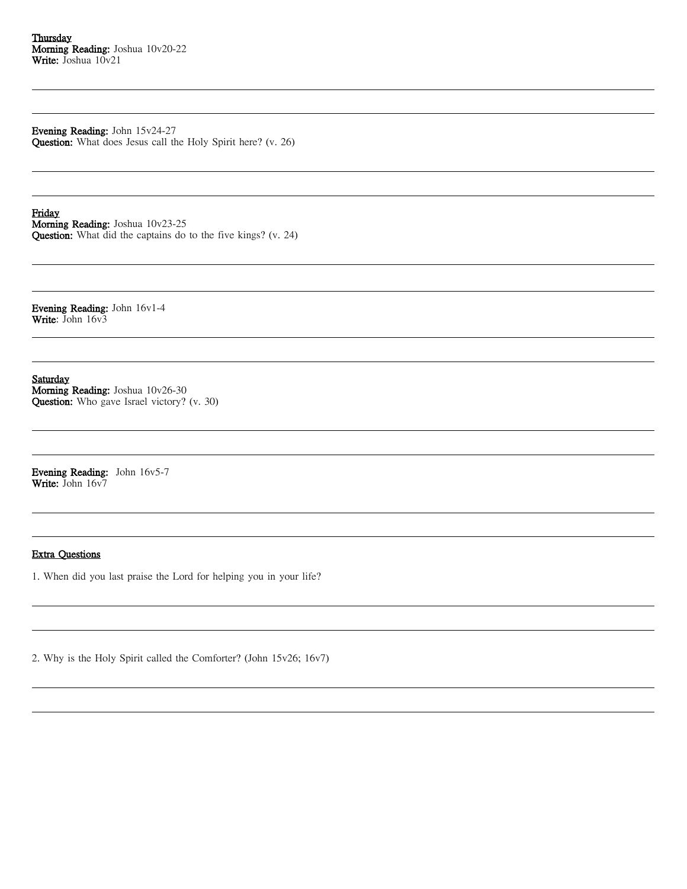Evening Reading: John 15v24-27 Question: What does Jesus call the Holy Spirit here? (v. 26)

Friday Morning Reading: Joshua 10v23-25 Question: What did the captains do to the five kings? (v. 24)

Evening Reading: John 16v1-4 Write: John 16v3

Saturday Morning Reading: Joshua 10v26-30 Question: Who gave Israel victory? (v. 30)

Evening Reading: John 16v5-7 Write: John 16v7

## Extra Questions

1. When did you last praise the Lord for helping you in your life?

2. Why is the Holy Spirit called the Comforter? (John 15v26; 16v7)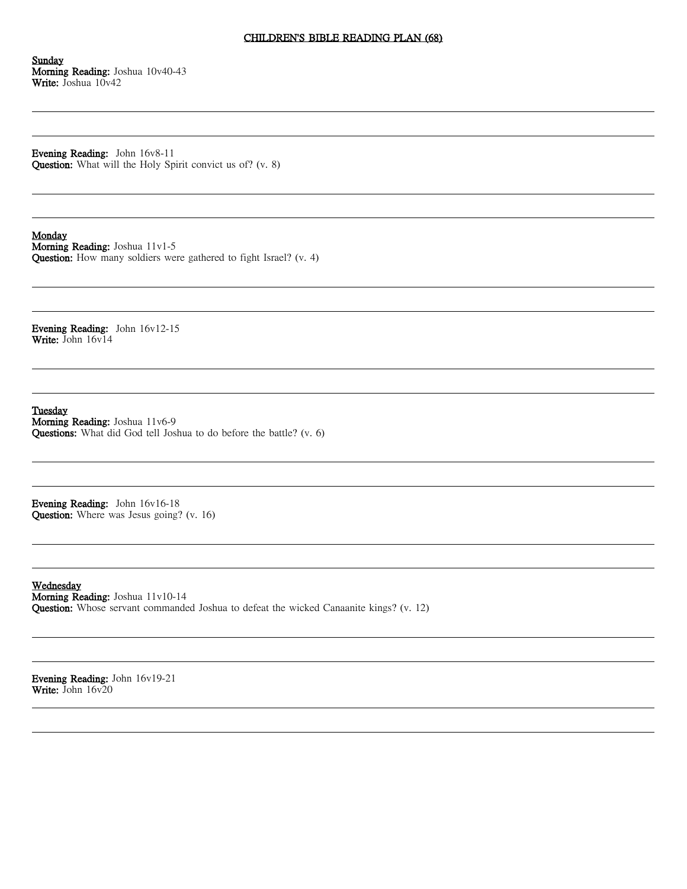#### CHILDREN'S BIBLE READING PLAN (68)

Sunday Morning Reading: Joshua 10v40-43 Write: Joshua 10v42

Evening Reading: John 16v8-11 Question: What will the Holy Spirit convict us of? (v. 8)

#### Monday

Morning Reading: Joshua 11v1-5 Question: How many soldiers were gathered to fight Israel? (v. 4)

Evening Reading: John 16v12-15 Write: John 16v14

Tuesday Morning Reading: Joshua 11v6-9 Questions: What did God tell Joshua to do before the battle? (v. 6)

Evening Reading: John 16v16-18 Question: Where was Jesus going? (v. 16)

Wednesday Morning Reading: Joshua 11v10-14 Question: Whose servant commanded Joshua to defeat the wicked Canaanite kings? (v. 12)

Evening Reading: John 16v19-21 Write: John 16v20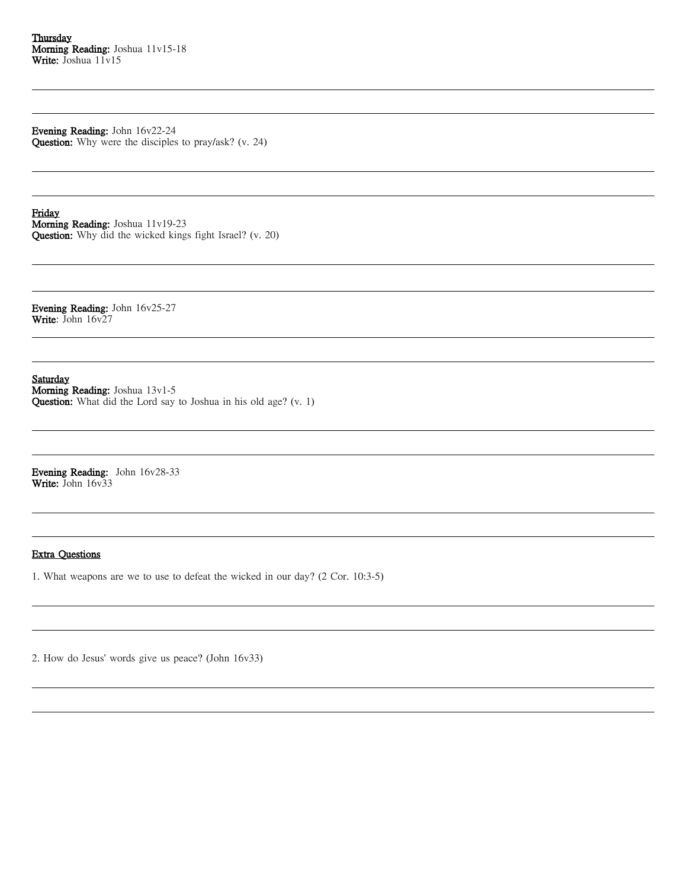Evening Reading: John 16v22-24 Question: Why were the disciples to pray/ask? (v. 24)

Friday Morning Reading: Joshua 11v19-23 Question: Why did the wicked kings fight Israel? (v. 20)

Evening Reading: John 16v25-27 Write: John 16v27

Saturday

Morning Reading: Joshua 13v1-5 Question: What did the Lord say to Joshua in his old age? (v. 1)

Evening Reading: John 16v28-33 Write: John 16v33

#### Extra Questions

1. What weapons are we to use to defeat the wicked in our day? (2 Cor. 10:3-5)

2. How do Jesus' words give us peace? (John 16v33)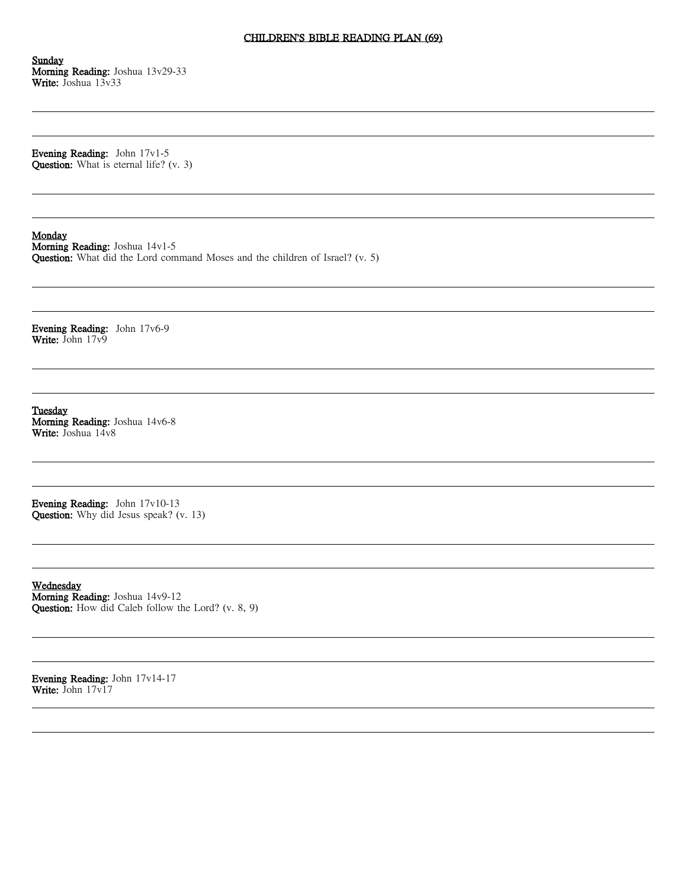# CHILDREN'S BIBLE READING PLAN (69)

Sunday Morning Reading: Joshua 13v29-33 Write: Joshua 13v33

Evening Reading: John 17v1-5 Question: What is eternal life? (v. 3)

#### **Monday**

Morning Reading: Joshua 14v1-5 Question: What did the Lord command Moses and the children of Israel? (v. 5)

Evening Reading: John 17v6-9 Write: John 17v9

Tuesday Morning Reading: Joshua 14v6-8 Write: Joshua 14v8

Evening Reading: John 17v10-13 Question: Why did Jesus speak? (v. 13)

Wednesday Morning Reading: Joshua 14v9-12 Question: How did Caleb follow the Lord? (v. 8, 9)

Evening Reading: John 17v14-17 Write: John 17v17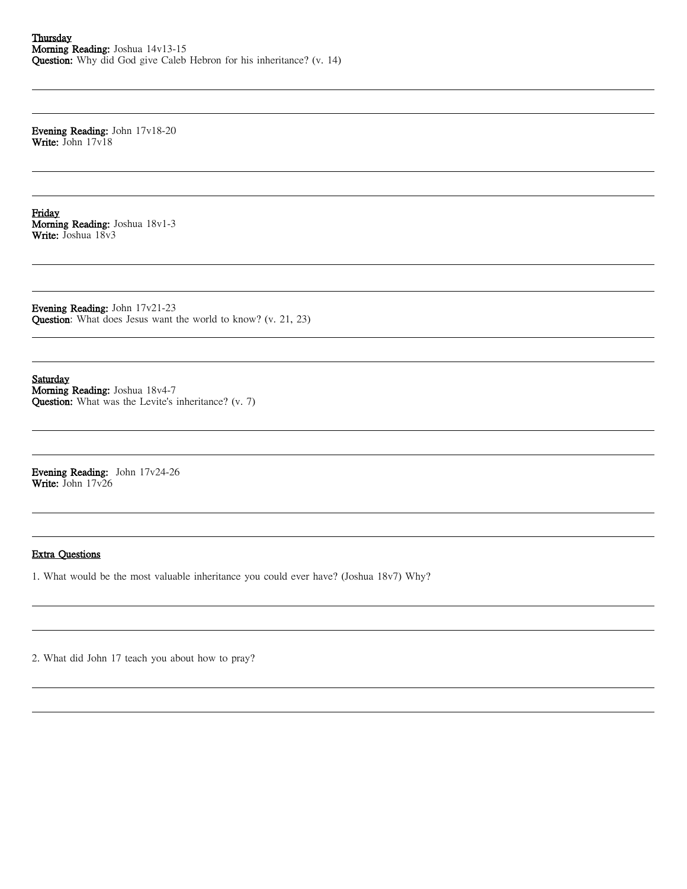Evening Reading: John 17v18-20 Write: John 17v18

Friday Morning Reading: Joshua 18v1-3 Write: Joshua 18v3

Evening Reading: John 17v21-23 Question: What does Jesus want the world to know? (v. 21, 23)

Saturday Morning Reading: Joshua 18v4-7 Question: What was the Levite's inheritance? (v. 7)

Evening Reading: John 17v24-26 Write: John 17v26

## Extra Questions

1. What would be the most valuable inheritance you could ever have? (Joshua 18v7) Why?

2. What did John 17 teach you about how to pray?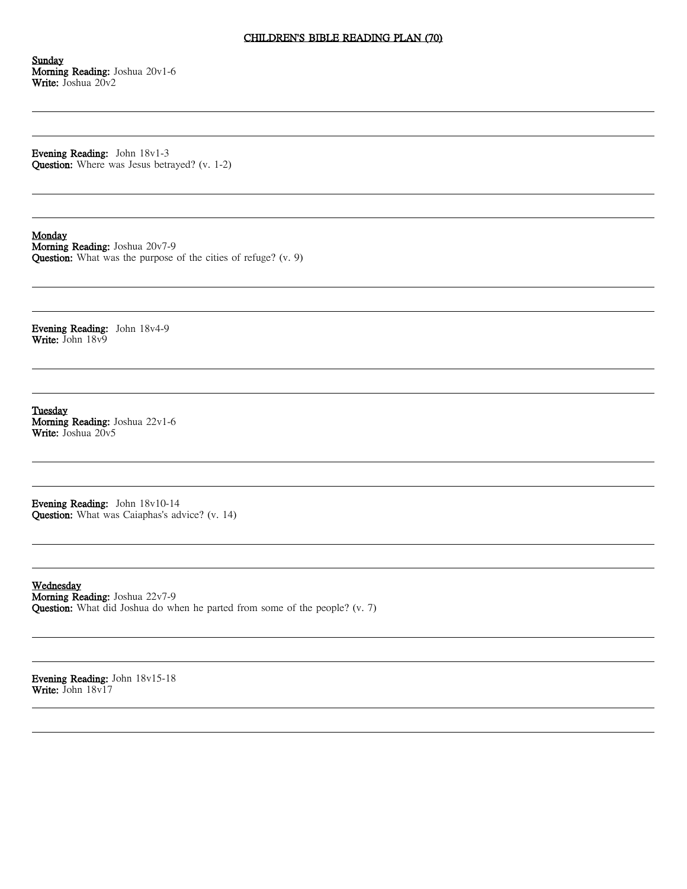# CHILDREN'S BIBLE READING PLAN (70)

Sunday Morning Reading: Joshua 20v1-6 Write: Joshua 20v2

Evening Reading: John 18v1-3 Question: Where was Jesus betrayed? (v. 1-2)

#### **Monday**

Morning Reading: Joshua 20v7-9 Question: What was the purpose of the cities of refuge? (v. 9)

Evening Reading: John 18v4-9 Write: John 18v9

Tuesday Morning Reading: Joshua 22v1-6 Write: Joshua 20v5

Evening Reading: John 18v10-14 Question: What was Caiaphas's advice? (v. 14)

Wednesday Morning Reading: Joshua 22v7-9 Question: What did Joshua do when he parted from some of the people? (v. 7)

Evening Reading: John 18v15-18 Write: John 18v17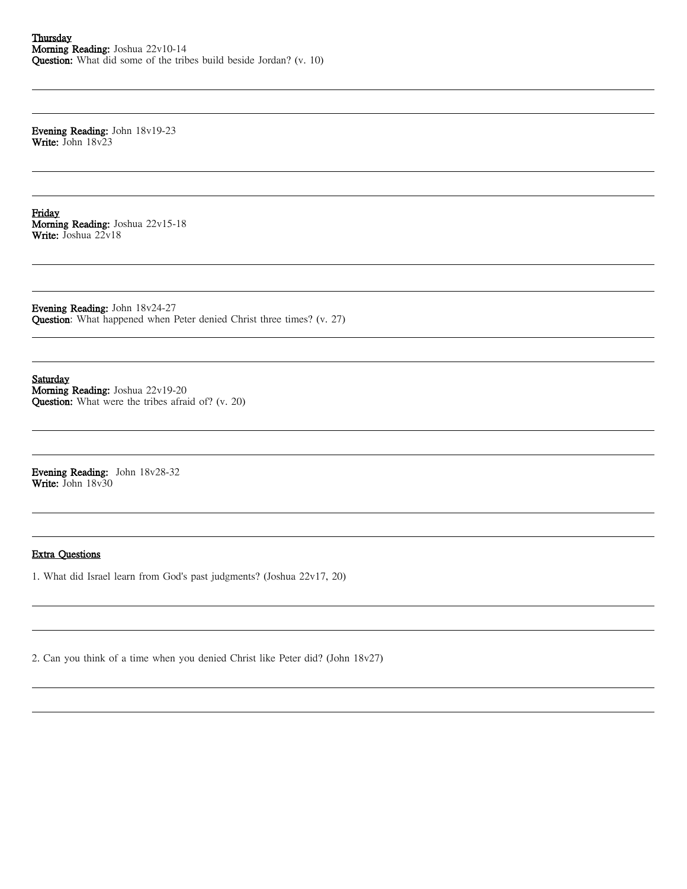Evening Reading: John 18v19-23 Write: John 18v23

Friday Morning Reading: Joshua 22v15-18 Write: Joshua 22v18

Evening Reading: John 18v24-27 Question: What happened when Peter denied Christ three times? (v. 27)

Saturday Morning Reading: Joshua 22v19-20 Question: What were the tribes afraid of? (v. 20)

Evening Reading: John 18v28-32 Write: John 18v30

## Extra Questions

1. What did Israel learn from God's past judgments? (Joshua 22v17, 20)

2. Can you think of a time when you denied Christ like Peter did? (John 18v27)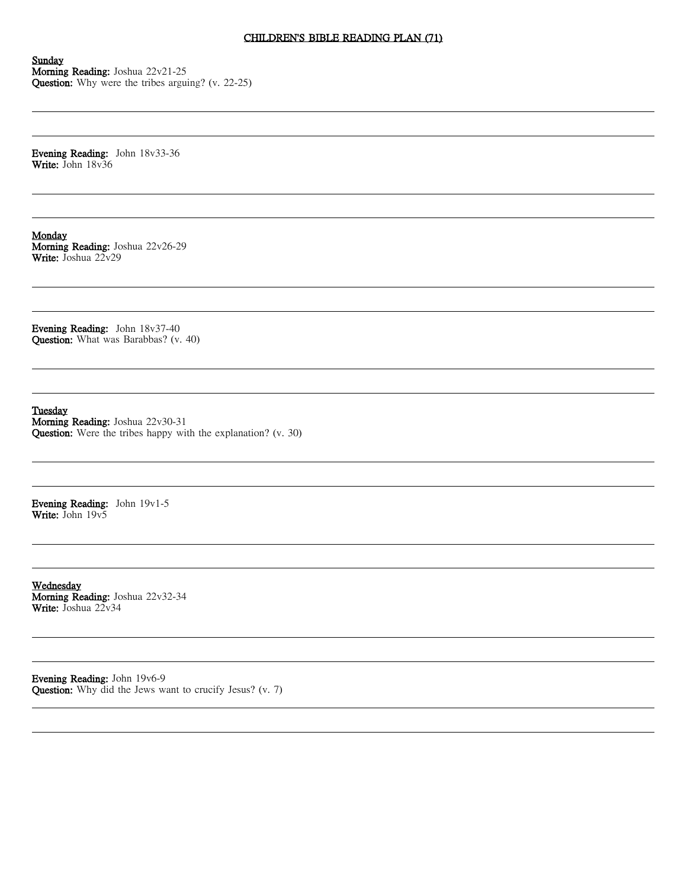# CHILDREN'S BIBLE READING PLAN (71)

Sunday Morning Reading: Joshua 22v21-25 Question: Why were the tribes arguing? (v. 22-25)

Evening Reading: John 18v33-36 Write: John 18v36

Monday Morning Reading: Joshua 22v26-29 Write: Joshua 22v29

Evening Reading: John 18v37-40 Question: What was Barabbas? (v. 40)

Tuesday

Morning Reading: Joshua 22v30-31 Question: Were the tribes happy with the explanation? (v. 30)

Evening Reading: John 19v1-5 Write: John 19v5

Wednesday Morning Reading: Joshua 22v32-34 Write: Joshua 22v34

Evening Reading: John 19v6-9 Question: Why did the Jews want to crucify Jesus? (v. 7)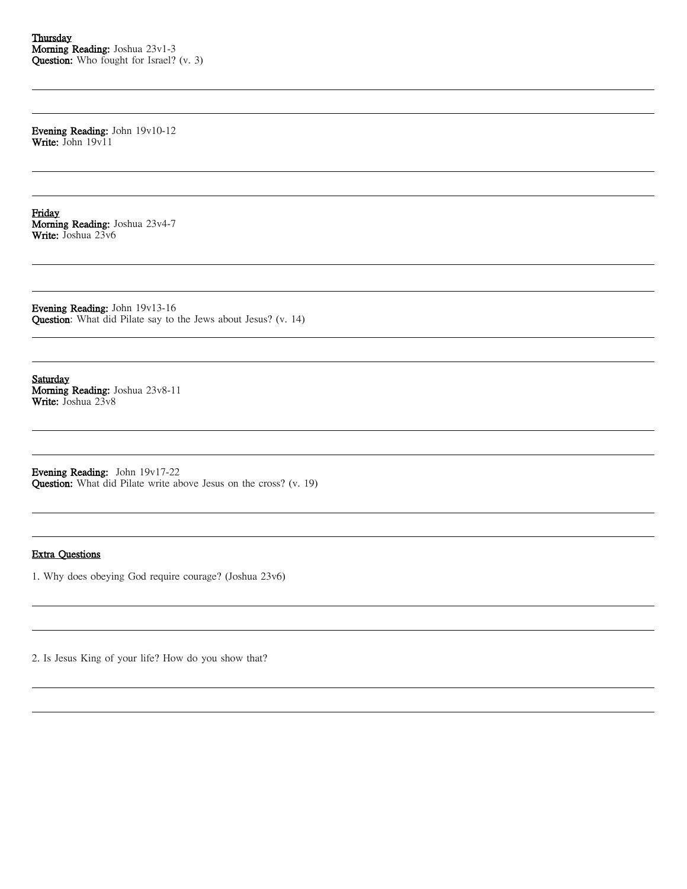Evening Reading: John 19v10-12 Write: John 19v11

Friday Morning Reading: Joshua 23v4-7 Write: Joshua 23v6

Evening Reading: John 19v13-16 Question: What did Pilate say to the Jews about Jesus? (v. 14)

Saturday Morning Reading: Joshua 23v8-11 Write: Joshua 23v8

Evening Reading: John 19v17-22 Question: What did Pilate write above Jesus on the cross? (v. 19)

### Extra Questions

1. Why does obeying God require courage? (Joshua 23v6)

2. Is Jesus King of your life? How do you show that?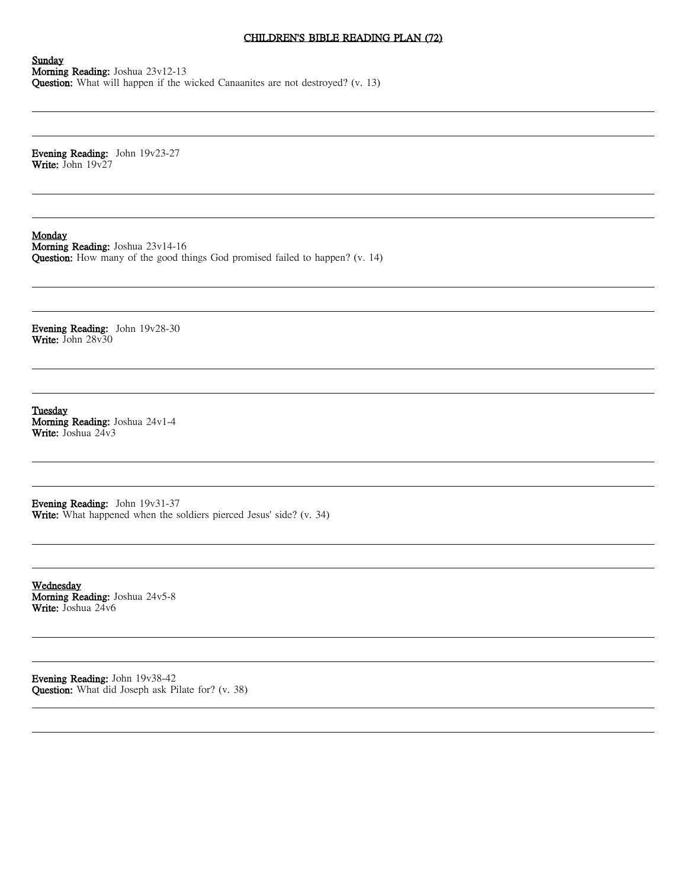# CHILDREN'S BIBLE READING PLAN (72)

Sunday Morning Reading: Joshua 23v12-13 Question: What will happen if the wicked Canaanites are not destroyed? (v. 13)

Evening Reading: John 19v23-27 Write: John 19v27

**Monday** 

Morning Reading: Joshua 23v14-16 Question: How many of the good things God promised failed to happen? (v. 14)

Evening Reading: John 19v28-30 Write: John 28v30

Tuesday Morning Reading: Joshua 24v1-4 Write: Joshua 24v3

Evening Reading: John 19v31-37 Write: What happened when the soldiers pierced Jesus' side? (v. 34)

Wednesday Morning Reading: Joshua 24v5-8 Write: Joshua 24v6

Evening Reading: John 19v38-42 Question: What did Joseph ask Pilate for? (v. 38)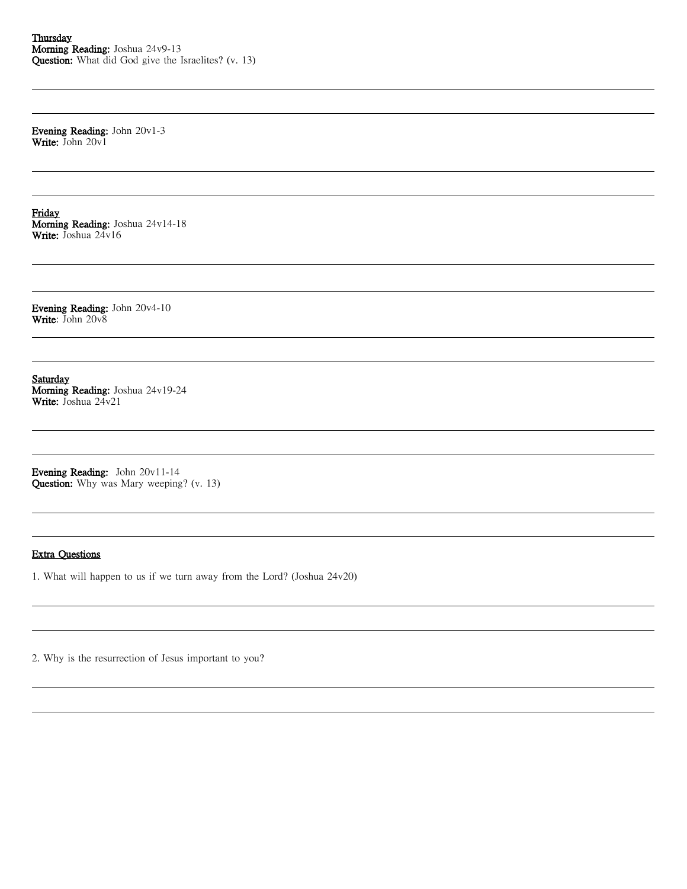Evening Reading: John 20v1-3 Write: John 20v1

Friday Morning Reading: Joshua 24v14-18 Write: Joshua 24v16

Evening Reading: John 20v4-10 Write: John 20v8

Saturday Morning Reading: Joshua 24v19-24 Write: Joshua 24v21

Evening Reading: John 20v11-14 Question: Why was Mary weeping? (v. 13)

### Extra Questions

1. What will happen to us if we turn away from the Lord? (Joshua 24v20)

2. Why is the resurrection of Jesus important to you?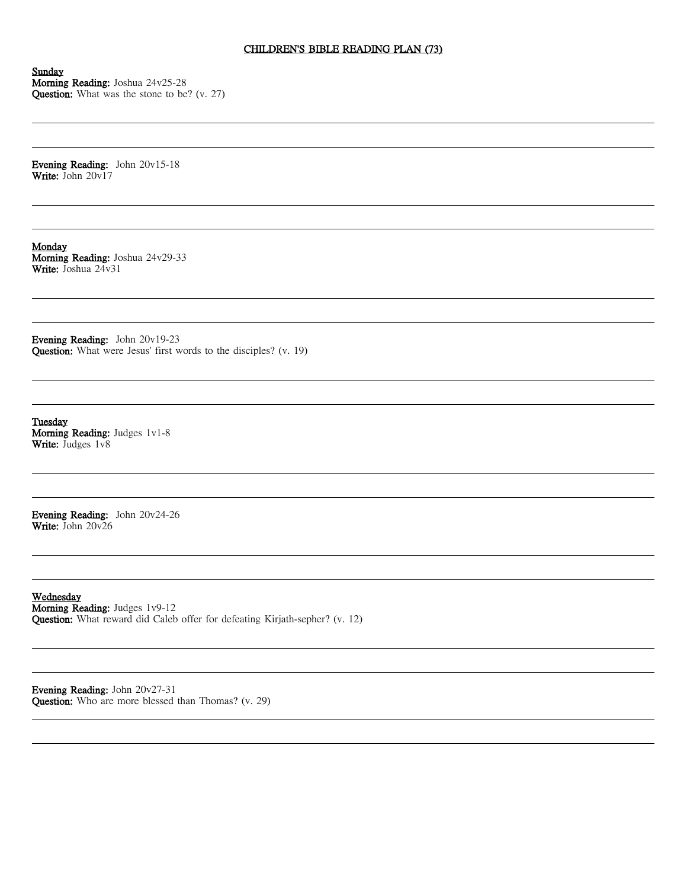# CHILDREN'S BIBLE READING PLAN (73)

Sunday Morning Reading: Joshua 24v25-28 Question: What was the stone to be? (v. 27)

Evening Reading: John 20v15-18 Write: John 20v17

Monday Morning Reading: Joshua 24v29-33 Write: Joshua 24v31

Evening Reading: John 20v19-23 Question: What were Jesus' first words to the disciples? (v. 19)

**Tuesday** Morning Reading: Judges 1v1-8 Write: Judges  $1v8$ 

Evening Reading: John 20v24-26 Write: John 20v26

Wednesday Morning Reading: Judges 1v9-12 Question: What reward did Caleb offer for defeating Kirjath-sepher? (v. 12)

Evening Reading: John 20v27-31 Question: Who are more blessed than Thomas? (v. 29)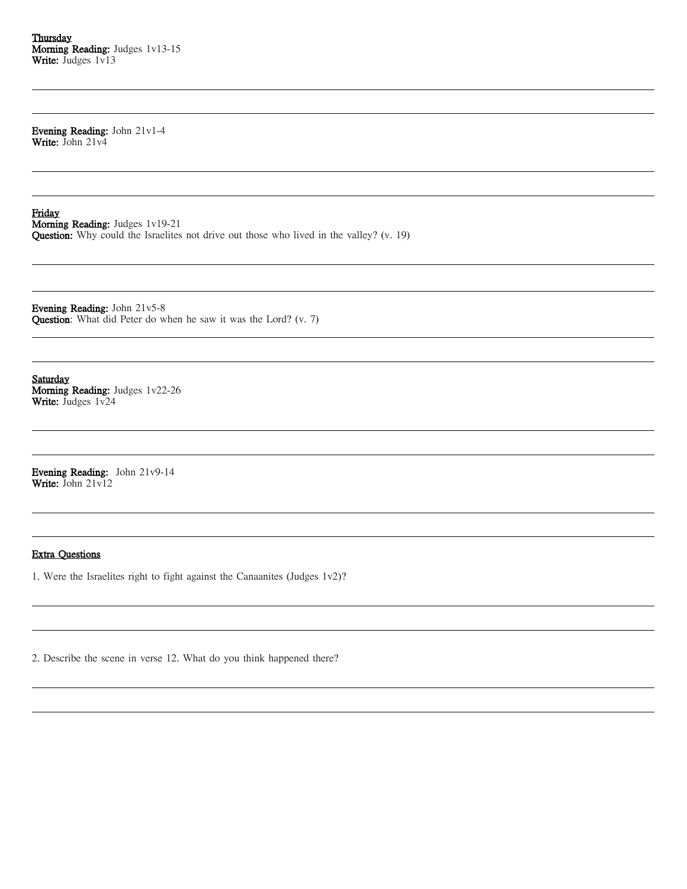**Thursday** Morning Reading: Judges 1v13-15 Write: Judges 1v13

Evening Reading: John 21v1-4 Write: John 21v4

Friday Morning Reading: Judges 1v19-21 Question: Why could the Israelites not drive out those who lived in the valley? (v. 19)

Evening Reading: John 21v5-8 Question: What did Peter do when he saw it was the Lord? (v. 7)

Saturday Morning Reading: Judges 1v22-26 Write: Judges 1v24

Evening Reading: John 21v9-14 Write: John 21v12

### Extra Questions

1. Were the Israelites right to fight against the Canaanites (Judges 1v2)?

2. Describe the scene in verse 12. What do you think happened there?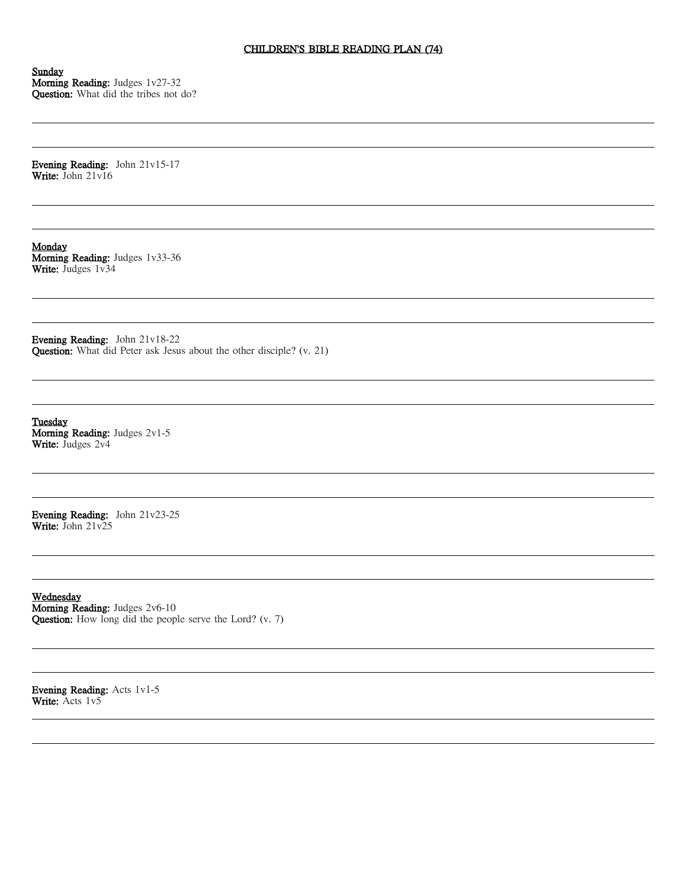# CHILDREN'S BIBLE READING PLAN (74)

Sunday Morning Reading: Judges 1v27-32 Question: What did the tribes not do?

Evening Reading: John 21v15-17 Write: John 21v16

Monday Morning Reading: Judges 1v33-36 Write: Judges 1v34

Evening Reading: John 21v18-22 Question: What did Peter ask Jesus about the other disciple? (v. 21)

**Tuesday** Morning Reading: Judges 2v1-5 Write: Judges 2v4

Evening Reading: John 21v23-25 Write: John 21v25

Wednesday Morning Reading: Judges 2v6-10 Question: How long did the people serve the Lord? (v. 7)

Evening Reading: Acts 1v1-5 Write: Acts 1v5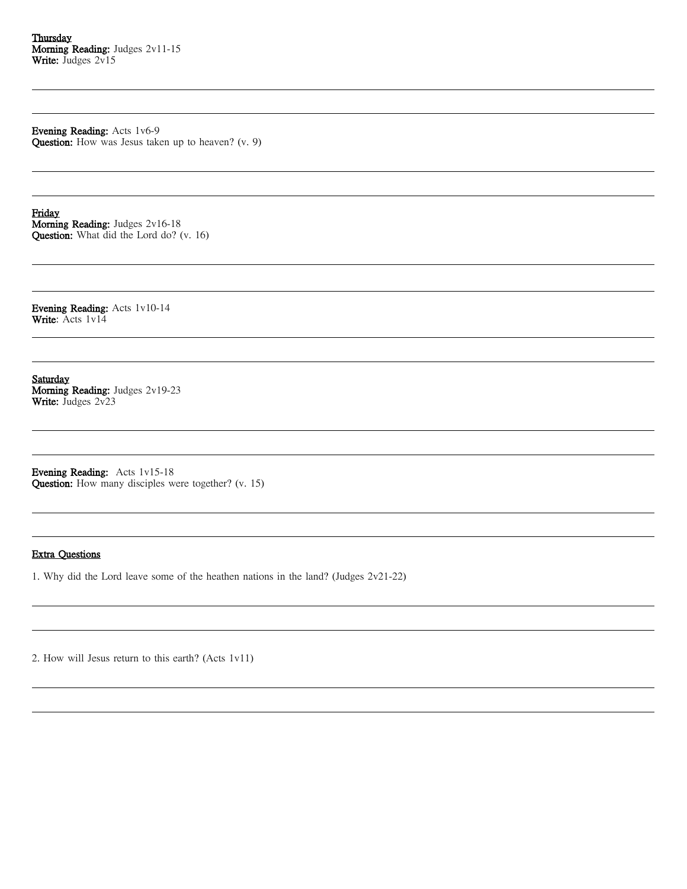Evening Reading: Acts 1v6-9 Question: How was Jesus taken up to heaven? (v. 9)

Friday Morning Reading: Judges 2v16-18 Question: What did the Lord do? (v. 16)

Evening Reading: Acts 1v10-14 Write: Acts 1v14

Saturday Morning Reading: Judges 2v19-23 Write: Judges 2v23

Evening Reading: Acts 1v15-18 Question: How many disciples were together? (v. 15)

# Extra Questions

1. Why did the Lord leave some of the heathen nations in the land? (Judges 2v21-22)

2. How will Jesus return to this earth? (Acts 1v11)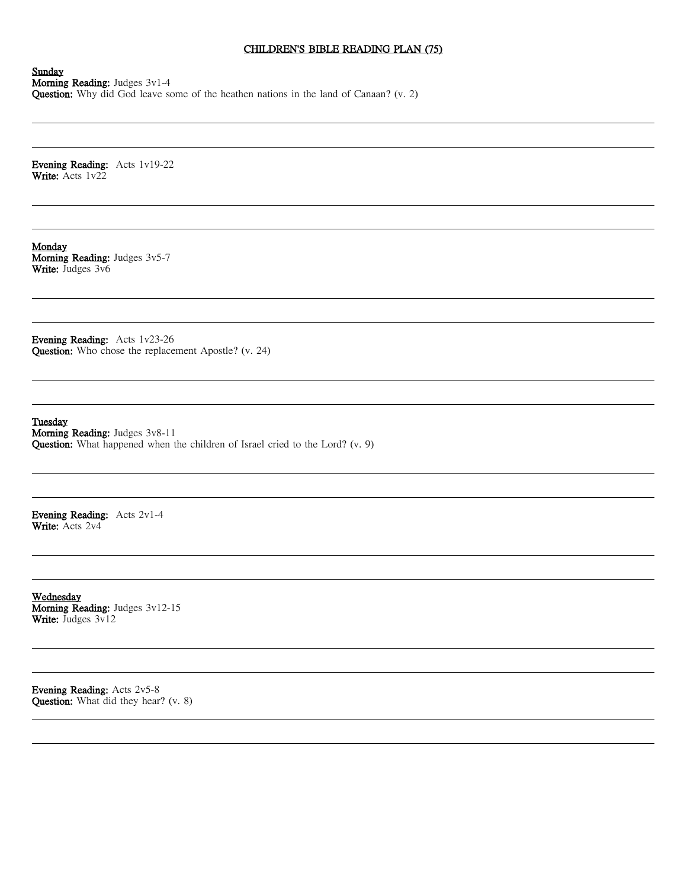# CHILDREN'S BIBLE READING PLAN (75)

Sunday Morning Reading: Judges 3v1-4 Question: Why did God leave some of the heathen nations in the land of Canaan? (v. 2)

Evening Reading: Acts 1v19-22 Write: Acts 1v22

Monday Morning Reading: Judges 3v5-7 Write: Judges 3v6

Evening Reading: Acts 1v23-26 Question: Who chose the replacement Apostle? (v. 24)

**Tuesday** Morning Reading: Judges 3v8-11 Question: What happened when the children of Israel cried to the Lord? (v. 9)

Evening Reading: Acts 2v1-4 Write: Acts 2v4

Wednesday Morning Reading: Judges 3v12-15 Write: Judges 3v12

Evening Reading: Acts 2v5-8 Question: What did they hear? (v. 8)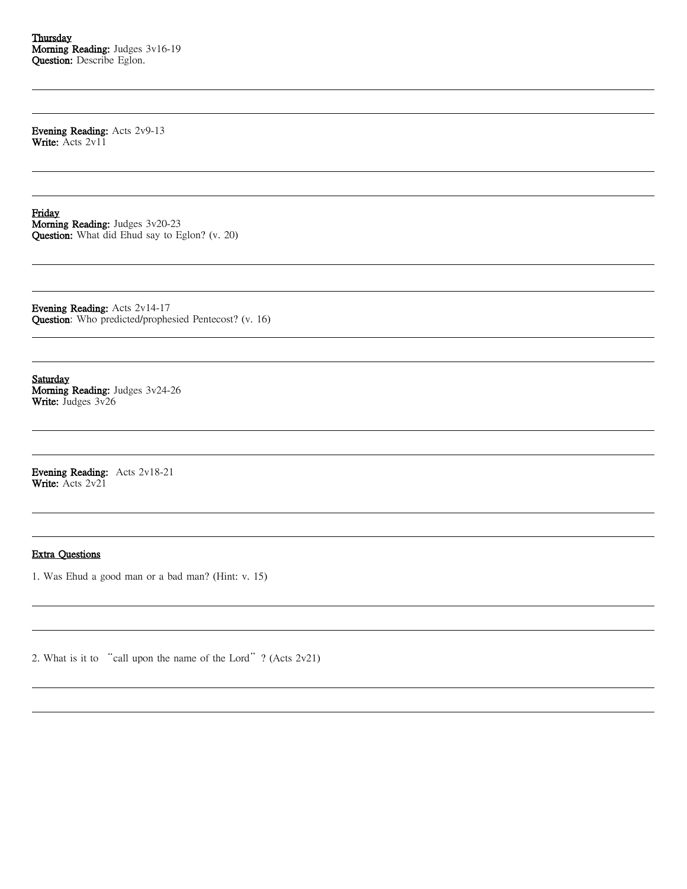**Thursday** Morning Reading: Judges 3v16-19 Question: Describe Eglon.

Evening Reading: Acts 2v9-13 Write: Acts 2v11

Friday Morning Reading: Judges 3v20-23 Question: What did Ehud say to Eglon? (v. 20)

Evening Reading: Acts 2v14-17 Question: Who predicted/prophesied Pentecost? (v. 16)

Saturday Morning Reading: Judges 3v24-26 Write: Judges 3v26

Evening Reading: Acts 2v18-21 Write: Acts 2v21

### Extra Questions

1. Was Ehud a good man or a bad man? (Hint: v. 15)

2. What is it to "call upon the name of the Lord"? (Acts 2v21)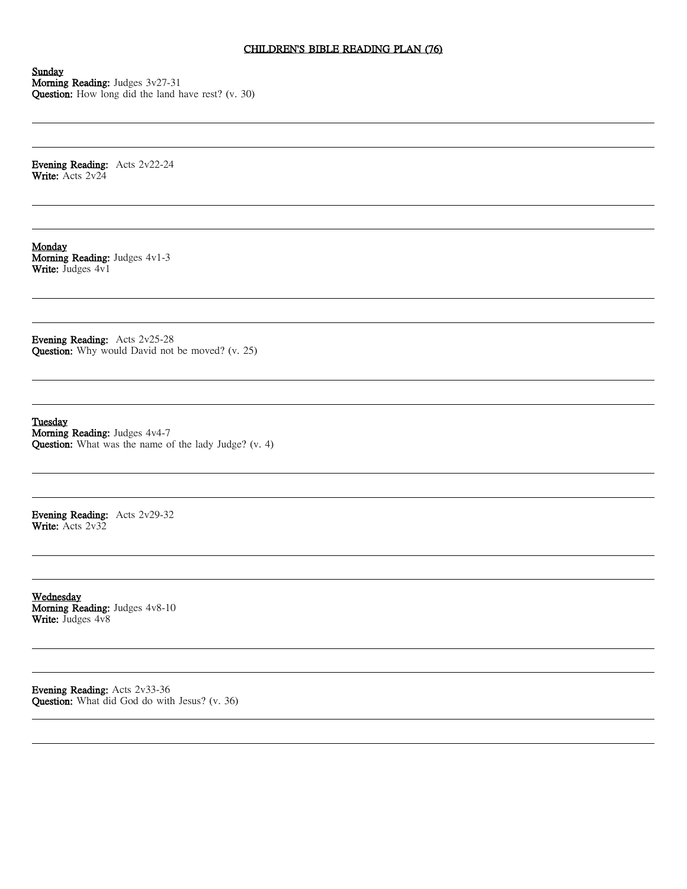# CHILDREN'S BIBLE READING PLAN (76)

Sunday Morning Reading: Judges 3v27-31 Question: How long did the land have rest? (v. 30)

Evening Reading: Acts 2v22-24 Write: Acts 2v24

Monday Morning Reading: Judges 4v1-3 Write: Judges 4v1

Evening Reading: Acts 2v25-28 Question: Why would David not be moved? (v. 25)

**Tuesday** Morning Reading: Judges 4v4-7 Question: What was the name of the lady Judge? (v. 4)

Evening Reading: Acts 2v29-32 Write: Acts 2v32

Wednesday Morning Reading: Judges 4v8-10 Write: Judges  $4v8$ 

Evening Reading: Acts 2v33-36 Question: What did God do with Jesus? (v. 36)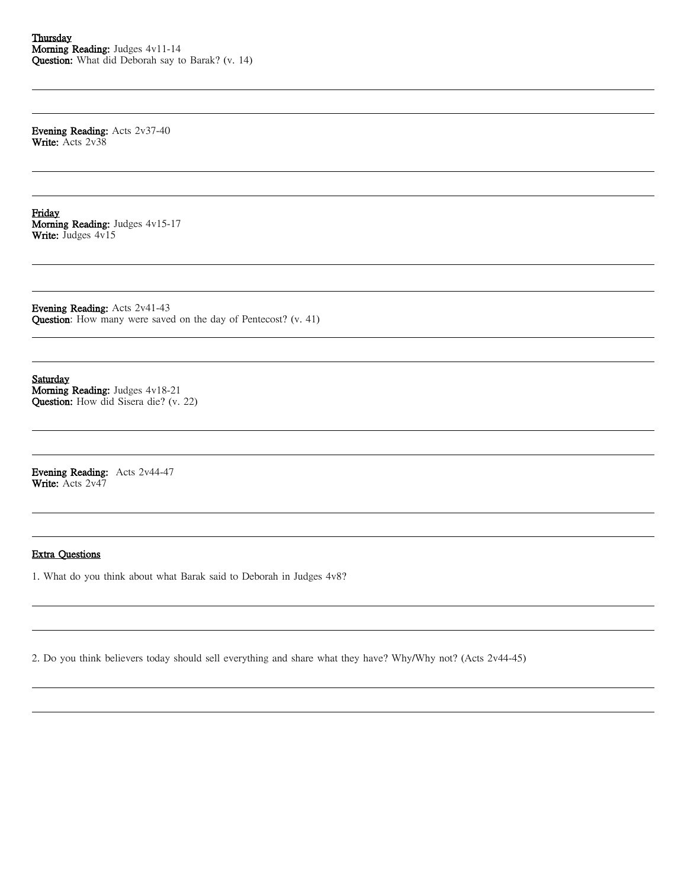Evening Reading: Acts 2v37-40 Write: Acts 2v38

Friday Morning Reading: Judges 4v15-17 Write: Judges 4v15

Evening Reading: Acts 2v41-43 Question: How many were saved on the day of Pentecost? (v. 41)

Saturday Morning Reading: Judges 4v18-21 Question: How did Sisera die? (v. 22)

Evening Reading: Acts 2v44-47 Write: Acts 2v47

### Extra Questions

1. What do you think about what Barak said to Deborah in Judges 4v8?

2. Do you think believers today should sell everything and share what they have? Why/Why not? (Acts 2v44-45)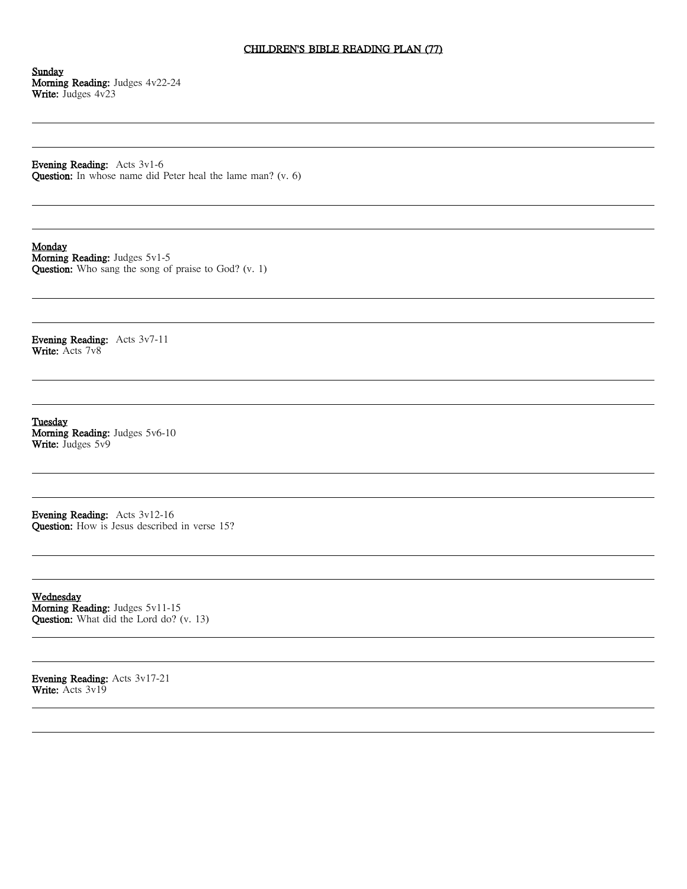# CHILDREN'S BIBLE READING PLAN (77)

Sunday Morning Reading: Judges 4v22-24 Write: Judges 4v23

Evening Reading: Acts 3v1-6 Question: In whose name did Peter heal the lame man? (v. 6)

Monday

Morning Reading: Judges 5v1-5 Question: Who sang the song of praise to God? (v. 1)

Evening Reading: Acts 3v7-11 Write: Acts 7v8

**Tuesday** Morning Reading: Judges 5v6-10 Write: Judges 5v9

Evening Reading: Acts 3v12-16 Question: How is Jesus described in verse 15?

Wednesday Morning Reading: Judges 5v11-15 Question: What did the Lord do? (v. 13)

Evening Reading: Acts 3v17-21 Write: Acts 3v19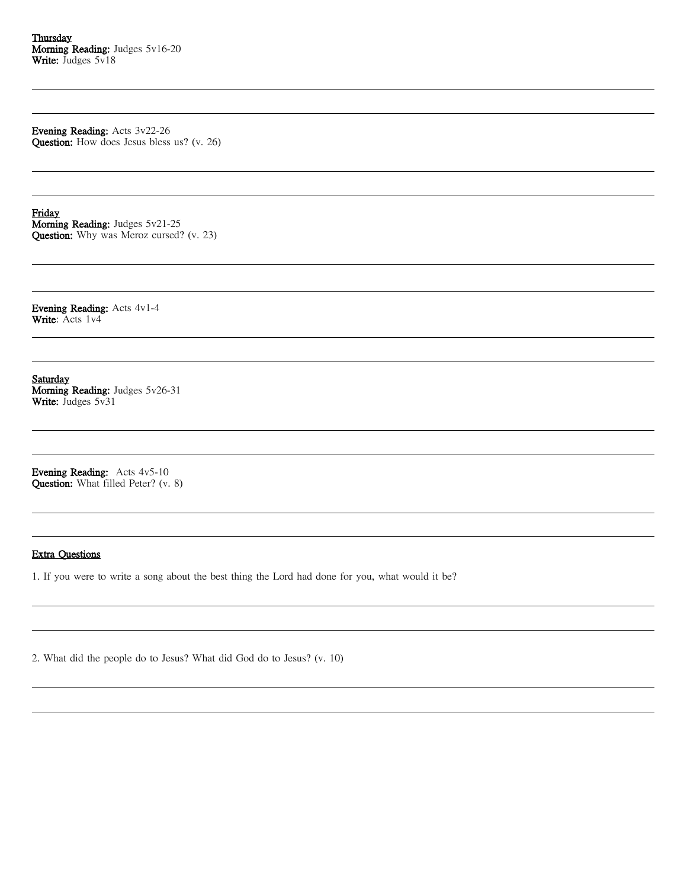Evening Reading: Acts 3v22-26 Question: How does Jesus bless us? (v. 26)

Friday Morning Reading: Judges 5v21-25 Question: Why was Meroz cursed? (v. 23)

Evening Reading: Acts 4v1-4 Write: Acts 1v4

Saturday Morning Reading: Judges 5v26-31 Write: Judges 5v31

Evening Reading: Acts 4v5-10 Question: What filled Peter? (v. 8)

### Extra Questions

1. If you were to write a song about the best thing the Lord had done for you, what would it be?

2. What did the people do to Jesus? What did God do to Jesus? (v. 10)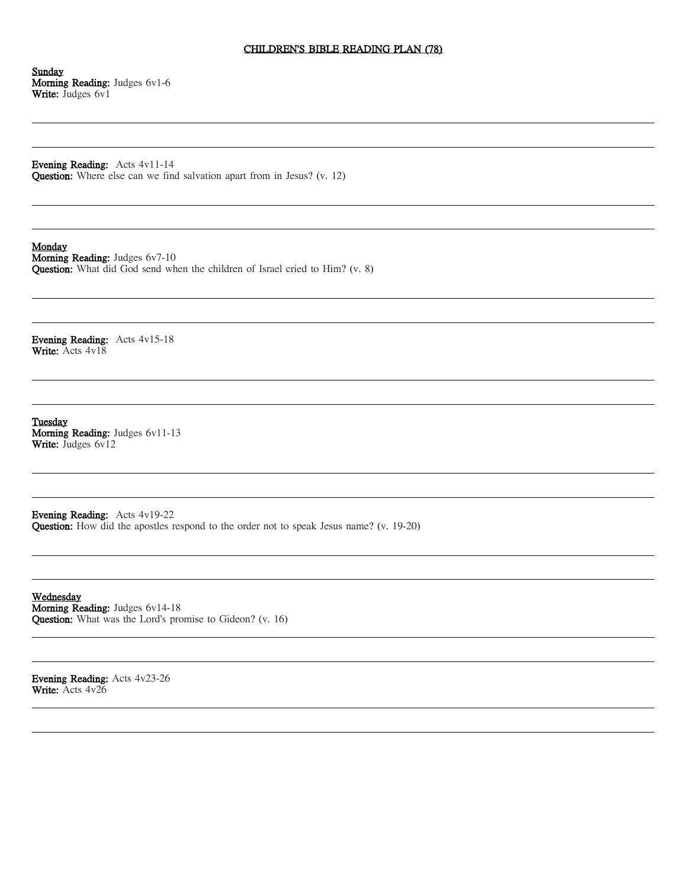# CHILDREN'S BIBLE READING PLAN (78)

Sunday Morning Reading: Judges 6v1-6 Write: Judges 6v1

Evening Reading: Acts 4v11-14 Question: Where else can we find salvation apart from in Jesus? (v. 12)

# Monday

Morning Reading: Judges 6v7-10 Question: What did God send when the children of Israel cried to Him? (v. 8)

Evening Reading: Acts 4v15-18 Write: Acts 4v18

**Tuesday** Morning Reading: Judges 6v11-13 Write: Judges 6v12

Evening Reading: Acts 4v19-22 Question: How did the apostles respond to the order not to speak Jesus name? (v. 19-20)

Wednesday Morning Reading: Judges 6v14-18 Question: What was the Lord's promise to Gideon? (v. 16)

Evening Reading: Acts 4v23-26 Write: Acts 4v26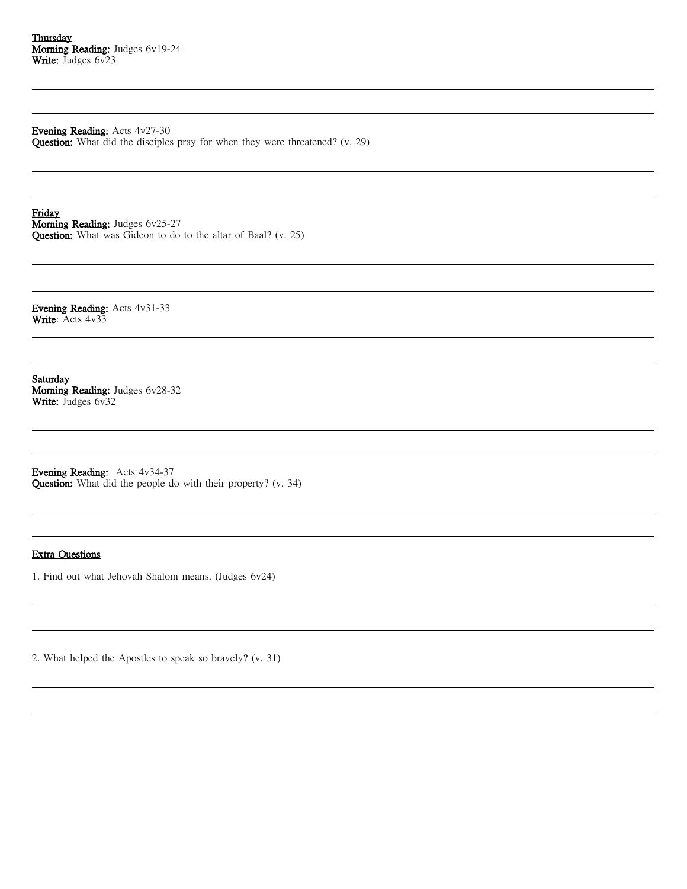Evening Reading: Acts 4v27-30

Question: What did the disciples pray for when they were threatened? (v. 29)

Friday Morning Reading: Judges 6v25-27 Question: What was Gideon to do to the altar of Baal? (v. 25)

Evening Reading: Acts 4v31-33 Write: Acts 4v33

Saturday Morning Reading: Judges 6v28-32 Write: Judges 6v32

Evening Reading: Acts 4v34-37 Question: What did the people do with their property? (v. 34)

# Extra Questions

1. Find out what Jehovah Shalom means. (Judges 6v24)

2. What helped the Apostles to speak so bravely? (v. 31)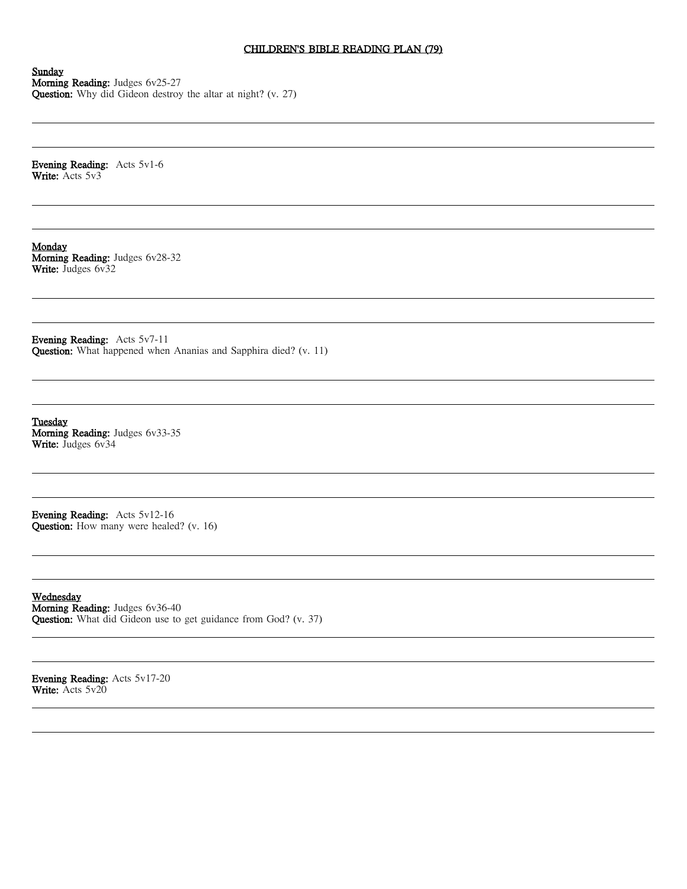# CHILDREN'S BIBLE READING PLAN (79)

Sunday Morning Reading: Judges 6v25-27 Question: Why did Gideon destroy the altar at night? (v. 27)

Evening Reading: Acts 5v1-6 Write: Acts 5v3

Monday Morning Reading: Judges 6v28-32 Write: Judges 6v32

Evening Reading: Acts 5v7-11 Question: What happened when Ananias and Sapphira died? (v. 11)

**Tuesday** Morning Reading: Judges 6v33-35 Write: Judges 6v34

Evening Reading: Acts 5v12-16 Question: How many were healed? (v. 16)

Wednesday Morning Reading: Judges 6v36-40 Question: What did Gideon use to get guidance from God? (v. 37)

Evening Reading: Acts 5v17-20 Write: Acts 5v20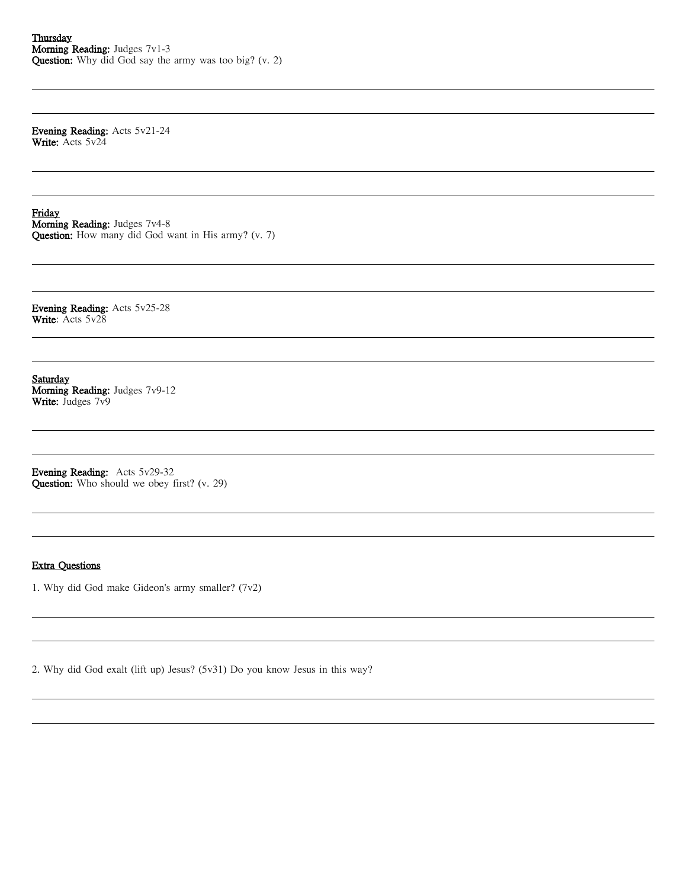Evening Reading: Acts 5v21-24 Write: Acts 5v24

Friday Morning Reading: Judges 7v4-8 Question: How many did God want in His army? (v. 7)

Evening Reading: Acts 5v25-28 Write: Acts 5v28

Saturday Morning Reading: Judges 7v9-12 Write: Judges 7v9

Evening Reading: Acts 5v29-32 Question: Who should we obey first? (v. 29)

### Extra Questions

1. Why did God make Gideon's army smaller? (7v2)

2. Why did God exalt (lift up) Jesus? (5v31) Do you know Jesus in this way?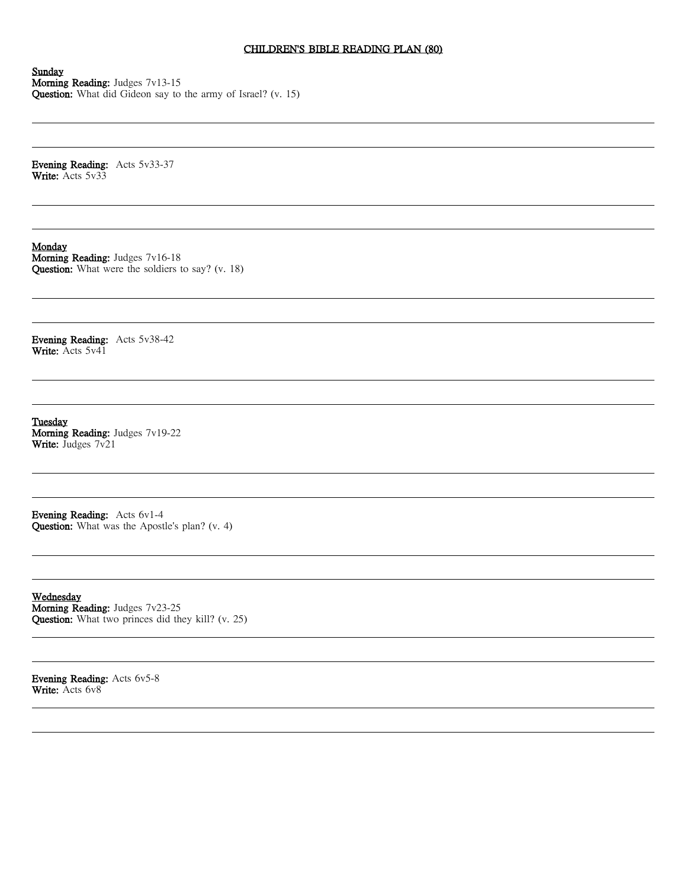# CHILDREN'S BIBLE READING PLAN (80)

Sunday Morning Reading: Judges 7v13-15 Question: What did Gideon say to the army of Israel? (v. 15)

Evening Reading: Acts 5v33-37 Write: Acts 5v33

Monday

Morning Reading: Judges 7v16-18 Question: What were the soldiers to say? (v. 18)

Evening Reading: Acts 5v38-42 Write: Acts 5v41

**Tuesday** Morning Reading: Judges 7v19-22 Write: Judges 7v21

Evening Reading: Acts 6v1-4 Question: What was the Apostle's plan? (v. 4)

Wednesday Morning Reading: Judges 7v23-25 Question: What two princes did they kill? (v. 25)

Evening Reading: Acts 6v5-8 Write: Acts 6v8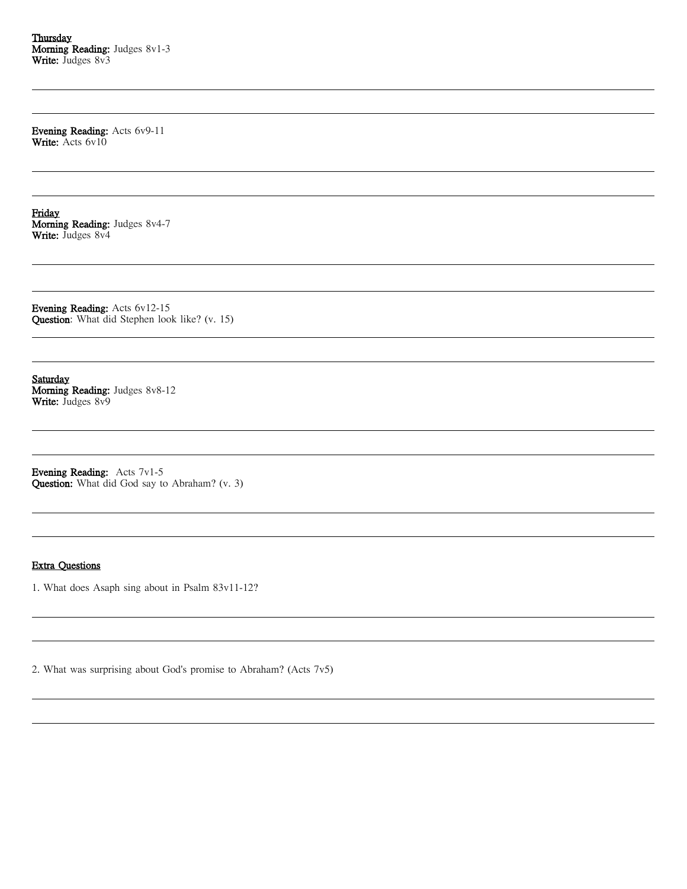Evening Reading: Acts 6v9-11 Write: Acts 6v10

Friday Morning Reading: Judges 8v4-7 Write: Judges 8v4

Evening Reading: Acts 6v12-15 Question: What did Stephen look like? (v. 15)

Saturday Morning Reading: Judges 8v8-12 Write: Judges 8v9

Evening Reading: Acts 7v1-5 Question: What did God say to Abraham? (v. 3)

#### Extra Questions

1. What does Asaph sing about in Psalm 83v11-12?

2. What was surprising about God's promise to Abraham? (Acts 7v5)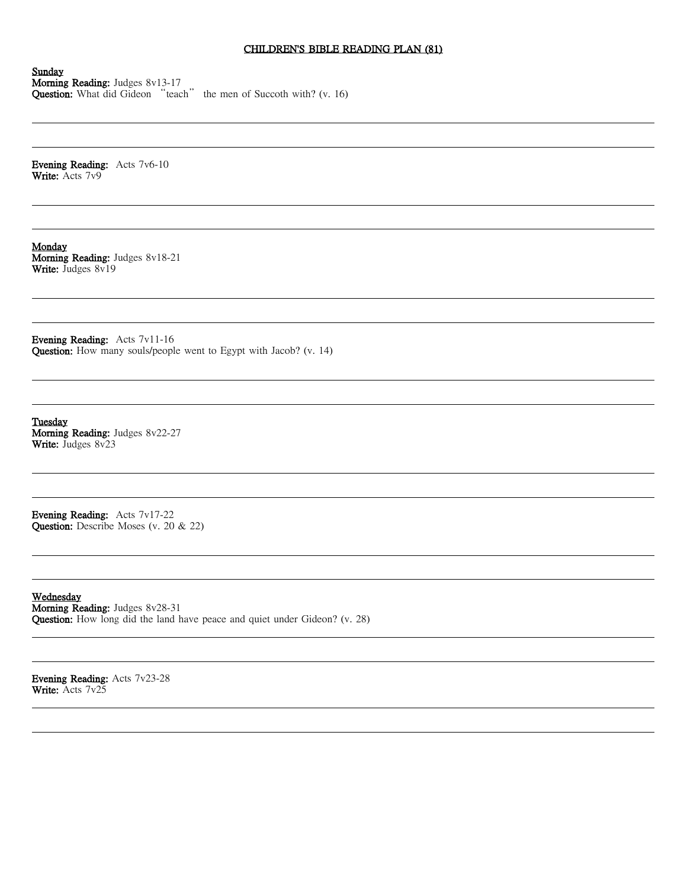# CHILDREN'S BIBLE READING PLAN (81)

Sunday Morning Reading: Judges 8v13-17 **Question:** What did Gideon "teach" the men of Succoth with? (v. 16)

Evening Reading: Acts 7v6-10 Write: Acts 7v9

Monday Morning Reading: Judges 8v18-21 Write: Judges 8v19

Evening Reading: Acts 7v11-16 Question: How many souls/people went to Egypt with Jacob? (v. 14)

**Tuesday** Morning Reading: Judges 8v22-27 Write: Judges 8v23

Evening Reading: Acts 7v17-22 Question: Describe Moses (v. 20 & 22)

Wednesday Morning Reading: Judges 8v28-31 Question: How long did the land have peace and quiet under Gideon? (v. 28)

Evening Reading: Acts 7v23-28 Write: Acts 7v25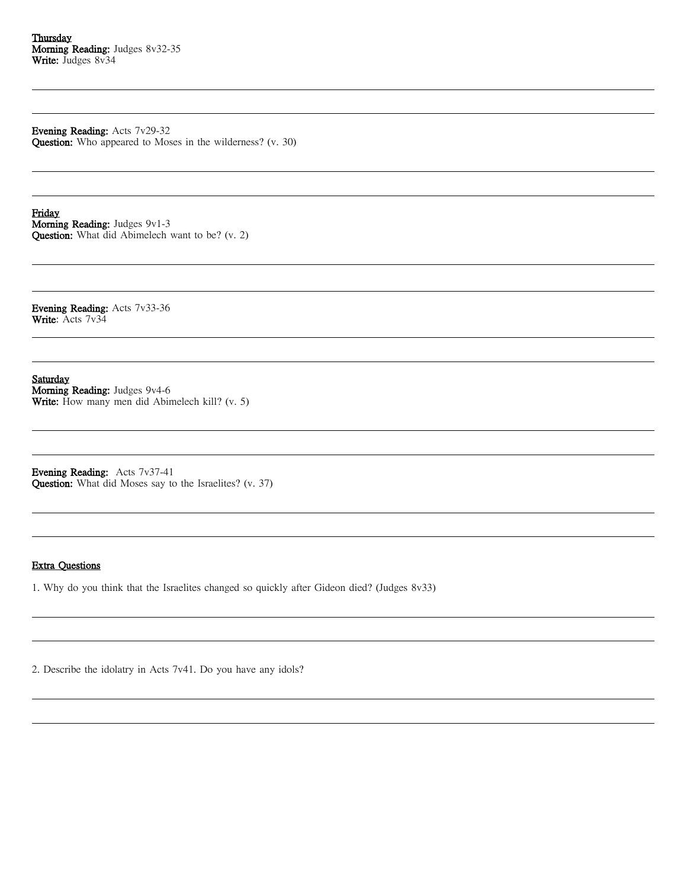# Evening Reading: Acts 7v29-32

Question: Who appeared to Moses in the wilderness? (v. 30)

Friday Morning Reading: Judges 9v1-3 Question: What did Abimelech want to be? (v. 2)

Evening Reading: Acts 7v33-36 Write: Acts 7v34

Saturday Morning Reading: Judges 9v4-6 Write: How many men did Abimelech kill? (v. 5)

Evening Reading: Acts 7v37-41 Question: What did Moses say to the Israelites? (v. 37)

### Extra Questions

1. Why do you think that the Israelites changed so quickly after Gideon died? (Judges 8v33)

2. Describe the idolatry in Acts 7v41. Do you have any idols?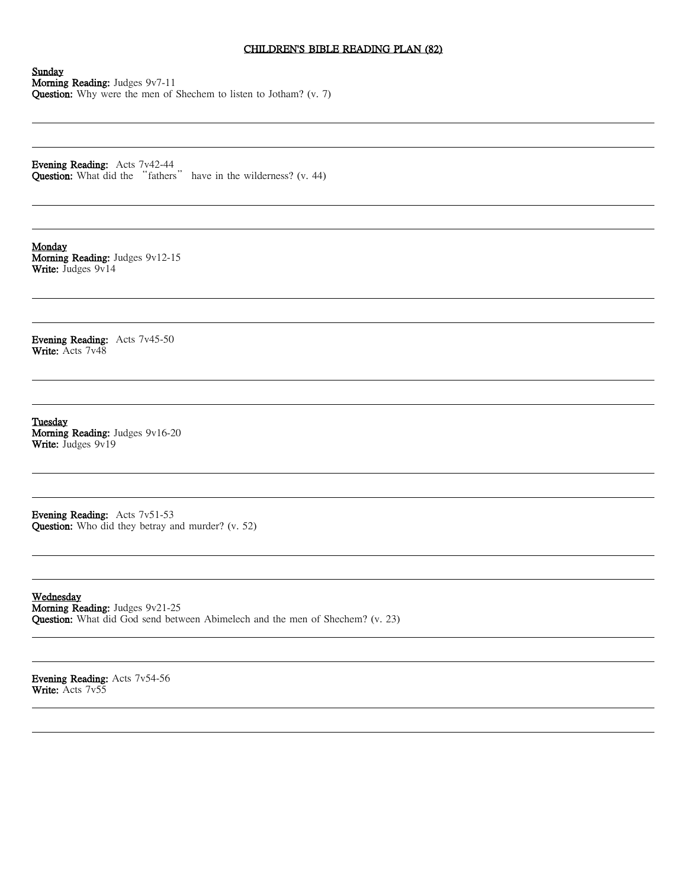# CHILDREN'S BIBLE READING PLAN (82)

Sunday Morning Reading: Judges 9v7-11 Question: Why were the men of Shechem to listen to Jotham? (v. 7)

Evening Reading: Acts 7v42-44 **Question:** What did the "fathers" have in the wilderness? (v. 44)

Monday Morning Reading: Judges 9v12-15 Write: Judges 9v14

Evening Reading: Acts 7v45-50 Write: Acts 7v48

**Tuesday** Morning Reading: Judges 9v16-20 Write: Judges 9v19

Evening Reading: Acts 7v51-53 Question: Who did they betray and murder? (v. 52)

Wednesday Morning Reading: Judges 9v21-25 Question: What did God send between Abimelech and the men of Shechem? (v. 23)

Evening Reading: Acts 7v54-56 Write: Acts 7v55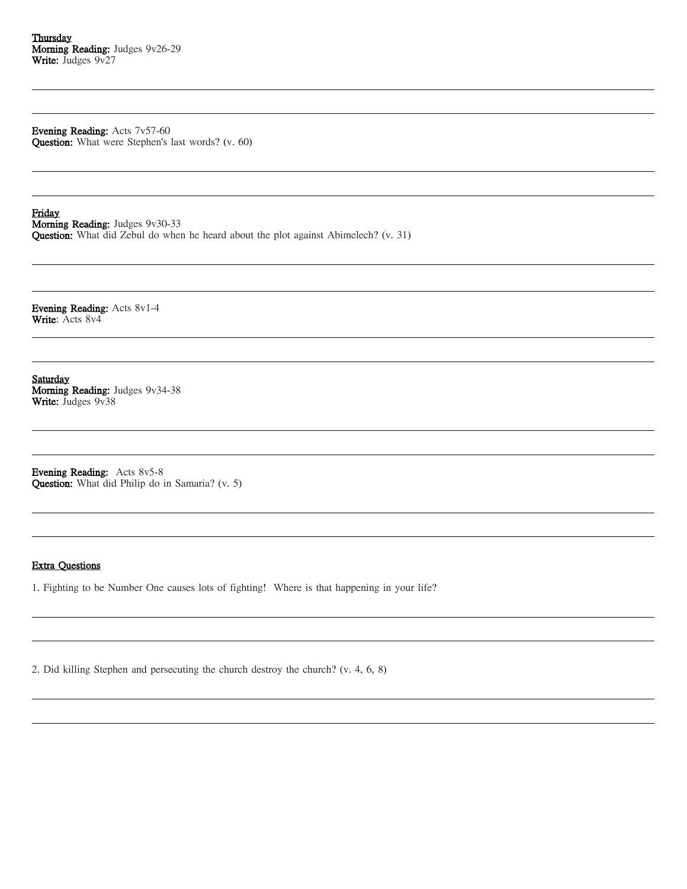Evening Reading: Acts 7v57-60

Question: What were Stephen's last words? (v. 60)

Friday Morning Reading: Judges 9v30-33 Question: What did Zebul do when he heard about the plot against Abimelech? (v. 31)

Evening Reading: Acts 8v1-4 Write: Acts 8v4

Saturday Morning Reading: Judges 9v34-38 Write: Judges 9v38

Evening Reading: Acts 8v5-8 Question: What did Philip do in Samaria? (v. 5)

### Extra Questions

1. Fighting to be Number One causes lots of fighting! Where is that happening in your life?

2. Did killing Stephen and persecuting the church destroy the church? (v. 4, 6, 8)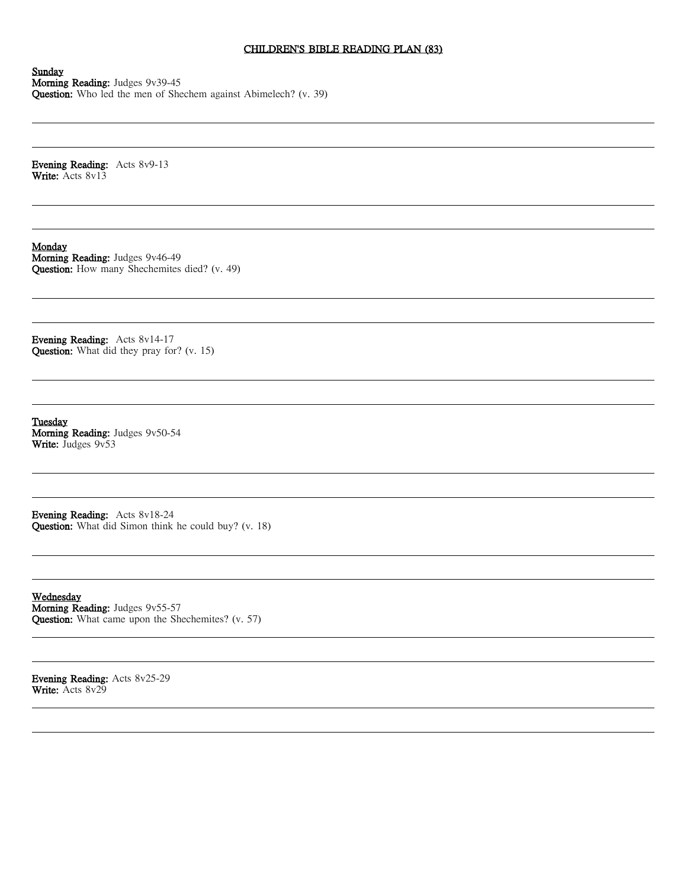# CHILDREN'S BIBLE READING PLAN (83)

Sunday Morning Reading: Judges 9v39-45 Question: Who led the men of Shechem against Abimelech? (v. 39)

Evening Reading: Acts 8v9-13 Write: Acts 8v13

Monday Morning Reading: Judges 9v46-49 Question: How many Shechemites died? (v. 49)

Evening Reading: Acts 8v14-17 Question: What did they pray for? (v. 15)

**Tuesday** Morning Reading: Judges 9v50-54 Write: Judges 9v53

Evening Reading: Acts 8v18-24 Question: What did Simon think he could buy? (v. 18)

Wednesday Morning Reading: Judges 9v55-57 Question: What came upon the Shechemites? (v. 57)

Evening Reading: Acts 8v25-29 Write: Acts 8v29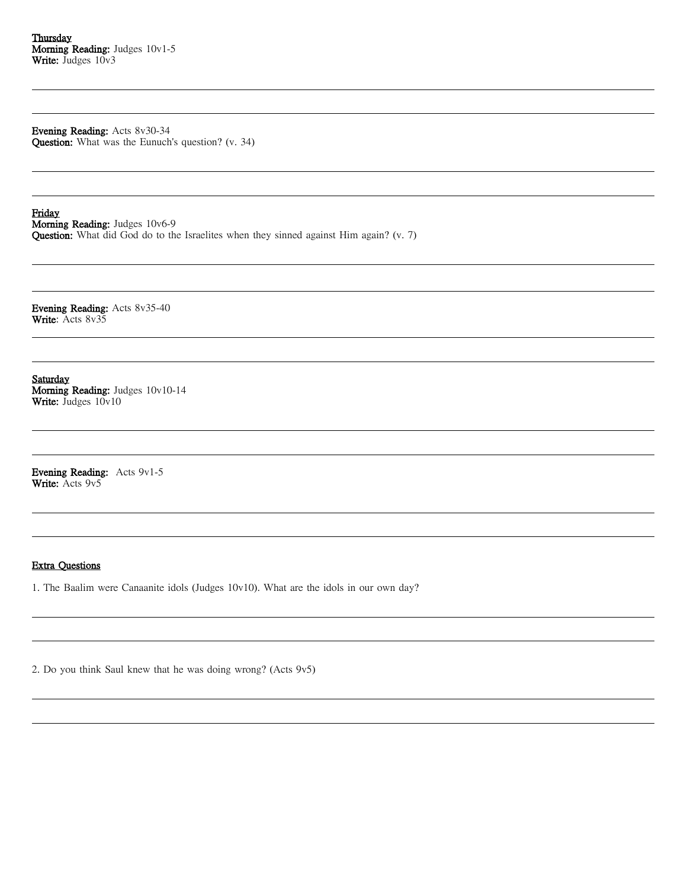Evening Reading: Acts 8v30-34 Question: What was the Eunuch's question? (v. 34)

Friday Morning Reading: Judges 10v6-9 Question: What did God do to the Israelites when they sinned against Him again? (v. 7)

Evening Reading: Acts 8v35-40 Write: Acts 8v35

Saturday Morning Reading: Judges 10v10-14 Write: Judges  $10v10$ 

Evening Reading: Acts 9v1-5 Write: Acts 9v5

### Extra Questions

1. The Baalim were Canaanite idols (Judges 10v10). What are the idols in our own day?

2. Do you think Saul knew that he was doing wrong? (Acts 9v5)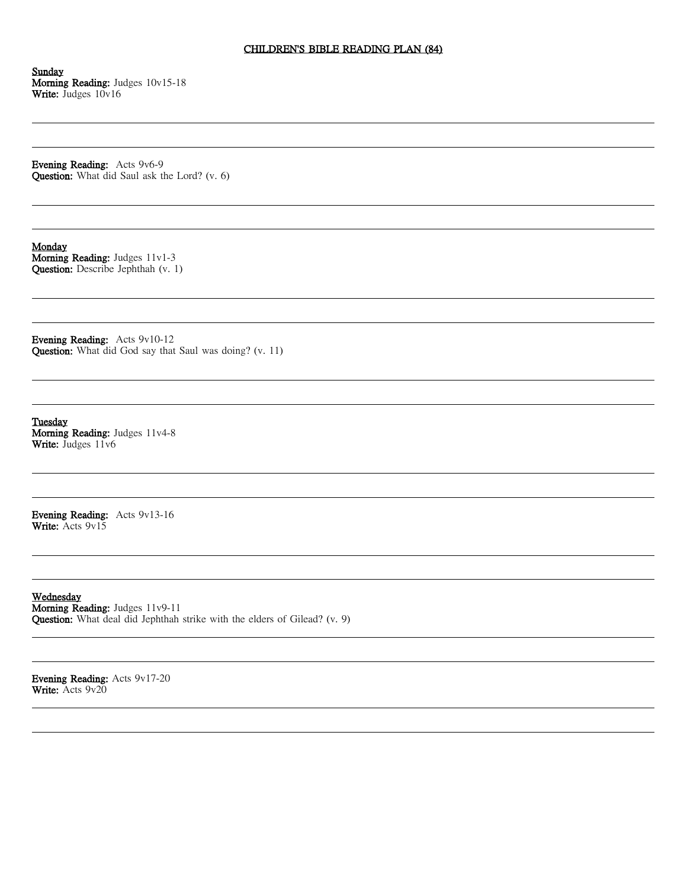# CHILDREN'S BIBLE READING PLAN (84)

Sunday Morning Reading: Judges 10v15-18 Write: Judges 10v16

Evening Reading: Acts 9v6-9 Question: What did Saul ask the Lord? (v. 6)

Monday Morning Reading: Judges 11v1-3 Question: Describe Jephthah (v. 1)

Evening Reading: Acts 9v10-12 Question: What did God say that Saul was doing? (v. 11)

**Tuesday** Morning Reading: Judges 11v4-8 Write: Judges 11v6

Evening Reading: Acts 9v13-16 Write: Acts 9v15

Wednesday Morning Reading: Judges 11v9-11 Question: What deal did Jephthah strike with the elders of Gilead? (v. 9)

Evening Reading: Acts 9v17-20 Write: Acts 9v20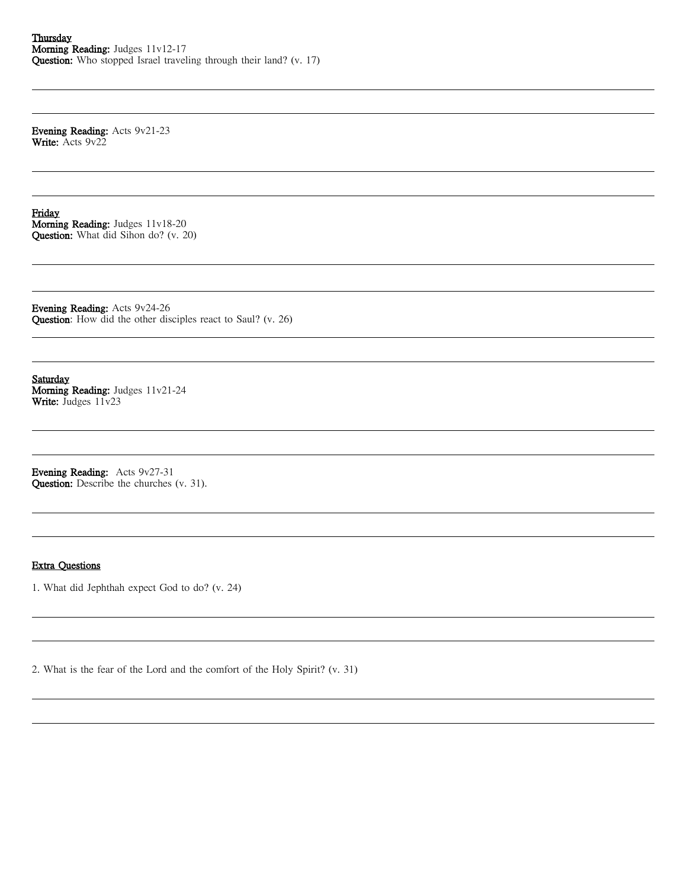Evening Reading: Acts 9v21-23 Write: Acts 9v22

Friday Morning Reading: Judges 11v18-20 Question: What did Sihon do? (v. 20)

Evening Reading: Acts 9v24-26 Question: How did the other disciples react to Saul? (v. 26)

Saturday Morning Reading: Judges 11v21-24 Write: Judges 11v23

Evening Reading: Acts 9v27-31 Question: Describe the churches (v. 31).

### Extra Questions

1. What did Jephthah expect God to do? (v. 24)

2. What is the fear of the Lord and the comfort of the Holy Spirit? (v. 31)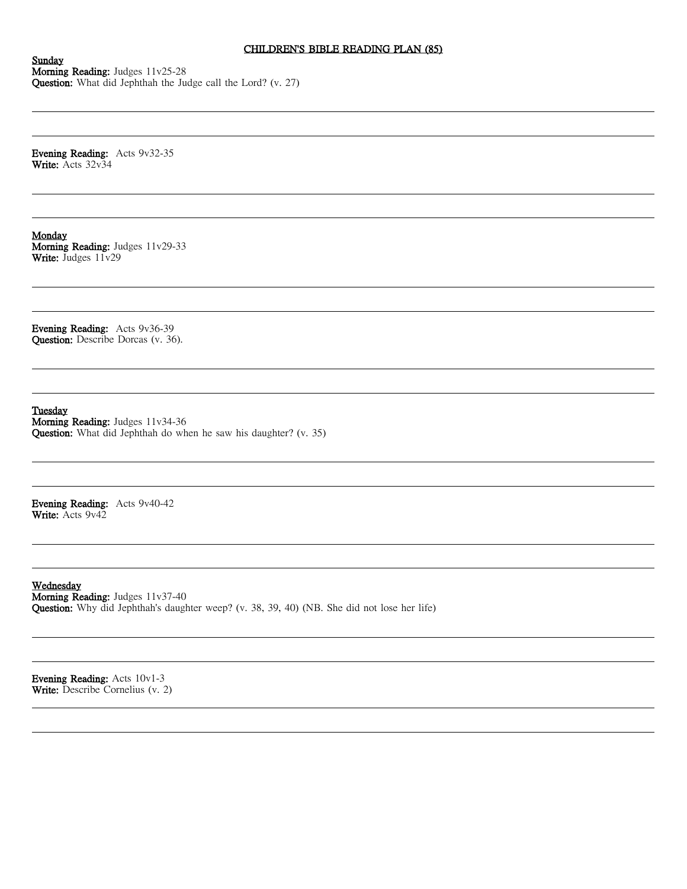# CHILDREN'S BIBLE READING PLAN (85)

Sunday Morning Reading: Judges 11v25-28 Question: What did Jephthah the Judge call the Lord? (v. 27)

Evening Reading: Acts 9v32-35 Write: Acts 32v34

Monday Morning Reading: Judges 11v29-33 Write: Judges 11v29

Evening Reading: Acts 9v36-39 Question: Describe Dorcas (v. 36).

Tuesday

Morning Reading: Judges 11v34-36 Question: What did Jephthah do when he saw his daughter? (v. 35)

Evening Reading: Acts 9v40-42 Write: Acts 9v42

Wednesday Morning Reading: Judges 11v37-40 Question: Why did Jephthah's daughter weep? (v. 38, 39, 40) (NB. She did not lose her life)

Evening Reading: Acts 10v1-3 Write: Describe Cornelius (v. 2)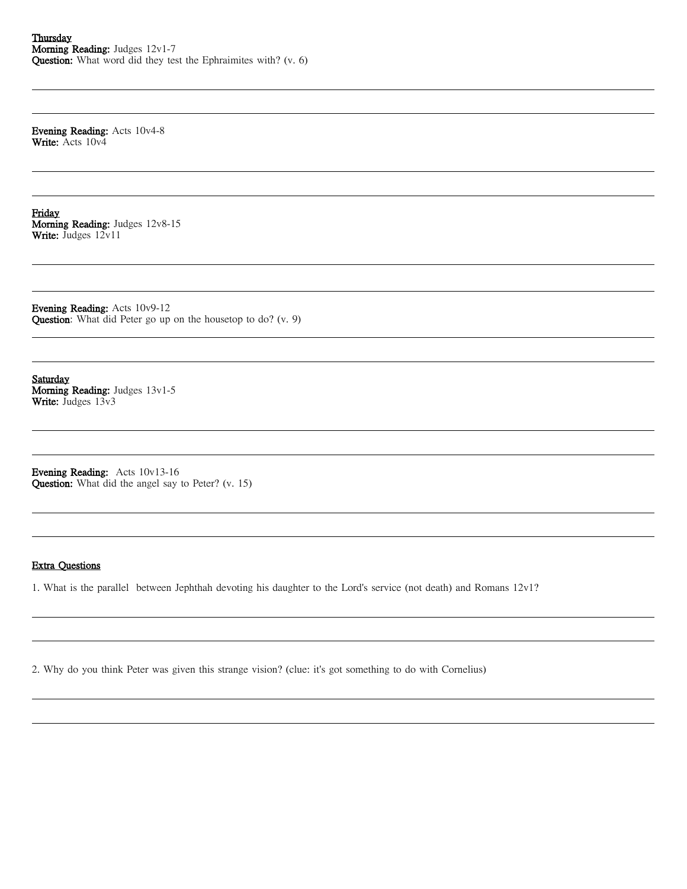Evening Reading: Acts 10v4-8 Write: Acts 10v4

Friday Morning Reading: Judges 12v8-15 Write: Judges 12v11

Evening Reading: Acts 10v9-12 Question: What did Peter go up on the housetop to do? (v. 9)

Saturday Morning Reading: Judges 13v1-5 Write: Judges 13v3

Evening Reading: Acts 10v13-16 Question: What did the angel say to Peter? (v. 15)

### Extra Questions

1. What is the parallel between Jephthah devoting his daughter to the Lord's service (not death) and Romans 12v1?

2. Why do you think Peter was given this strange vision? (clue: it's got something to do with Cornelius)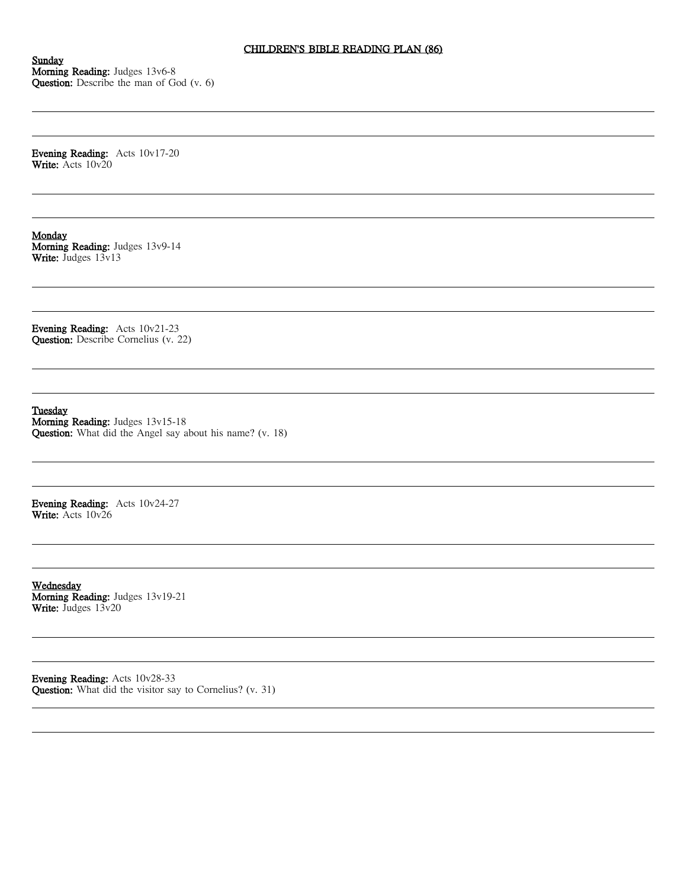Sunday Morning Reading: Judges 13v6-8 Question: Describe the man of God (v. 6)

Evening Reading: Acts 10v17-20 Write: Acts 10v20

Monday Morning Reading: Judges 13v9-14 Write: Judges 13v13

Evening Reading: Acts 10v21-23 Question: Describe Cornelius (v. 22)

Tuesday

Morning Reading: Judges 13v15-18 Question: What did the Angel say about his name? (v. 18)

Evening Reading: Acts 10v24-27 Write: Acts 10v26

Wednesday Morning Reading: Judges 13v19-21 Write: Judges 13v20

Evening Reading: Acts 10v28-33 Question: What did the visitor say to Cornelius? (v. 31)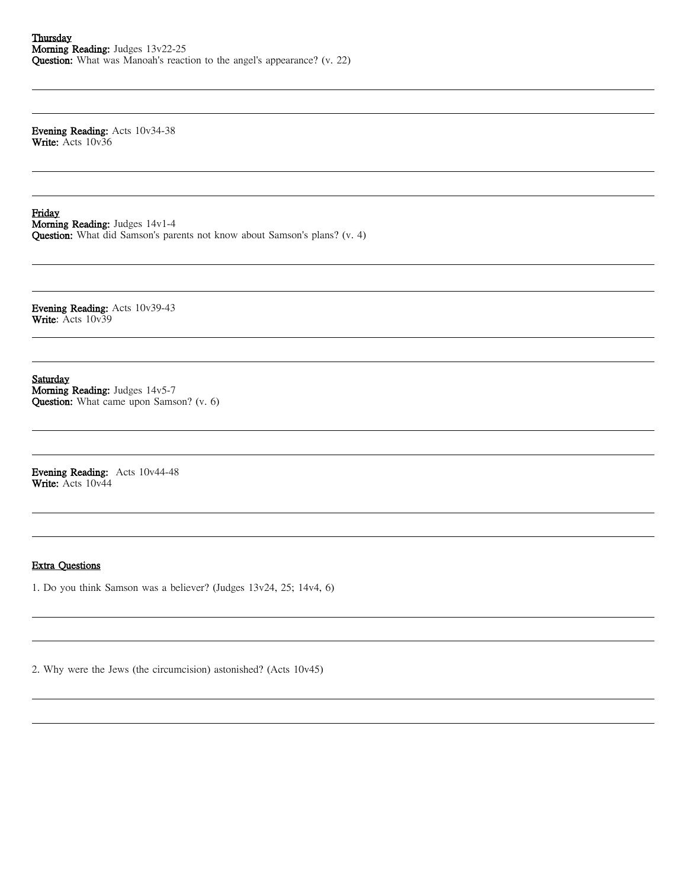Evening Reading: Acts 10v34-38 Write: Acts 10v36

Friday Morning Reading: Judges 14v1-4

Question: What did Samson's parents not know about Samson's plans? (v. 4)

Evening Reading: Acts 10v39-43 Write: Acts 10v39

Saturday Morning Reading: Judges 14v5-7 Question: What came upon Samson? (v. 6)

Evening Reading: Acts 10v44-48 Write: Acts 10v44

### Extra Questions

1. Do you think Samson was a believer? (Judges 13v24, 25; 14v4, 6)

2. Why were the Jews (the circumcision) astonished? (Acts 10v45)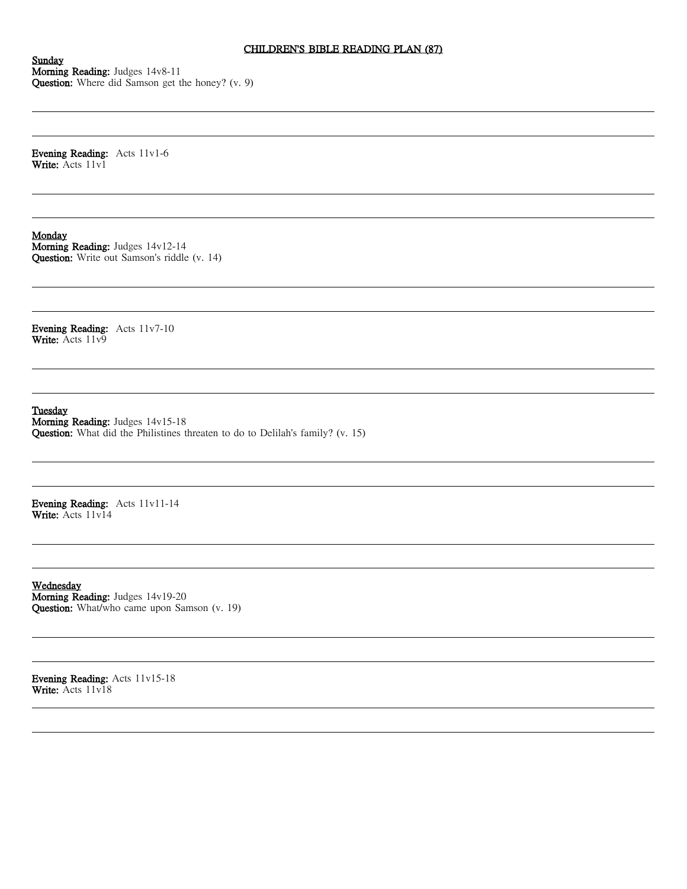# CHILDREN'S BIBLE READING PLAN (87)

Sunday Morning Reading: Judges 14v8-11 Question: Where did Samson get the honey? (v. 9)

Evening Reading: Acts 11v1-6 Write: Acts 11v1

### Monday

Morning Reading: Judges 14v12-14 Question: Write out Samson's riddle (v. 14)

Evening Reading: Acts 11v7-10 Write: Acts 11v9

Tuesday

Morning Reading: Judges 14v15-18 Question: What did the Philistines threaten to do to Delilah's family? (v. 15)

Evening Reading: Acts 11v11-14 Write: Acts 11v14

Wednesday Morning Reading: Judges 14v19-20 Question: What/who came upon Samson (v. 19)

Evening Reading: Acts 11v15-18 Write: Acts 11v18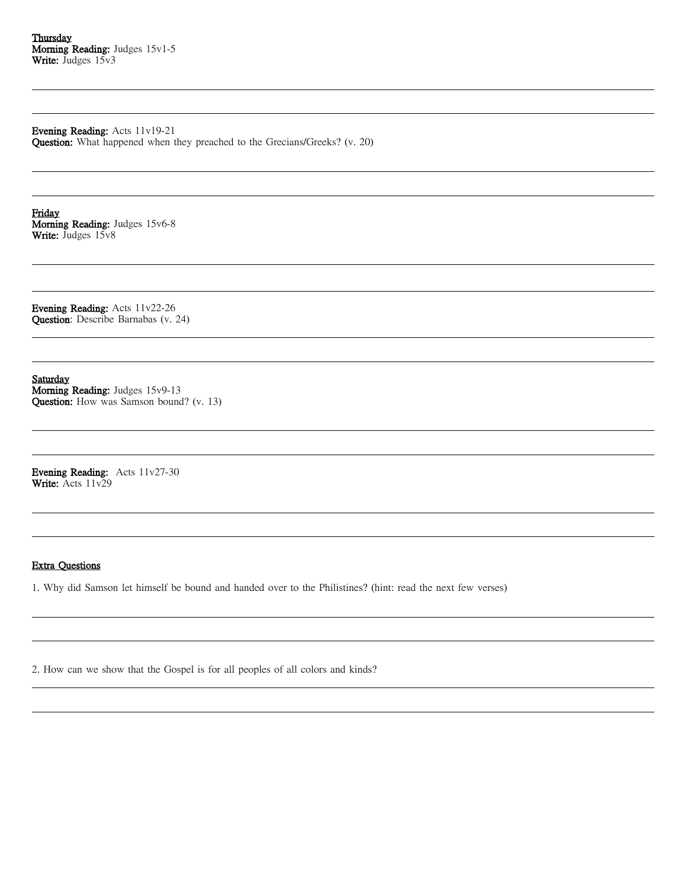Evening Reading: Acts 11v19-21 Question: What happened when they preached to the Grecians/Greeks? (v. 20)

Friday Morning Reading: Judges 15v6-8 Write: Judges 15v8

Evening Reading: Acts 11v22-26 Question: Describe Barnabas (v. 24)

Saturday Morning Reading: Judges 15v9-13 Question: How was Samson bound? (v. 13)

Evening Reading: Acts 11v27-30 Write: Acts 11v29

### Extra Questions

1. Why did Samson let himself be bound and handed over to the Philistines? (hint: read the next few verses)

2. How can we show that the Gospel is for all peoples of all colors and kinds?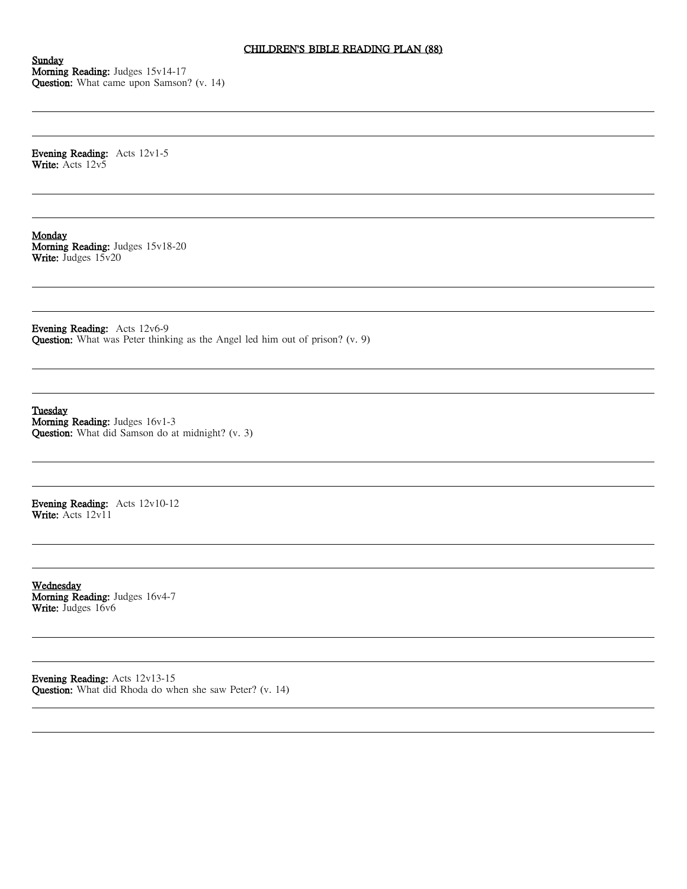# CHILDREN'S BIBLE READING PLAN (88)

Sunday Morning Reading: Judges 15v14-17 Question: What came upon Samson? (v. 14)

Evening Reading: Acts 12v1-5 Write: Acts 12v5

Monday Morning Reading: Judges 15v18-20 Write: Judges  $15v20$ 

Evening Reading: Acts 12v6-9 Question: What was Peter thinking as the Angel led him out of prison? (v. 9)

Tuesday Morning Reading: Judges 16v1-3 Question: What did Samson do at midnight? (v. 3)

Evening Reading: Acts 12v10-12 Write: Acts 12v11

Wednesday Morning Reading: Judges 16v4-7 Write: Judges 16v6

Evening Reading: Acts 12v13-15 Question: What did Rhoda do when she saw Peter? (v. 14)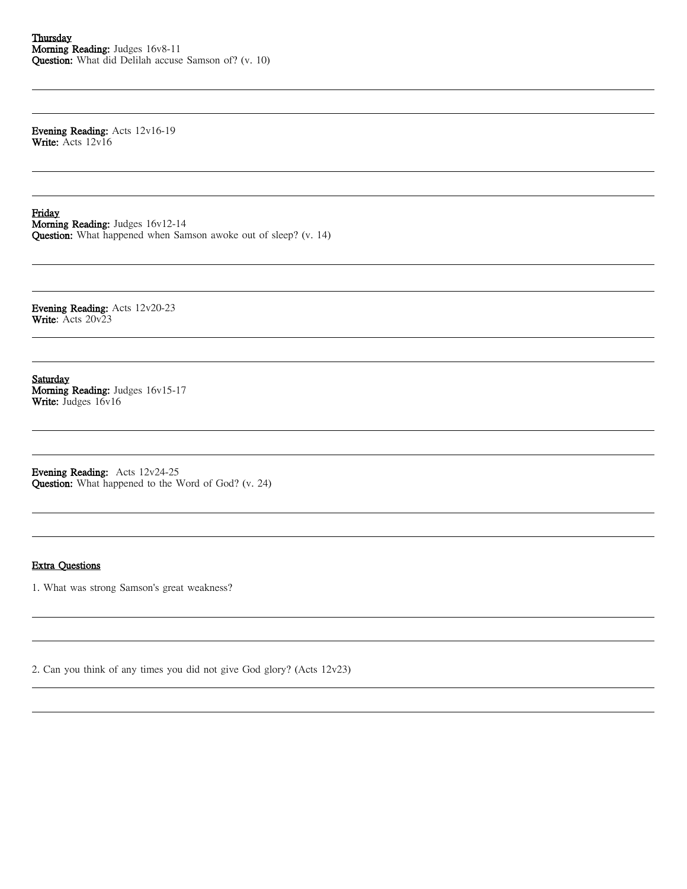Evening Reading: Acts 12v16-19 Write: Acts 12v16

Friday Morning Reading: Judges 16v12-14 Question: What happened when Samson awoke out of sleep? (v. 14)

Evening Reading: Acts 12v20-23 Write: Acts 20v23

Saturday Morning Reading: Judges 16v15-17 Write: Judges 16v16

Evening Reading: Acts 12v24-25 Question: What happened to the Word of God? (v. 24)

### Extra Questions

1. What was strong Samson's great weakness?

2. Can you think of any times you did not give God glory? (Acts 12v23)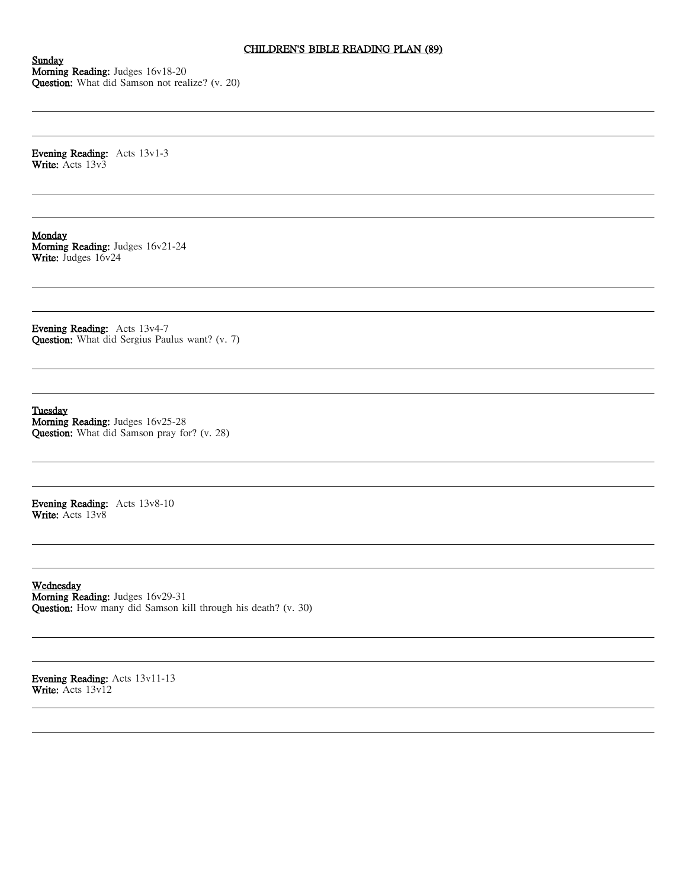## CHILDREN'S BIBLE READING PLAN (89)

Sunday Morning Reading: Judges 16v18-20 Question: What did Samson not realize? (v. 20)

Evening Reading: Acts 13v1-3 Write: Acts 13v3

Monday Morning Reading: Judges 16v21-24 Write: Judges 16v24

Evening Reading: Acts 13v4-7 Question: What did Sergius Paulus want? (v. 7)

Tuesday Morning Reading: Judges 16v25-28 Question: What did Samson pray for? (v. 28)

Evening Reading: Acts 13v8-10 Write: Acts 13v8

Wednesday Morning Reading: Judges 16v29-31 Question: How many did Samson kill through his death? (v. 30)

Evening Reading: Acts 13v11-13 Write: Acts 13v12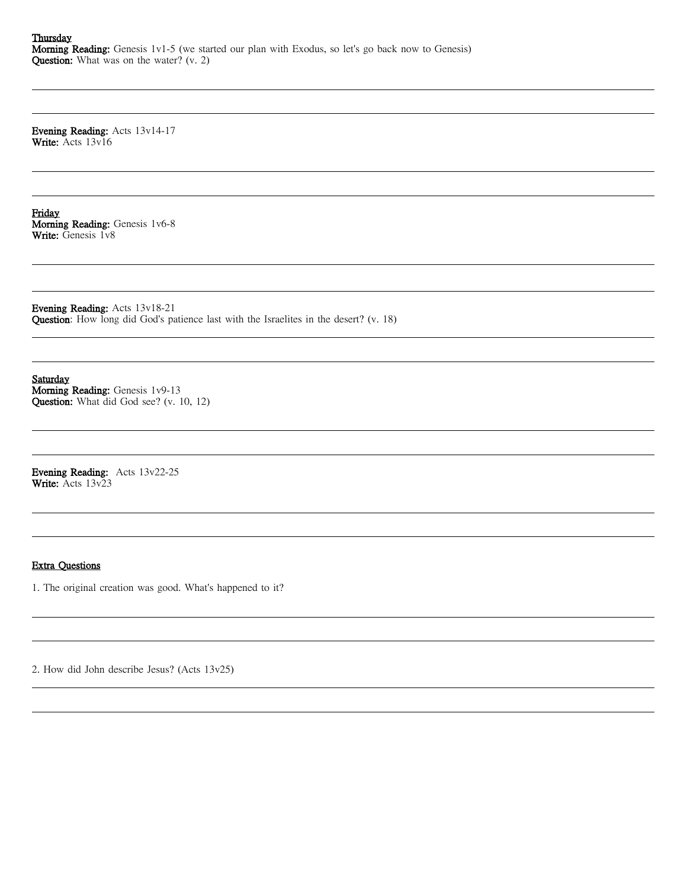**Thursday** Morning Reading: Genesis 1v1-5 (we started our plan with Exodus, so let's go back now to Genesis) Question: What was on the water? (v. 2)

Evening Reading: Acts 13v14-17 Write: Acts 13v16

Friday Morning Reading: Genesis 1v6-8 Write: Genesis 1v8

Evening Reading: Acts 13v18-21 Question: How long did God's patience last with the Israelites in the desert? (v. 18)

Saturday Morning Reading: Genesis 1v9-13 Question: What did God see? (v. 10, 12)

Evening Reading: Acts 13v22-25 Write: Acts 13v23

### Extra Questions

1. The original creation was good. What's happened to it?

2. How did John describe Jesus? (Acts 13v25)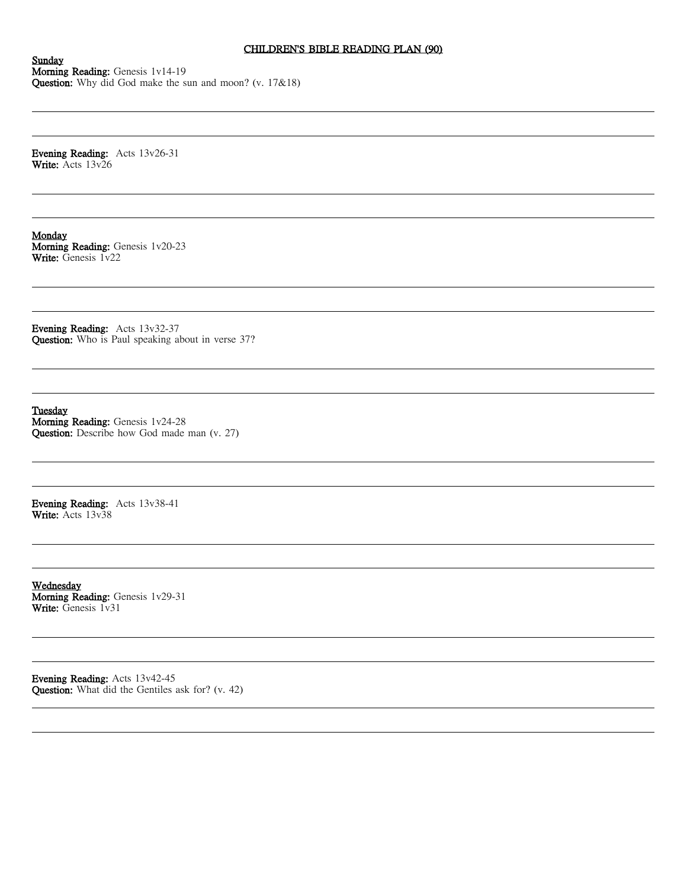## CHILDREN'S BIBLE READING PLAN (90)

Sunday Morning Reading: Genesis 1v14-19 Question: Why did God make the sun and moon? (v. 17&18)

Evening Reading: Acts 13v26-31 Write: Acts 13v26

Monday Morning Reading: Genesis 1v20-23 Write: Genesis 1v22

Evening Reading: Acts 13v32-37 Question: Who is Paul speaking about in verse 37?

Tuesday Morning Reading: Genesis 1v24-28 Question: Describe how God made man (v. 27)

Evening Reading: Acts 13v38-41 Write: Acts 13v38

Wednesday Morning Reading: Genesis 1v29-31 Write: Genesis 1v31

Evening Reading: Acts 13v42-45 Question: What did the Gentiles ask for? (v. 42)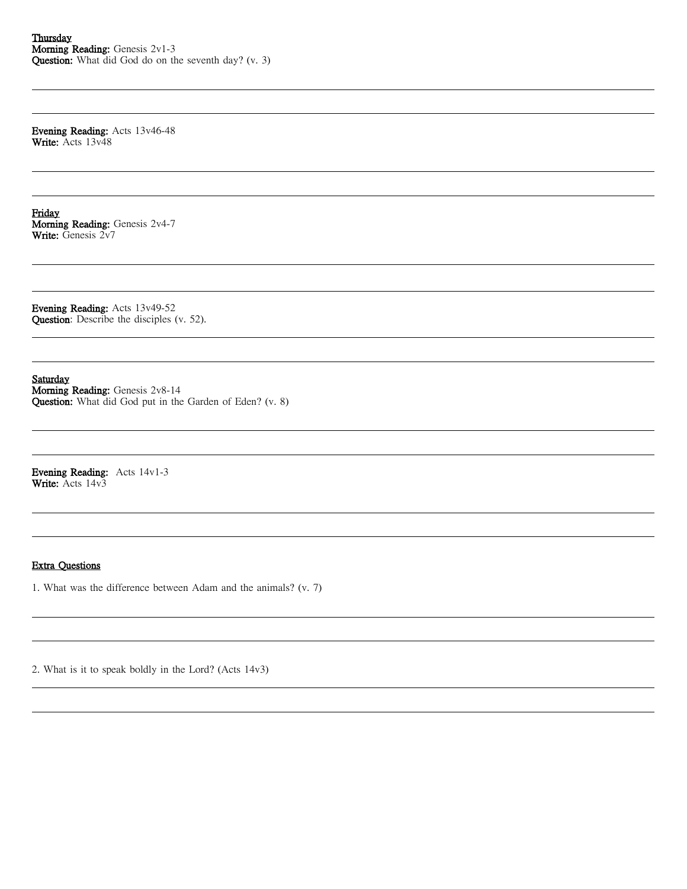Evening Reading: Acts 13v46-48 Write: Acts 13v48

Friday Morning Reading: Genesis 2v4-7 Write: Genesis 2v7

Evening Reading: Acts 13v49-52 Question: Describe the disciples (v. 52).

Saturday

Morning Reading: Genesis 2v8-14 Question: What did God put in the Garden of Eden? (v. 8)

Evening Reading: Acts 14v1-3 Write: Acts 14v3

### Extra Questions

1. What was the difference between Adam and the animals? (v. 7)

2. What is it to speak boldly in the Lord? (Acts 14v3)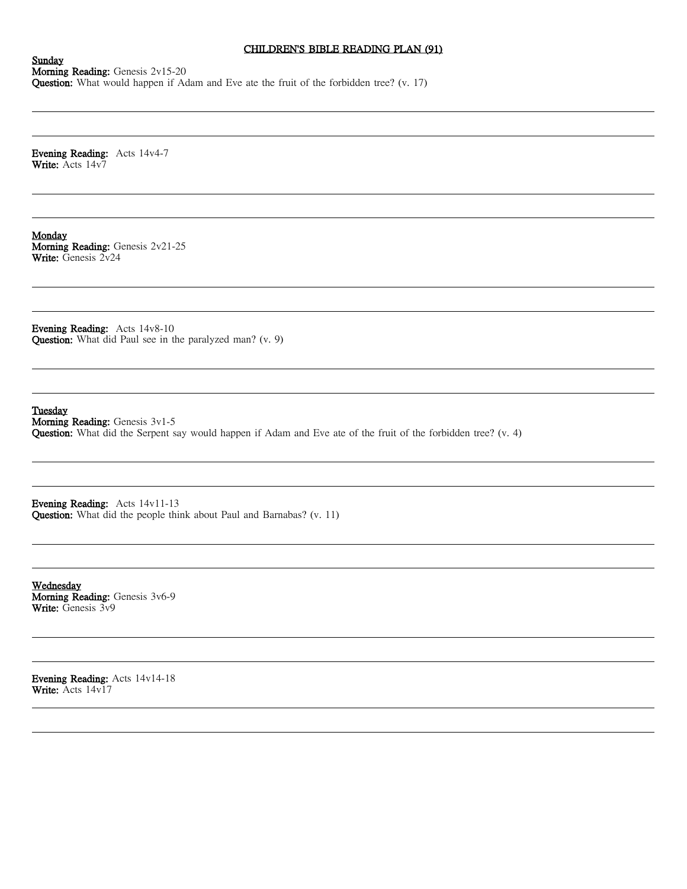## CHILDREN'S BIBLE READING PLAN (91)

Sunday Morning Reading: Genesis 2v15-20 Question: What would happen if Adam and Eve ate the fruit of the forbidden tree? (v. 17)

Evening Reading: Acts 14v4-7 Write: Acts 14v7

Monday Morning Reading: Genesis 2v21-25 Write: Genesis 2v24

Evening Reading: Acts 14v8-10 Question: What did Paul see in the paralyzed man? (v. 9)

Tuesday

Morning Reading: Genesis 3v1-5 Question: What did the Serpent say would happen if Adam and Eve ate of the fruit of the forbidden tree? (v. 4)

Evening Reading: Acts 14v11-13 Question: What did the people think about Paul and Barnabas? (v. 11)

Wednesday Morning Reading: Genesis 3v6-9 Write: Genesis 3v9

Evening Reading: Acts 14v14-18 Write: Acts 14v17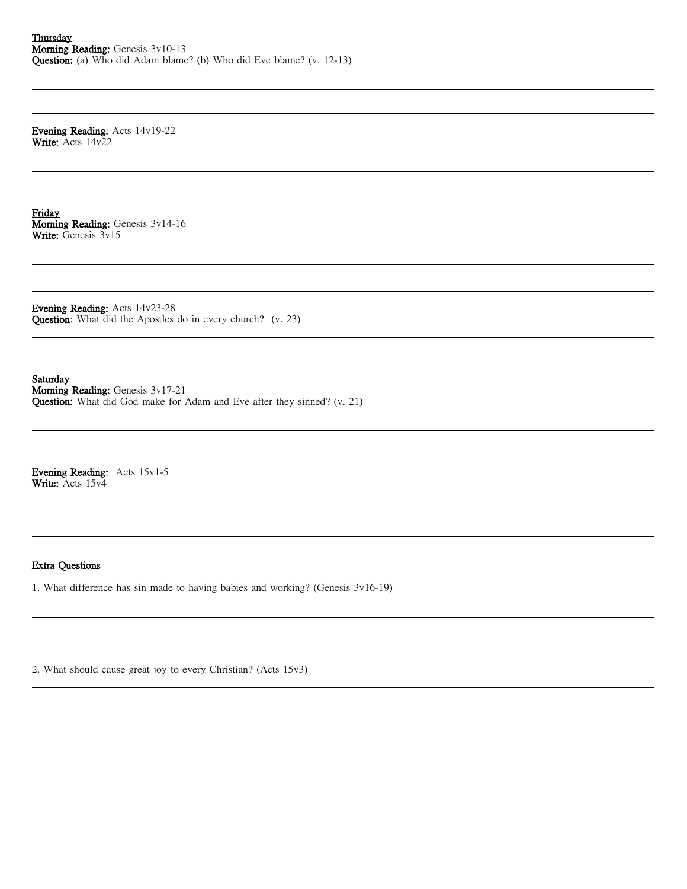Evening Reading: Acts 14v19-22 Write: Acts 14v22

Friday Morning Reading: Genesis 3v14-16 Write: Genesis 3v15

Evening Reading: Acts 14v23-28 Question: What did the Apostles do in every church? (v. 23)

Saturday Morning Reading: Genesis 3v17-21 Question: What did God make for Adam and Eve after they sinned? (v. 21)

Evening Reading: Acts 15v1-5 Write: Acts 15v4

## Extra Questions

1. What difference has sin made to having babies and working? (Genesis 3v16-19)

2. What should cause great joy to every Christian? (Acts 15v3)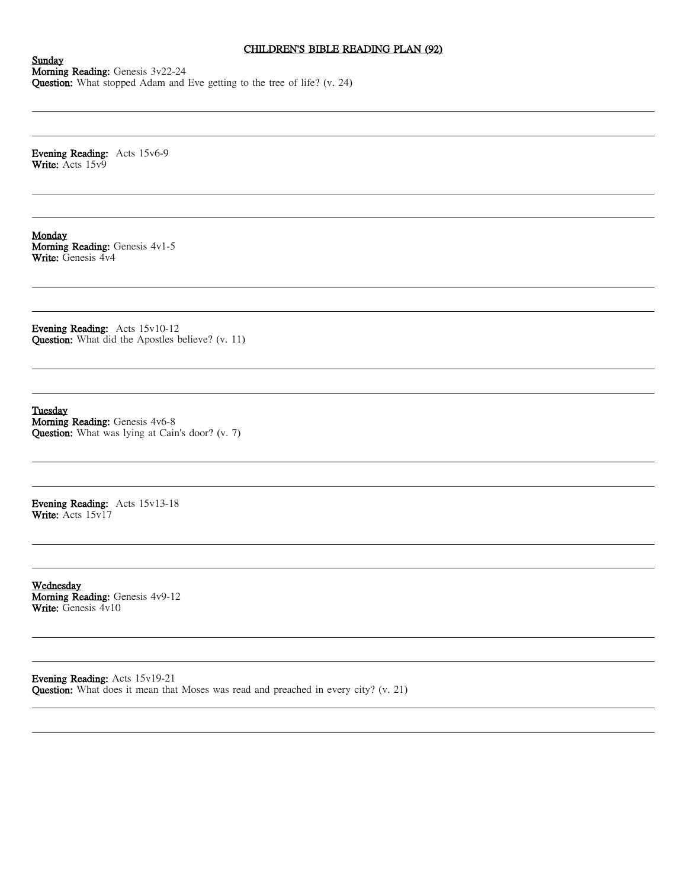## CHILDREN'S BIBLE READING PLAN (92)

Sunday Morning Reading: Genesis 3v22-24 Question: What stopped Adam and Eve getting to the tree of life? (v. 24)

Evening Reading: Acts 15v6-9 Write: Acts 15v9

Monday Morning Reading: Genesis 4v1-5 Write: Genesis 4v4

Evening Reading: Acts 15v10-12 Question: What did the Apostles believe? (v. 11)

Tuesday Morning Reading: Genesis 4v6-8 Question: What was lying at Cain's door? (v. 7)

Evening Reading: Acts 15v13-18 Write: Acts 15v17

Wednesday Morning Reading: Genesis 4v9-12 Write: Genesis 4v10

Evening Reading: Acts 15v19-21 Question: What does it mean that Moses was read and preached in every city? (v. 21)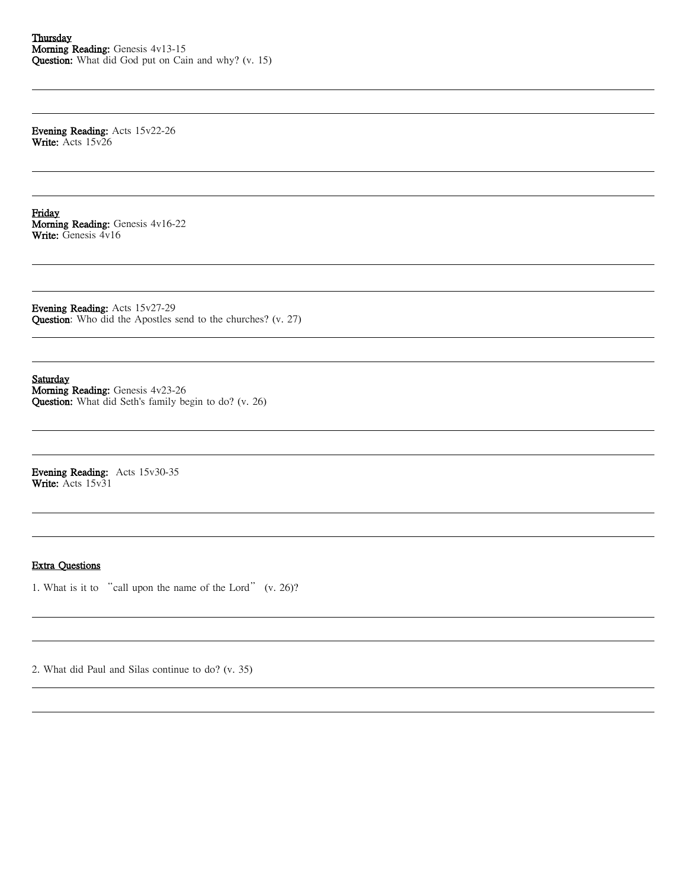Evening Reading: Acts 15v22-26 Write: Acts 15v26

Friday Morning Reading: Genesis 4v16-22 Write: Genesis 4v16

Evening Reading: Acts 15v27-29 Question: Who did the Apostles send to the churches? (v. 27)

Saturday Morning Reading: Genesis 4v23-26 Question: What did Seth's family begin to do? (v. 26)

Evening Reading: Acts 15v30-35 Write: Acts 15v31

### Extra Questions

1. What is it to "call upon the name of the Lord" (v. 26)?

2. What did Paul and Silas continue to do? (v. 35)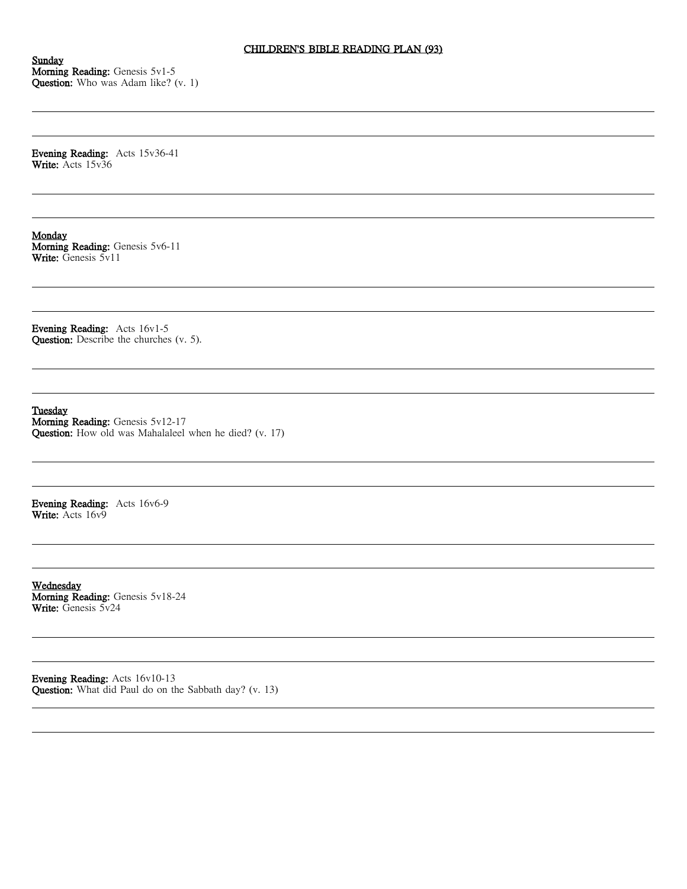Sunday Morning Reading: Genesis 5v1-5 Question: Who was Adam like? (v. 1)

Evening Reading: Acts 15v36-41 Write: Acts 15v36

Monday Morning Reading: Genesis 5v6-11 Write: Genesis 5v11

Evening Reading: Acts 16v1-5 Question: Describe the churches (v. 5).

Tuesday

Morning Reading: Genesis 5v12-17 Question: How old was Mahalaleel when he died? (v. 17)

Evening Reading: Acts 16v6-9 Write: Acts 16v9

Wednesday Morning Reading: Genesis 5v18-24 Write: Genesis 5v24

Evening Reading: Acts 16v10-13 Question: What did Paul do on the Sabbath day? (v. 13)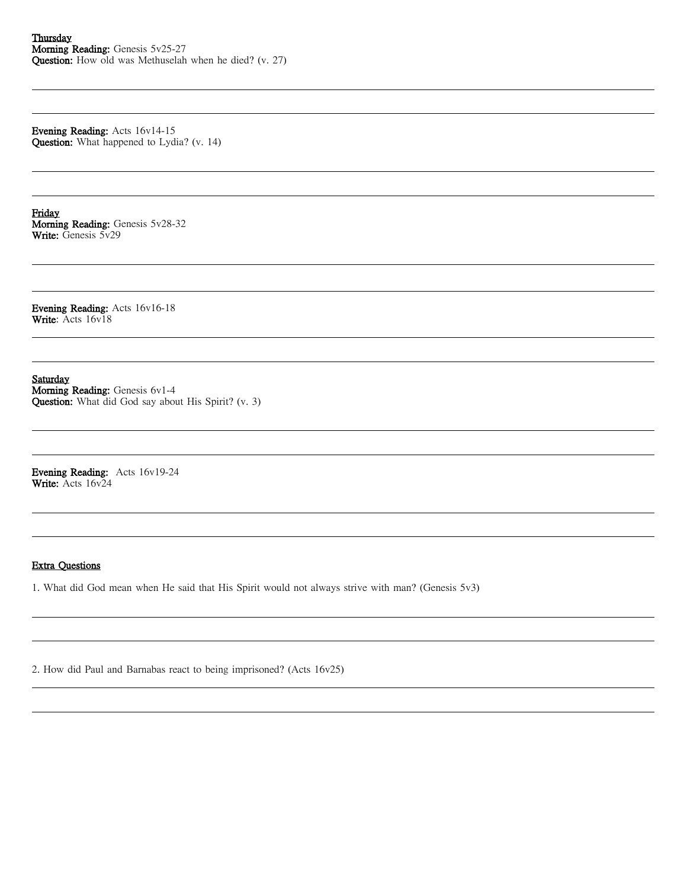Evening Reading: Acts 16v14-15 Question: What happened to Lydia? (v. 14)

Friday Morning Reading: Genesis 5v28-32 Write: Genesis 5v29

Evening Reading: Acts 16v16-18 Write: Acts 16v18

Saturday Morning Reading: Genesis 6v1-4 Question: What did God say about His Spirit? (v. 3)

Evening Reading: Acts 16v19-24 Write: Acts 16v24

#### Extra Questions

1. What did God mean when He said that His Spirit would not always strive with man? (Genesis 5v3)

2. How did Paul and Barnabas react to being imprisoned? (Acts 16v25)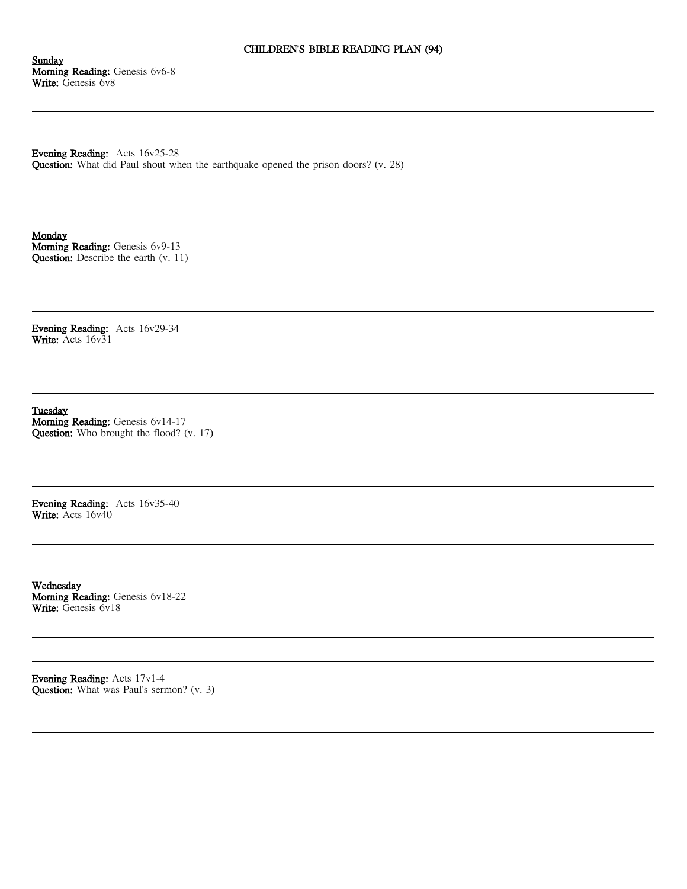## CHILDREN'S BIBLE READING PLAN (94)

Sunday Morning Reading: Genesis 6v6-8 Write: Genesis 6v8

Evening Reading: Acts 16v25-28 Question: What did Paul shout when the earthquake opened the prison doors? (v. 28)

**Monday** 

Morning Reading: Genesis 6v9-13 Question: Describe the earth (v. 11)

Evening Reading: Acts 16v29-34 Write: Acts 16v31

Tuesday

Morning Reading: Genesis 6v14-17 Question: Who brought the flood? (v. 17)

Evening Reading: Acts 16v35-40 Write: Acts 16v40

Wednesday Morning Reading: Genesis 6v18-22 Write: Genesis 6v18

Evening Reading: Acts 17v1-4 Question: What was Paul's sermon? (v. 3)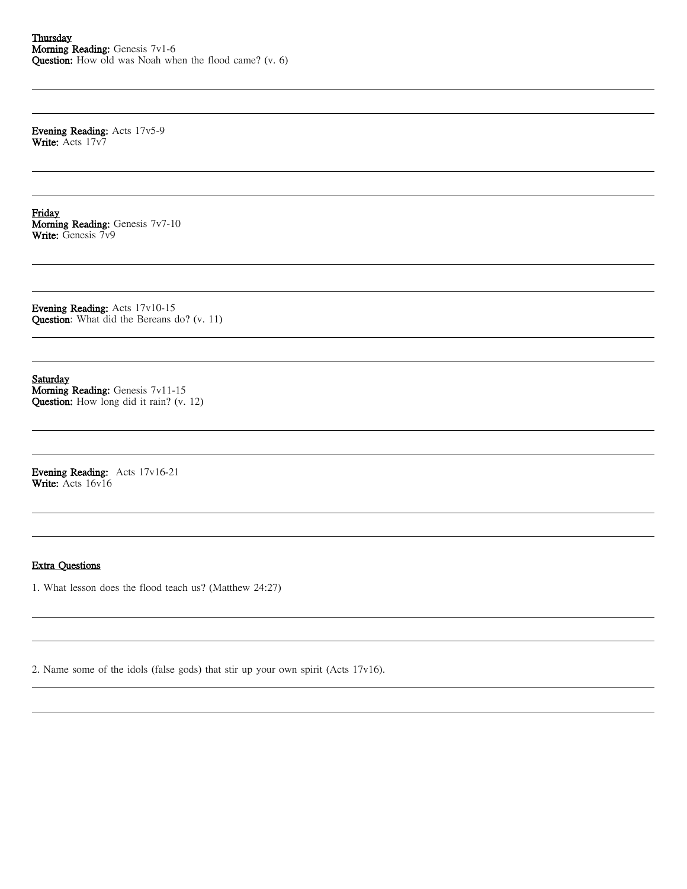Evening Reading: Acts 17v5-9 Write: Acts 17v7

Friday Morning Reading: Genesis 7v7-10 Write: Genesis 7v9

Evening Reading: Acts 17v10-15 Question: What did the Bereans do? (v. 11)

Saturday Morning Reading: Genesis 7v11-15 Question: How long did it rain? (v. 12)

Evening Reading: Acts 17v16-21 Write: Acts 16v16

#### Extra Questions

1. What lesson does the flood teach us? (Matthew 24:27)

2. Name some of the idols (false gods) that stir up your own spirit (Acts 17v16).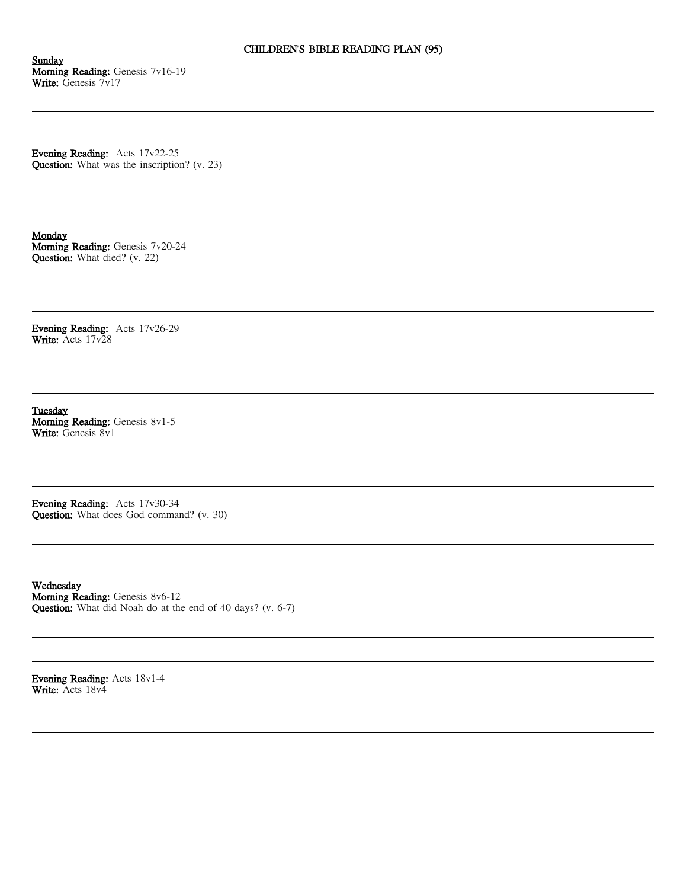## CHILDREN'S BIBLE READING PLAN (95)

Sunday Morning Reading: Genesis 7v16-19 Write: Genesis 7v17

Evening Reading: Acts 17v22-25 Question: What was the inscription? (v. 23)

## Monday

Morning Reading: Genesis 7v20-24 Question: What died? (v. 22)

Evening Reading: Acts 17v26-29 Write: Acts 17v28

Tuesday Morning Reading: Genesis 8v1-5 Write: Genesis 8v1

Evening Reading: Acts 17v30-34 Question: What does God command? (v. 30)

Wednesday Morning Reading: Genesis 8v6-12 Question: What did Noah do at the end of 40 days? (v. 6-7)

Evening Reading: Acts 18v1-4 Write: Acts 18v4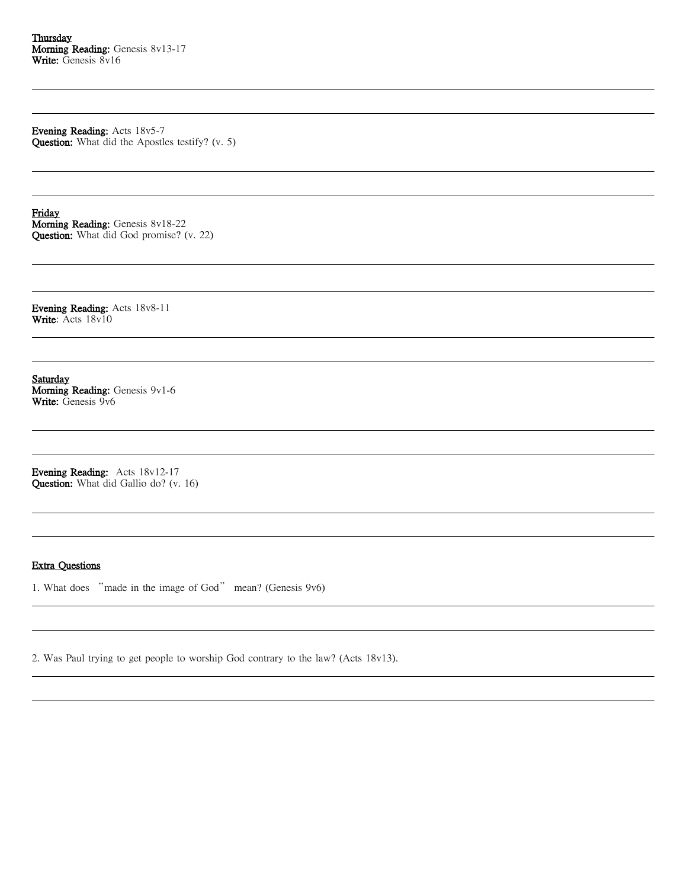Evening Reading: Acts 18v5-7 Question: What did the Apostles testify? (v. 5)

Friday Morning Reading: Genesis 8v18-22 Question: What did God promise? (v. 22)

Evening Reading: Acts 18v8-11 Write: Acts 18v10

Saturday Morning Reading: Genesis 9v1-6 Write: Genesis 9v6

Evening Reading: Acts 18v12-17 Question: What did Gallio do? (v. 16)

# Extra Questions

1. What does "made in the image of God" mean? (Genesis 9v6)

2. Was Paul trying to get people to worship God contrary to the law? (Acts 18v13).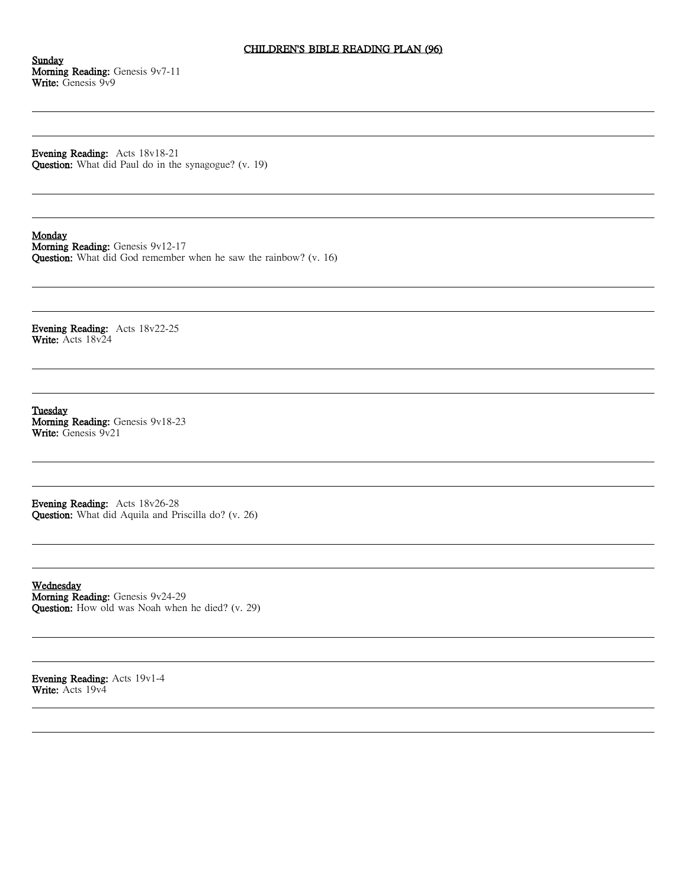## CHILDREN'S BIBLE READING PLAN (96)

Sunday Morning Reading: Genesis 9v7-11 Write: Genesis 9v9

Evening Reading: Acts 18v18-21 Question: What did Paul do in the synagogue? (v. 19)

#### Monday

Morning Reading: Genesis 9v12-17 Question: What did God remember when he saw the rainbow? (v. 16)

Evening Reading: Acts 18v22-25 Write: Acts 18v24

Tuesday Morning Reading: Genesis 9v18-23 Write: Genesis 9v21

Evening Reading: Acts 18v26-28 Question: What did Aquila and Priscilla do? (v. 26)

Wednesday Morning Reading: Genesis 9v24-29 Question: How old was Noah when he died? (v. 29)

Evening Reading: Acts 19v1-4 Write: Acts 19v4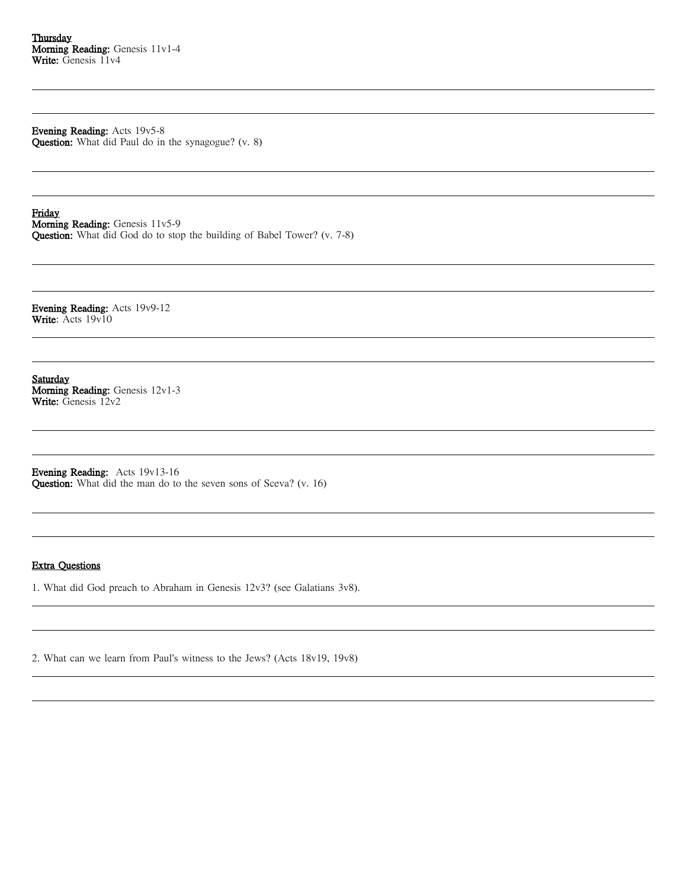Evening Reading: Acts 19v5-8

Question: What did Paul do in the synagogue? (v. 8)

Friday Morning Reading: Genesis 11v5-9 Question: What did God do to stop the building of Babel Tower? (v. 7-8)

Evening Reading: Acts 19v9-12 Write: Acts 19v10

Saturday Morning Reading: Genesis 12v1-3 Write: Genesis 12v2

Evening Reading: Acts 19v13-16 Question: What did the man do to the seven sons of Sceva? (v. 16)

### Extra Questions

1. What did God preach to Abraham in Genesis 12v3? (see Galatians 3v8).

2. What can we learn from Paul's witness to the Jews? (Acts 18v19, 19v8)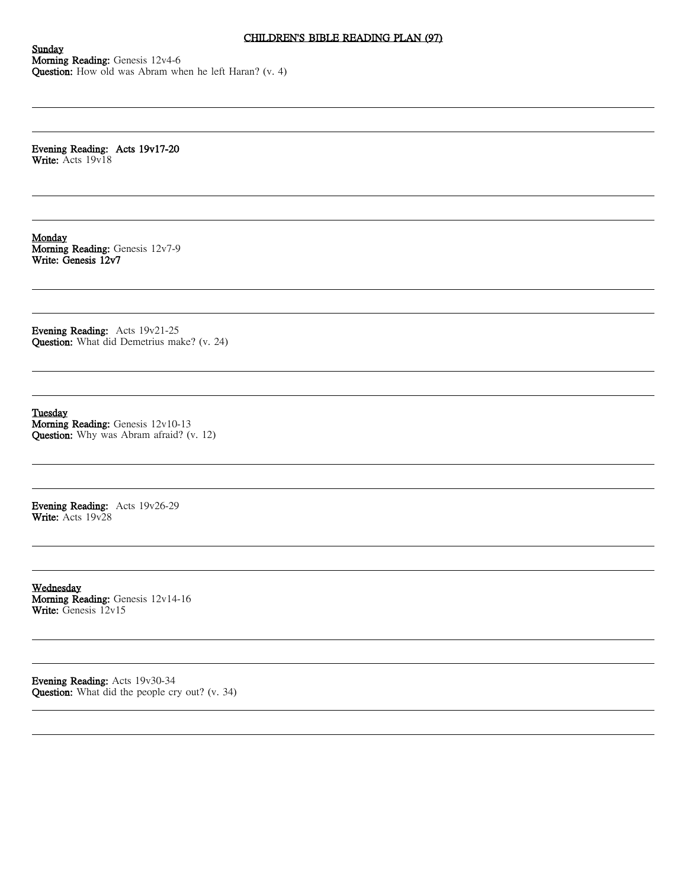## CHILDREN'S BIBLE READING PLAN (97)

**Sunday** Morning Reading: Genesis 12v4-6 Question: How old was Abram when he left Haran? (v. 4)

Evening Reading: Acts 19v17-20 Write: Acts 19v18

**Monday** Morning Reading: Genesis 12v7-9 Write: Genesis 12v7

Evening Reading: Acts 19v21-25 Question: What did Demetrius make? (v. 24)

Tuesday

Morning Reading: Genesis 12v10-13 Question: Why was Abram afraid? (v. 12)

Evening Reading: Acts 19v26-29 Write: Acts 19v28

Wednesday Morning Reading: Genesis 12v14-16 Write: Genesis 12v15

Evening Reading: Acts 19v30-34 Question: What did the people cry out? (v. 34)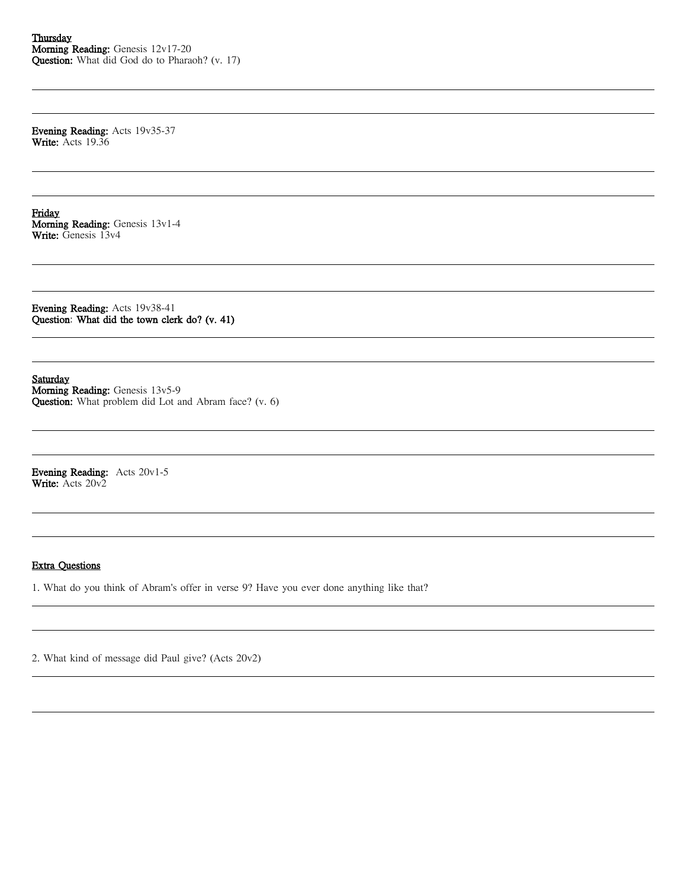Evening Reading: Acts 19v35-37 Write: Acts 19.36

Friday Morning Reading: Genesis 13v1-4 Write: Genesis 13v4

Evening Reading: Acts 19v38-41 Question: What did the town clerk do? (v. 41)

Saturday Morning Reading: Genesis 13v5-9

Question: What problem did Lot and Abram face? (v. 6)

Evening Reading: Acts 20v1-5 Write: Acts 20v2

## Extra Questions

1. What do you think of Abram's offer in verse 9? Have you ever done anything like that?

2. What kind of message did Paul give? (Acts 20v2)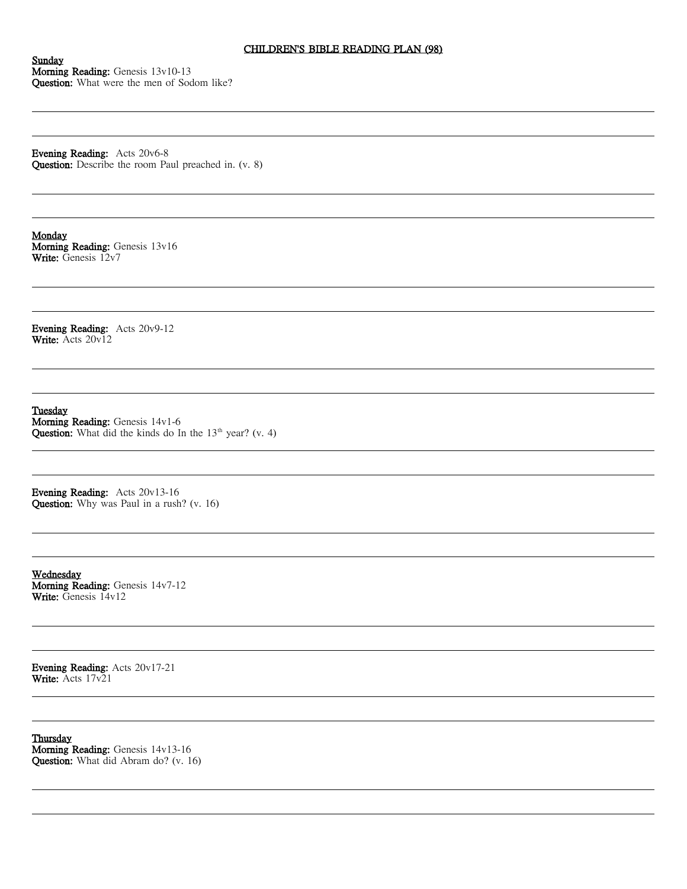## CHILDREN'S BIBLE READING PLAN (98)

Sunday Morning Reading: Genesis 13v10-13 Question: What were the men of Sodom like?

Evening Reading: Acts 20v6-8 Question: Describe the room Paul preached in. (v. 8)

Monday Morning Reading: Genesis 13v16 Write: Genesis 12v7

Evening Reading: Acts 20v9-12 Write: Acts 20v12

Tuesday Morning Reading: Genesis 14v1-6 **Question:** What did the kinds do In the  $13<sup>th</sup>$  year? (v. 4)

Evening Reading: Acts 20v13-16 Question: Why was Paul in a rush? (v. 16)

Wednesday Morning Reading: Genesis 14v7-12 Write: Genesis 14v12

Evening Reading: Acts 20v17-21 Write: Acts 17v21

**Thursday** Morning Reading: Genesis 14v13-16 Question: What did Abram do? (v. 16)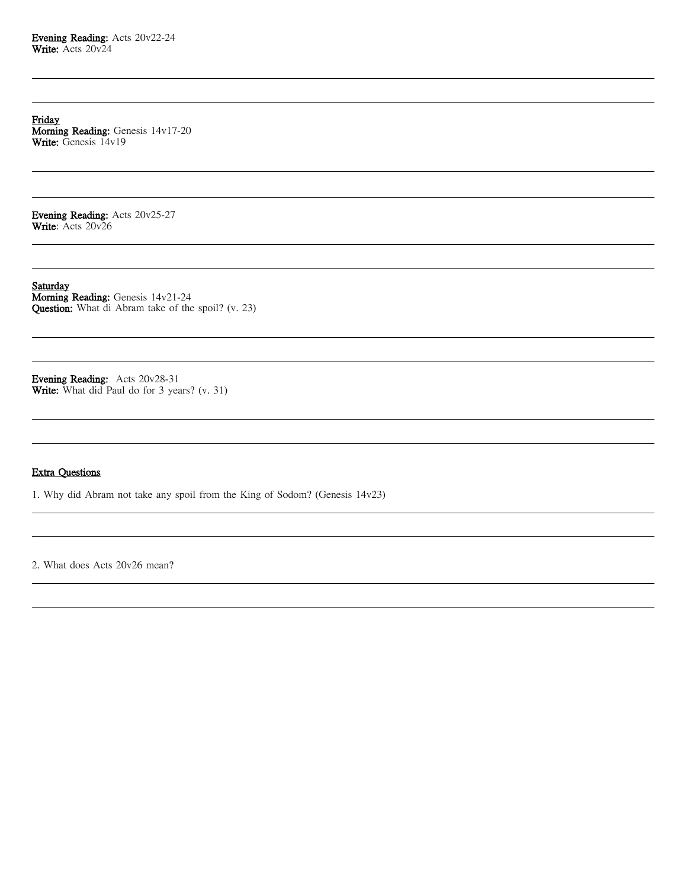Friday Morning Reading: Genesis 14v17-20 Write: Genesis 14v19

Evening Reading: Acts 20v25-27 Write: Acts 20v26

**Saturday** Morning Reading: Genesis 14v21-24 Question: What di Abram take of the spoil? (v. 23)

Evening Reading: Acts 20v28-31 Write: What did Paul do for 3 years? (v. 31)

# Extra Questions

1. Why did Abram not take any spoil from the King of Sodom? (Genesis 14v23)

2. What does Acts 20v26 mean?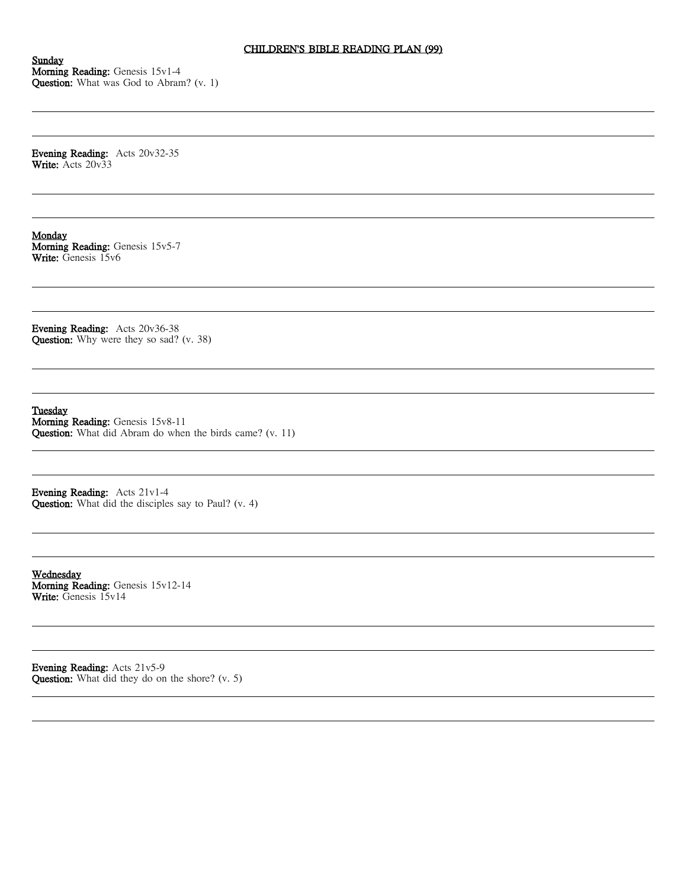Sunday Morning Reading: Genesis 15v1-4 Question: What was God to Abram? (v. 1)

Evening Reading: Acts 20v32-35 Write: Acts 20v33

Monday Morning Reading: Genesis 15v5-7 Write: Genesis 15v6

Evening Reading: Acts 20v36-38 Question: Why were they so sad? (v. 38)

Tuesday Morning Reading: Genesis 15v8-11 Question: What did Abram do when the birds came? (v. 11)

Evening Reading: Acts 21v1-4 Question: What did the disciples say to Paul? (v. 4)

Wednesday Morning Reading: Genesis 15v12-14 Write: Genesis 15v14

Evening Reading: Acts 21v5-9 Question: What did they do on the shore? (v. 5)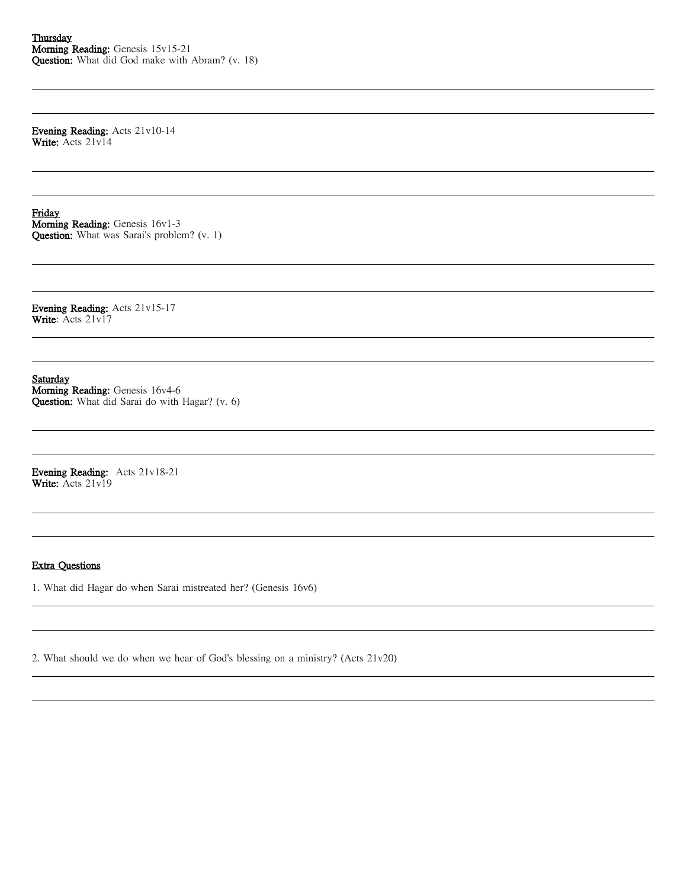Evening Reading: Acts 21v10-14 Write: Acts 21v14

Friday Morning Reading: Genesis 16v1-3 Question: What was Sarai's problem? (v. 1)

Evening Reading: Acts 21v15-17 Write: Acts 21v17

Saturday Morning Reading: Genesis 16v4-6 Question: What did Sarai do with Hagar? (v. 6)

Evening Reading: Acts 21v18-21 Write: Acts 21v19

### Extra Questions

1. What did Hagar do when Sarai mistreated her? (Genesis 16v6)

2. What should we do when we hear of God's blessing on a ministry? (Acts 21v20)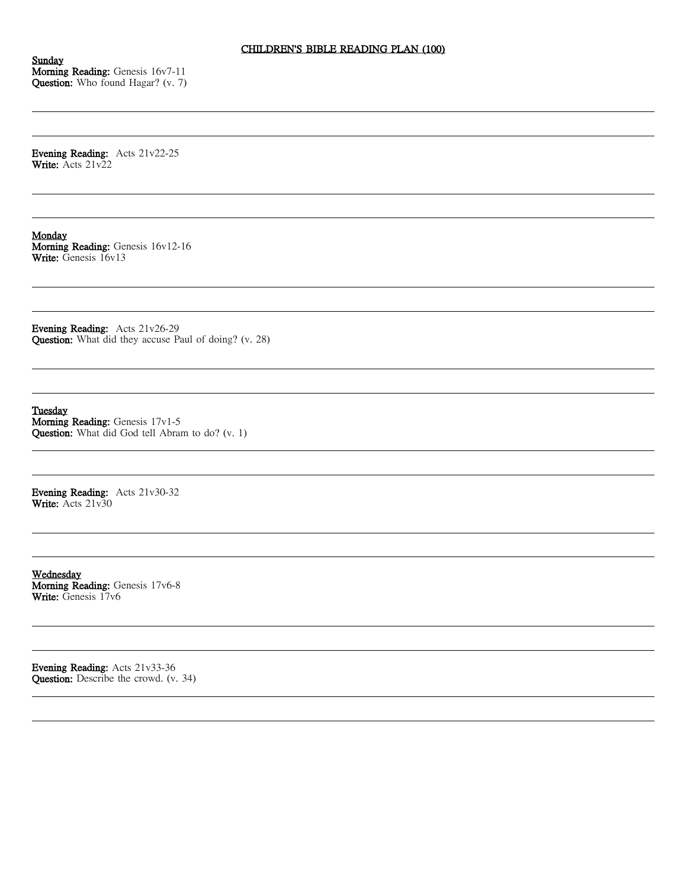Sunday Morning Reading: Genesis 16v7-11 Question: Who found Hagar? (v. 7)

Evening Reading: Acts 21v22-25 Write: Acts 21v22

Monday Morning Reading: Genesis 16v12-16 Write: Genesis 16v13

Evening Reading: Acts 21v26-29 Question: What did they accuse Paul of doing? (v. 28)

Tuesday Morning Reading: Genesis 17v1-5 Question: What did God tell Abram to do? (v. 1)

Evening Reading: Acts 21v30-32 Write: Acts 21v30

Wednesday Morning Reading: Genesis 17v6-8 Write: Genesis 17v6

Evening Reading: Acts 21v33-36 Question: Describe the crowd. (v. 34)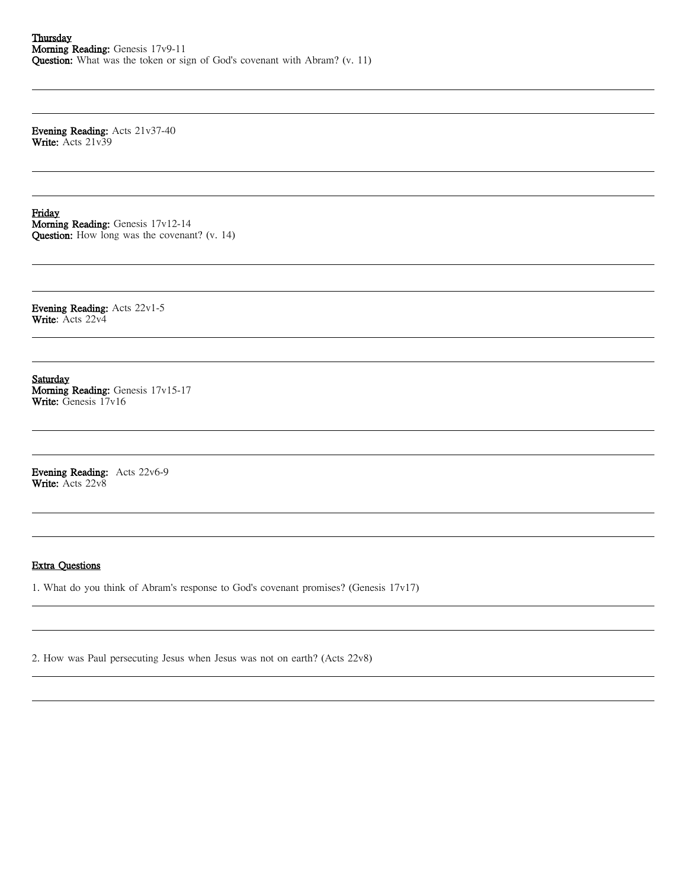Evening Reading: Acts 21v37-40 Write: Acts 21v39

Friday Morning Reading: Genesis 17v12-14 Question: How long was the covenant? (v. 14)

Evening Reading: Acts 22v1-5 Write: Acts 22v4

Saturday Morning Reading: Genesis 17v15-17 Write: Genesis 17v16

Evening Reading: Acts 22v6-9 Write: Acts 22v8

### Extra Questions

1. What do you think of Abram's response to God's covenant promises? (Genesis 17v17)

2. How was Paul persecuting Jesus when Jesus was not on earth? (Acts 22v8)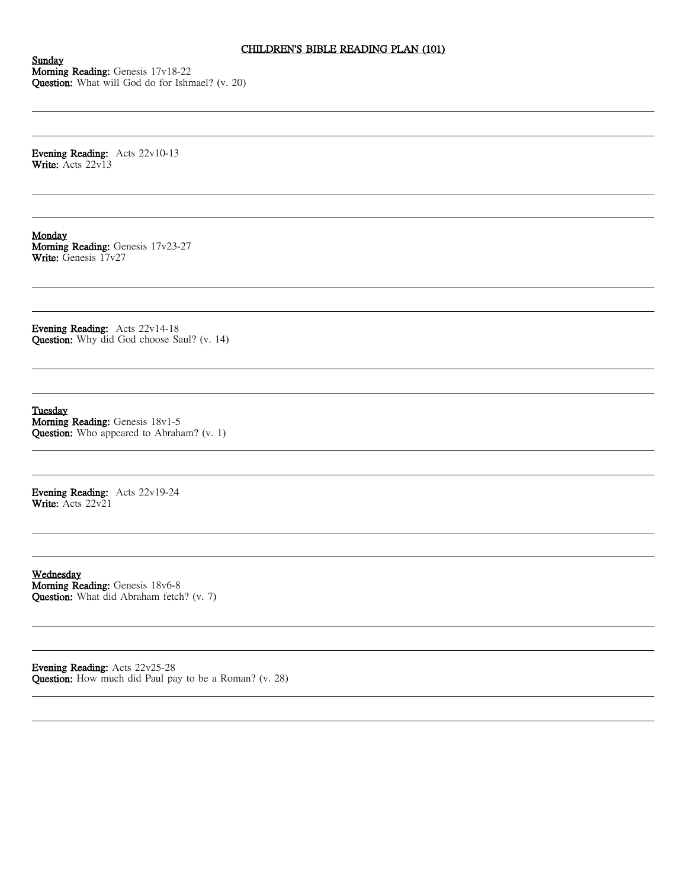# CHILDREN'S BIBLE READING PLAN (101)

Sunday Morning Reading: Genesis 17v18-22 Question: What will God do for Ishmael? (v. 20)

Evening Reading: Acts 22v10-13 Write: Acts 22v13

Monday Morning Reading: Genesis 17v23-27 Write: Genesis 17v27

Evening Reading: Acts 22v14-18 Question: Why did God choose Saul? (v. 14)

Tuesday Morning Reading: Genesis 18v1-5 Question: Who appeared to Abraham? (v. 1)

Evening Reading: Acts 22v19-24 Write: Acts 22v21

Wednesday Morning Reading: Genesis 18v6-8 Question: What did Abraham fetch? (v. 7)

Evening Reading: Acts 22v25-28 Question: How much did Paul pay to be a Roman? (v. 28)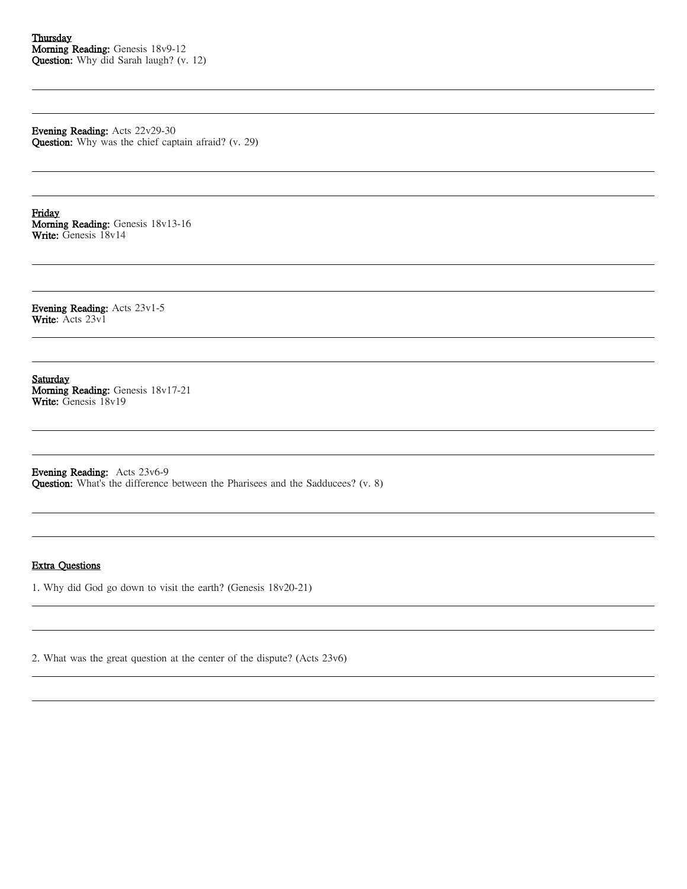Evening Reading: Acts 22v29-30 Question: Why was the chief captain afraid? (v. 29)

Friday Morning Reading: Genesis 18v13-16 Write: Genesis 18v14

Evening Reading: Acts 23v1-5 Write: Acts 23v1

Saturday Morning Reading: Genesis 18v17-21 Write: Genesis 18v19

Evening Reading: Acts 23v6-9 Question: What's the difference between the Pharisees and the Sadducees? (v. 8)

#### Extra Questions

1. Why did God go down to visit the earth? (Genesis 18v20-21)

2. What was the great question at the center of the dispute? (Acts 23v6)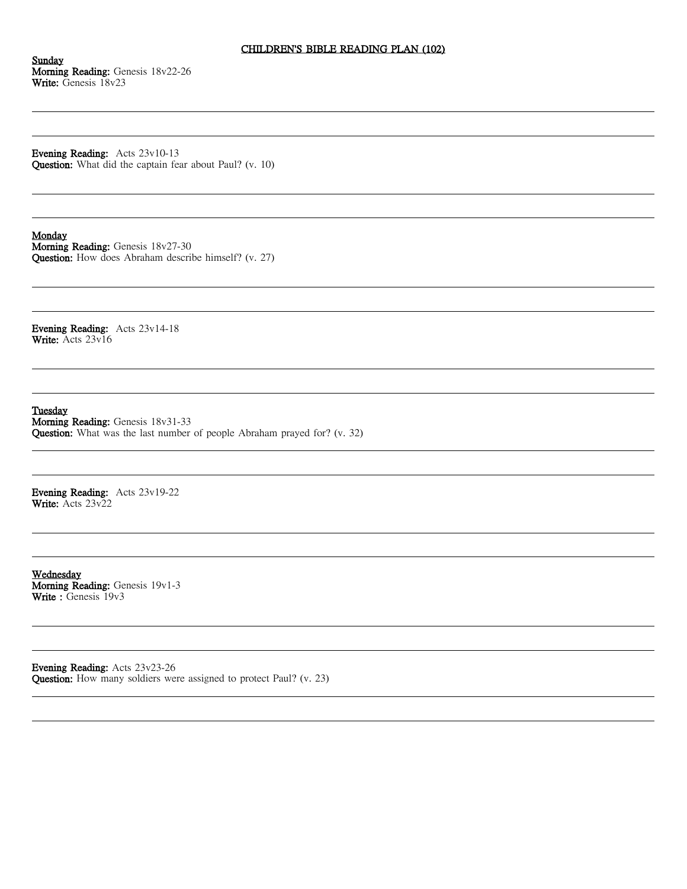# CHILDREN'S BIBLE READING PLAN (102)

Sunday Morning Reading: Genesis 18v22-26 Write: Genesis 18v23

Evening Reading: Acts 23v10-13 Question: What did the captain fear about Paul? (v. 10)

#### Monday

Morning Reading: Genesis 18v27-30 Question: How does Abraham describe himself? (v. 27)

Evening Reading: Acts 23v14-18 Write: Acts 23v16

Tuesday

Morning Reading: Genesis 18v31-33 Question: What was the last number of people Abraham prayed for? (v. 32)

Evening Reading: Acts 23v19-22 Write: Acts 23v22

Wednesday Morning Reading: Genesis 19v1-3 Write : Genesis 19v3

Evening Reading: Acts 23v23-26 Question: How many soldiers were assigned to protect Paul? (v. 23)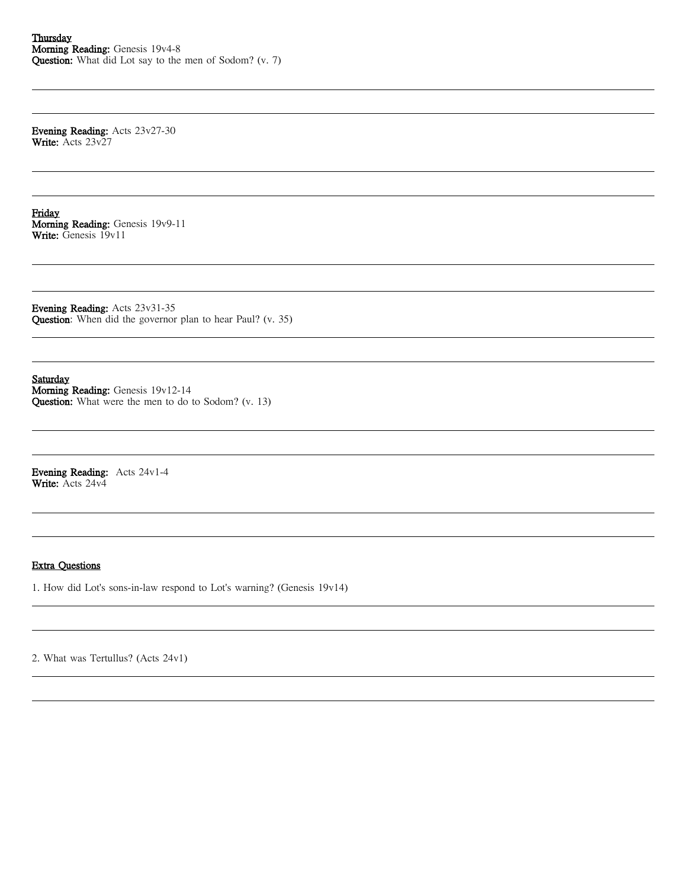Evening Reading: Acts 23v27-30 Write: Acts 23v27

Friday Morning Reading: Genesis 19v9-11 Write: Genesis 19v11

Evening Reading: Acts 23v31-35 Question: When did the governor plan to hear Paul? (v. 35)

Saturday Morning Reading: Genesis 19v12-14 Question: What were the men to do to Sodom? (v. 13)

Evening Reading: Acts 24v1-4 Write: Acts 24v4

## Extra Questions

1. How did Lot's sons-in-law respond to Lot's warning? (Genesis 19v14)

2. What was Tertullus? (Acts 24v1)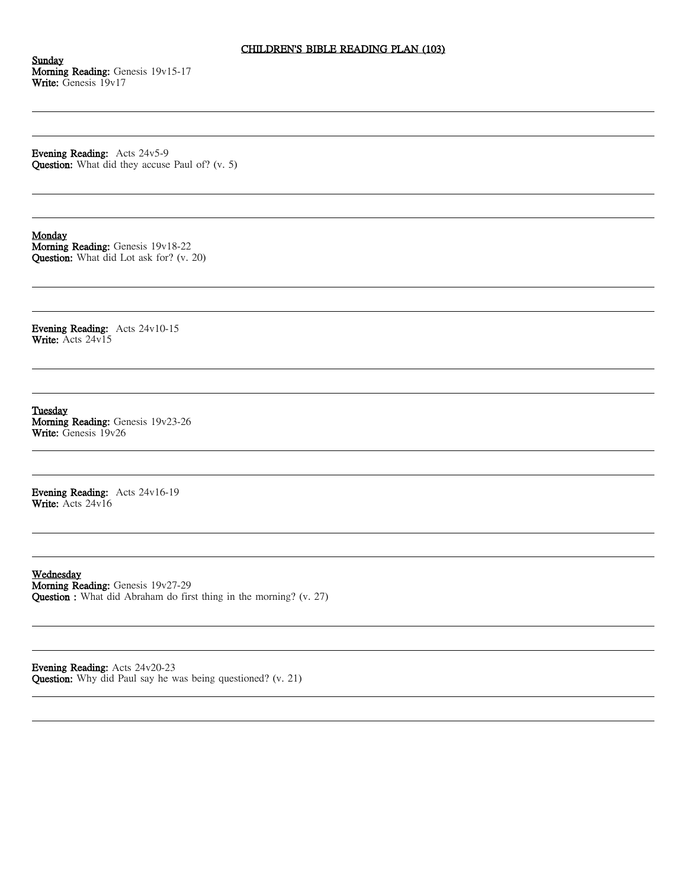# CHILDREN'S BIBLE READING PLAN (103)

Sunday Morning Reading: Genesis 19v15-17 Write: Genesis 19v17

Evening Reading: Acts 24v5-9 Question: What did they accuse Paul of? (v. 5)

### **Monday**

Morning Reading: Genesis 19v18-22 Question: What did Lot ask for? (v. 20)

Evening Reading: Acts 24v10-15 Write: Acts 24v15

Tuesday Morning Reading: Genesis 19v23-26 Write: Genesis 19v26

Evening Reading: Acts 24v16-19 Write: Acts 24v16

Wednesday Morning Reading: Genesis 19v27-29 Question : What did Abraham do first thing in the morning? (v. 27)

Evening Reading: Acts 24v20-23 Question: Why did Paul say he was being questioned? (v. 21)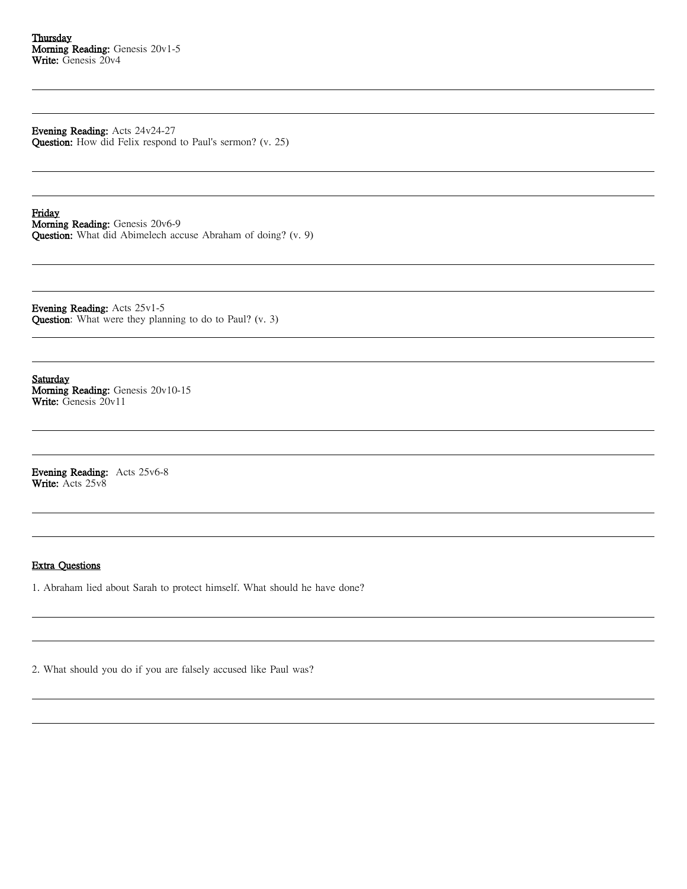Evening Reading: Acts 24v24-27 Question: How did Felix respond to Paul's sermon? (v. 25)

Friday Morning Reading: Genesis 20v6-9 Question: What did Abimelech accuse Abraham of doing? (v. 9)

Evening Reading: Acts 25v1-5 Question: What were they planning to do to Paul? (v. 3)

Saturday Morning Reading: Genesis 20v10-15 Write: Genesis 20v11

Evening Reading: Acts 25v6-8 Write: Acts 25v8

### Extra Questions

1. Abraham lied about Sarah to protect himself. What should he have done?

2. What should you do if you are falsely accused like Paul was?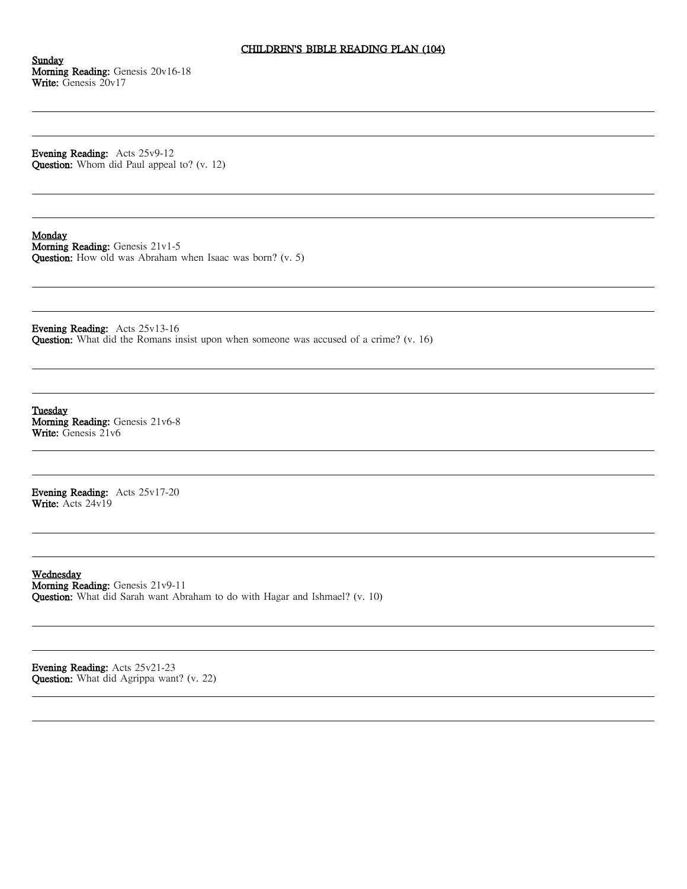# CHILDREN'S BIBLE READING PLAN (104)

Sunday Morning Reading: Genesis 20v16-18 Write: Genesis 20v17

Evening Reading: Acts 25v9-12 Question: Whom did Paul appeal to? (v. 12)

#### Monday

Morning Reading: Genesis 21v1-5 Question: How old was Abraham when Isaac was born? (v. 5)

Evening Reading: Acts 25v13-16 Question: What did the Romans insist upon when someone was accused of a crime? (v. 16)

Tuesday Morning Reading: Genesis 21v6-8 Write: Genesis 21v6

Evening Reading: Acts 25v17-20 Write: Acts 24v19

Wednesday Morning Reading: Genesis 21v9-11 Question: What did Sarah want Abraham to do with Hagar and Ishmael? (v. 10)

Evening Reading: Acts 25v21-23 Question: What did Agrippa want? (v. 22)